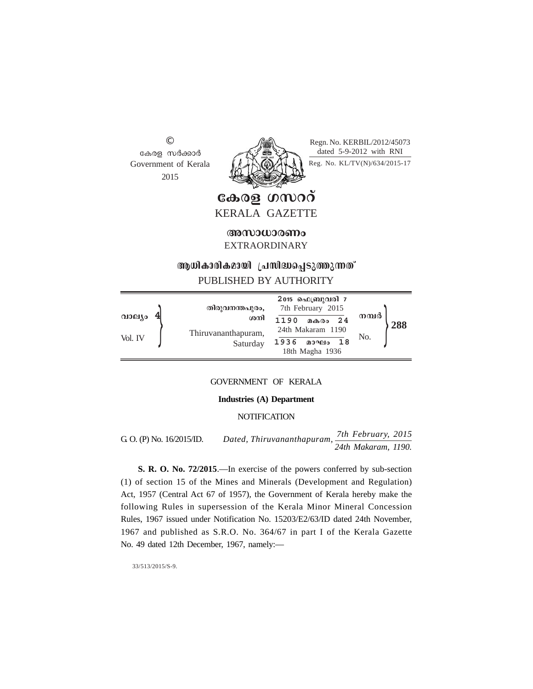© കേരള സർക്കാർ Government of Kerala 2015



Regn. No. KERBIL/2012/45073 dated 5-9-2012 with RNI

Reg. No. KL/TV(N)/634/2015-17

കേരള ഗസററ് KERALA GAZETTE

അസാധാരണം EXTRAORDINARY

# **ആധികാരികമായി പ്രസിദ്ധപ്പെടുത്തുന്നത്**

# PUBLISHED BY AUTHORITY

|                   | തിരുവനന്തപുരം,                         | 2015 ഫെബ്രുവരി 7<br>7th February 2015                                      |              |     |
|-------------------|----------------------------------------|----------------------------------------------------------------------------|--------------|-----|
| വാല്യം<br>Vol. IV | ശനി<br>Thiruvananthapuram,<br>Saturday | 1190<br>മകരം 24<br>24th Makaram 1190<br>1936<br>മാഘം 18<br>18th Magha 1936 | നമ്പർ<br>No. | 288 |

GOVERNMENT OF KERALA

## **Industries (A) Department**

# **NOTIFICATION**

G. O. (P) No. 16/2015/ID. *Dated, Thiruvananthapuram, 7th February, 2015 24th Makaram, 1190.*

**S. R. O. No. 72/2015**.—In exercise of the powers conferred by sub-section (1) of section 15 of the Mines and Minerals (Development and Regulation) Act, 1957 (Central Act 67 of 1957), the Government of Kerala hereby make the following Rules in supersession of the Kerala Minor Mineral Concession Rules, 1967 issued under Notification No. 15203/E2/63/ID dated 24th November, 1967 and published as S.R.O. No. 364/67 in part I of the Kerala Gazette No. 49 dated 12th December, 1967, namely:—

33/513/2015/S-9.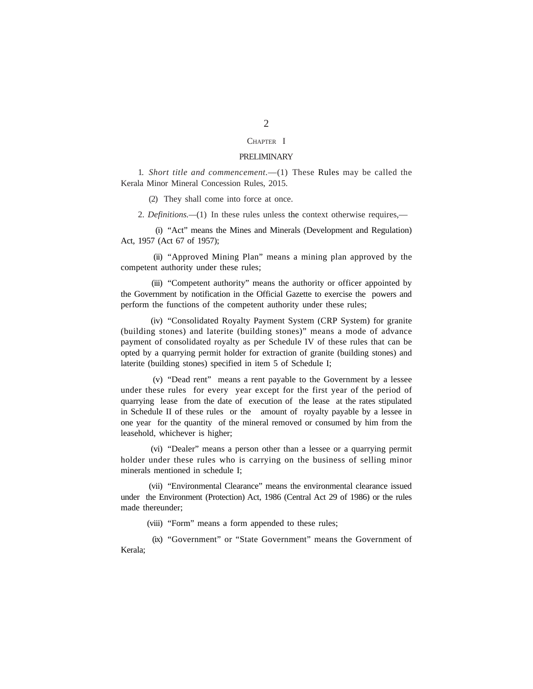#### CHAPTER I

#### PRELIMINARY

1. *Short title and commencement.*—(1) These Rules may be called the Kerala Minor Mineral Concession Rules, 2015.

(2) They shall come into force at once.

2. *Definitions.—*(1) In these rules unless the context otherwise requires,—

(i) "Act" means the Mines and Minerals (Development and Regulation) Act, 1957 (Act 67 of 1957);

(ii) "Approved Mining Plan" means a mining plan approved by the competent authority under these rules;

(iii) "Competent authority" means the authority or officer appointed by the Government by notification in the Official Gazette to exercise the powers and perform the functions of the competent authority under these rules;

(iv) "Consolidated Royalty Payment System (CRP System) for granite (building stones) and laterite (building stones)" means a mode of advance payment of consolidated royalty as per Schedule IV of these rules that can be opted by a quarrying permit holder for extraction of granite (building stones) and laterite (building stones) specified in item 5 of Schedule I;

(v) "Dead rent" means a rent payable to the Government by a lessee under these rules for every year except for the first year of the period of quarrying lease from the date of execution of the lease at the rates stipulated in Schedule II of these rules or the amount of royalty payable by a lessee in one year for the quantity of the mineral removed or consumed by him from the leasehold, whichever is higher;

(vi) "Dealer" means a person other than a lessee or a quarrying permit holder under these rules who is carrying on the business of selling minor minerals mentioned in schedule I;

(vii) "Environmental Clearance" means the environmental clearance issued under the Environment (Protection) Act, 1986 (Central Act 29 of 1986) or the rules made thereunder;

(viii) "Form" means a form appended to these rules;

(ix) "Government" or "State Government" means the Government of Kerala;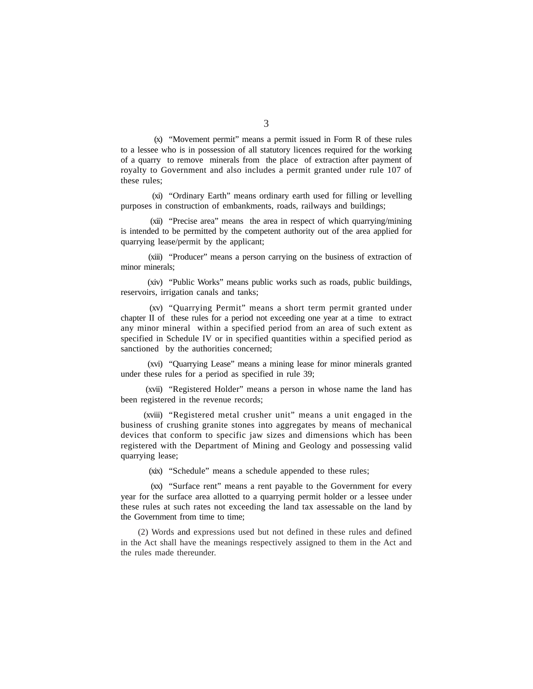(x) "Movement permit" means a permit issued in Form R of these rules to a lessee who is in possession of all statutory licences required for the working of a quarry to remove minerals from the place of extraction after payment of royalty to Government and also includes a permit granted under rule 107 of these rules;

(xi) "Ordinary Earth" means ordinary earth used for filling or levelling purposes in construction of embankments, roads, railways and buildings;

(xii) "Precise area" means the area in respect of which quarrying/mining is intended to be permitted by the competent authority out of the area applied for quarrying lease/permit by the applicant;

(xiii) "Producer" means a person carrying on the business of extraction of minor minerals;

(xiv) "Public Works" means public works such as roads, public buildings, reservoirs, irrigation canals and tanks;

(xv) "Quarrying Permit" means a short term permit granted under chapter II of these rules for a period not exceeding one year at a time to extract any minor mineral within a specified period from an area of such extent as specified in Schedule IV or in specified quantities within a specified period as sanctioned by the authorities concerned;

(xvi) "Quarrying Lease" means a mining lease for minor minerals granted under these rules for a period as specified in rule 39;

(xvii) "Registered Holder" means a person in whose name the land has been registered in the revenue records;

(xviii) "Registered metal crusher unit" means a unit engaged in the business of crushing granite stones into aggregates by means of mechanical devices that conform to specific jaw sizes and dimensions which has been registered with the Department of Mining and Geology and possessing valid quarrying lease;

(xix) "Schedule" means a schedule appended to these rules;

(xx) "Surface rent" means a rent payable to the Government for every year for the surface area allotted to a quarrying permit holder or a lessee under these rules at such rates not exceeding the land tax assessable on the land by the Government from time to time;

(2) Words and expressions used but not defined in these rules and defined in the Act shall have the meanings respectively assigned to them in the Act and the rules made thereunder.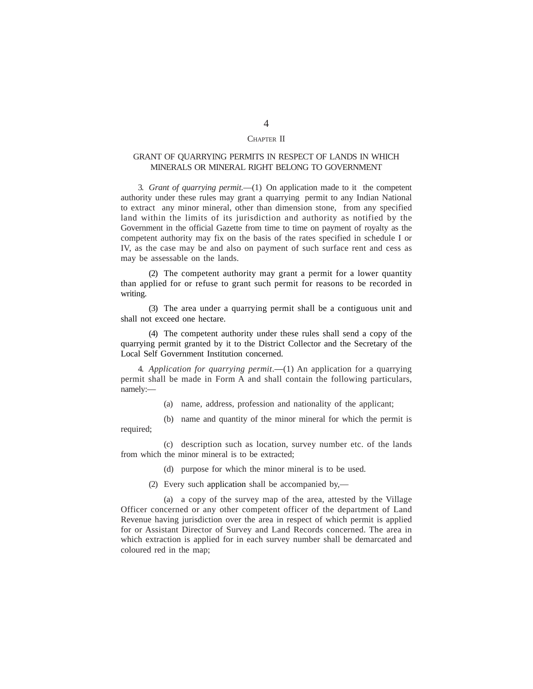# CHAPTER II

# GRANT OF QUARRYING PERMITS IN RESPECT OF LANDS IN WHICH MINERALS OR MINERAL RIGHT BELONG TO GOVERNMENT

3. *Grant of quarrying permit.*—(1) On application made to it the competent authority under these rules may grant a quarrying permit to any Indian National to extract any minor mineral, other than dimension stone, from any specified land within the limits of its jurisdiction and authority as notified by the Government in the official Gazette from time to time on payment of royalty as the competent authority may fix on the basis of the rates specified in schedule I or IV, as the case may be and also on payment of such surface rent and cess as may be assessable on the lands.

(2) The competent authority may grant a permit for a lower quantity than applied for or refuse to grant such permit for reasons to be recorded in writing.

(3) The area under a quarrying permit shall be a contiguous unit and shall not exceed one hectare.

(4) The competent authority under these rules shall send a copy of the quarrying permit granted by it to the District Collector and the Secretary of the Local Self Government Institution concerned.

4. *Application for quarrying permit*.—(1) An application for a quarrying permit shall be made in Form A and shall contain the following particulars, namely:—

(a) name, address, profession and nationality of the applicant;

(b) name and quantity of the minor mineral for which the permit is required;

(c) description such as location, survey number etc. of the lands from which the minor mineral is to be extracted;

(d) purpose for which the minor mineral is to be used.

(2) Every such application shall be accompanied by,—

(a) a copy of the survey map of the area, attested by the Village Officer concerned or any other competent officer of the department of Land Revenue having jurisdiction over the area in respect of which permit is applied for or Assistant Director of Survey and Land Records concerned. The area in which extraction is applied for in each survey number shall be demarcated and coloured red in the map;

# 4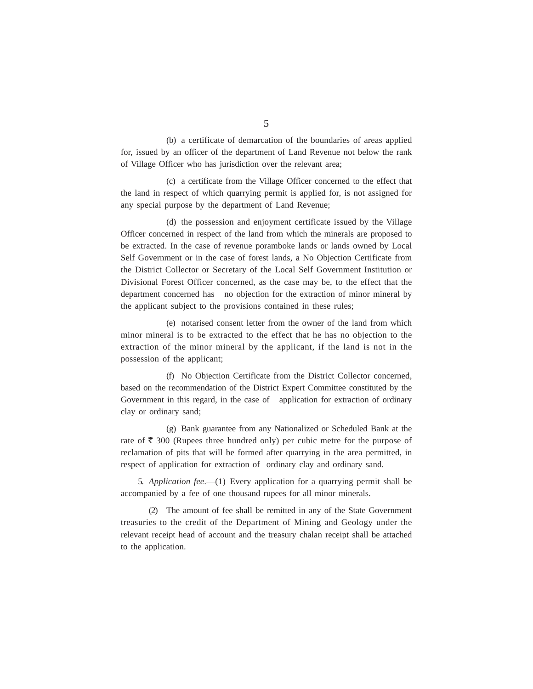(b) a certificate of demarcation of the boundaries of areas applied for, issued by an officer of the department of Land Revenue not below the rank of Village Officer who has jurisdiction over the relevant area;

(c) a certificate from the Village Officer concerned to the effect that the land in respect of which quarrying permit is applied for, is not assigned for any special purpose by the department of Land Revenue;

(d) the possession and enjoyment certificate issued by the Village Officer concerned in respect of the land from which the minerals are proposed to be extracted. In the case of revenue poramboke lands or lands owned by Local Self Government or in the case of forest lands, a No Objection Certificate from the District Collector or Secretary of the Local Self Government Institution or Divisional Forest Officer concerned, as the case may be, to the effect that the department concerned has no objection for the extraction of minor mineral by the applicant subject to the provisions contained in these rules;

(e) notarised consent letter from the owner of the land from which minor mineral is to be extracted to the effect that he has no objection to the extraction of the minor mineral by the applicant, if the land is not in the possession of the applicant;

(f) No Objection Certificate from the District Collector concerned, based on the recommendation of the District Expert Committee constituted by the Government in this regard, in the case of application for extraction of ordinary clay or ordinary sand;

(g) Bank guarantee from any Nationalized or Scheduled Bank at the rate of  $\bar{\xi}$  300 (Rupees three hundred only) per cubic metre for the purpose of reclamation of pits that will be formed after quarrying in the area permitted, in respect of application for extraction of ordinary clay and ordinary sand.

5. *Application fee*.—(1) Every application for a quarrying permit shall be accompanied by a fee of one thousand rupees for all minor minerals.

(2) The amount of fee shall be remitted in any of the State Government treasuries to the credit of the Department of Mining and Geology under the relevant receipt head of account and the treasury chalan receipt shall be attached to the application.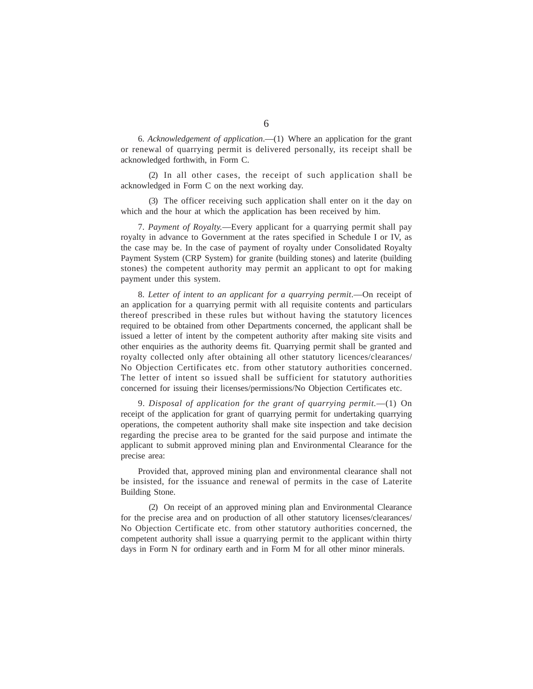6. *Acknowledgement of application*.—(1) Where an application for the grant or renewal of quarrying permit is delivered personally, its receipt shall be acknowledged forthwith, in Form C.

(2) In all other cases, the receipt of such application shall be acknowledged in Form C on the next working day.

(3) The officer receiving such application shall enter on it the day on which and the hour at which the application has been received by him.

7. *Payment of Royalty.*—Every applicant for a quarrying permit shall pay royalty in advance to Government at the rates specified in Schedule I or IV, as the case may be. In the case of payment of royalty under Consolidated Royalty Payment System (CRP System) for granite (building stones) and laterite (building stones) the competent authority may permit an applicant to opt for making payment under this system.

8. Letter of intent to an applicant for a quarrying permit.—On receipt of an application for a quarrying permit with all requisite contents and particulars thereof prescribed in these rules but without having the statutory licences required to be obtained from other Departments concerned, the applicant shall be issued a letter of intent by the competent authority after making site visits and other enquiries as the authority deems fit. Quarrying permit shall be granted and royalty collected only after obtaining all other statutory licences/clearances/ No Objection Certificates etc. from other statutory authorities concerned. The letter of intent so issued shall be sufficient for statutory authorities concerned for issuing their licenses/permissions/No Objection Certificates etc.

9. *Disposal of application for the grant of quarrying permit.*—(1) On receipt of the application for grant of quarrying permit for undertaking quarrying operations, the competent authority shall make site inspection and take decision regarding the precise area to be granted for the said purpose and intimate the applicant to submit approved mining plan and Environmental Clearance for the precise area:

Provided that, approved mining plan and environmental clearance shall not be insisted, for the issuance and renewal of permits in the case of Laterite Building Stone.

(2) On receipt of an approved mining plan and Environmental Clearance for the precise area and on production of all other statutory licenses/clearances/ No Objection Certificate etc. from other statutory authorities concerned, the competent authority shall issue a quarrying permit to the applicant within thirty days in Form N for ordinary earth and in Form M for all other minor minerals.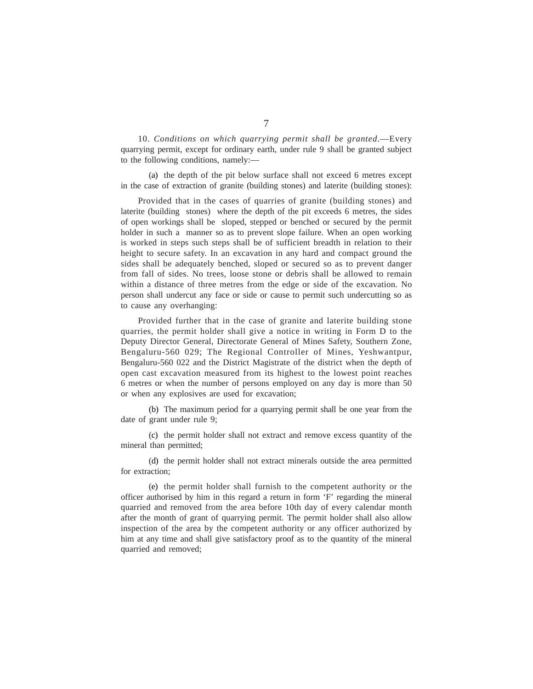10. *Conditions on which quarrying permit shall be granted*.—Every quarrying permit, except for ordinary earth, under rule 9 shall be granted subject to the following conditions, namely:—

(a) the depth of the pit below surface shall not exceed 6 metres except in the case of extraction of granite (building stones) and laterite (building stones):

Provided that in the cases of quarries of granite (building stones) and laterite (building stones) where the depth of the pit exceeds 6 metres, the sides of open workings shall be sloped, stepped or benched or secured by the permit holder in such a manner so as to prevent slope failure. When an open working is worked in steps such steps shall be of sufficient breadth in relation to their height to secure safety. In an excavation in any hard and compact ground the sides shall be adequately benched, sloped or secured so as to prevent danger from fall of sides. No trees, loose stone or debris shall be allowed to remain within a distance of three metres from the edge or side of the excavation. No person shall undercut any face or side or cause to permit such undercutting so as to cause any overhanging:

Provided further that in the case of granite and laterite building stone quarries, the permit holder shall give a notice in writing in Form D to the Deputy Director General, Directorate General of Mines Safety, Southern Zone, Bengaluru-560 029; The Regional Controller of Mines, Yeshwantpur, Bengaluru-560 022 and the District Magistrate of the district when the depth of open cast excavation measured from its highest to the lowest point reaches 6 metres or when the number of persons employed on any day is more than 50 or when any explosives are used for excavation;

(b) The maximum period for a quarrying permit shall be one year from the date of grant under rule 9;

(c) the permit holder shall not extract and remove excess quantity of the mineral than permitted;

(d) the permit holder shall not extract minerals outside the area permitted for extraction;

(e) the permit holder shall furnish to the competent authority or the officer authorised by him in this regard a return in form 'F' regarding the mineral quarried and removed from the area before 10th day of every calendar month after the month of grant of quarrying permit. The permit holder shall also allow inspection of the area by the competent authority or any officer authorized by him at any time and shall give satisfactory proof as to the quantity of the mineral quarried and removed;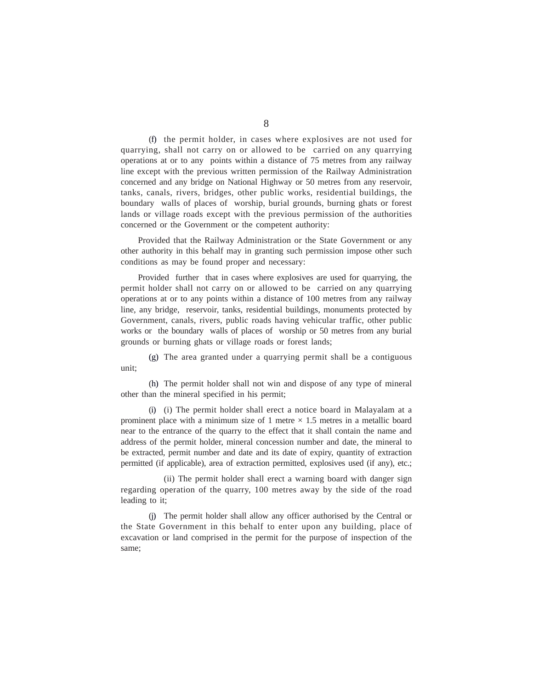(f) the permit holder, in cases where explosives are not used for quarrying, shall not carry on or allowed to be carried on any quarrying operations at or to any points within a distance of 75 metres from any railway line except with the previous written permission of the Railway Administration concerned and any bridge on National Highway or 50 metres from any reservoir, tanks, canals, rivers, bridges, other public works, residential buildings, the boundary walls of places of worship, burial grounds, burning ghats or forest lands or village roads except with the previous permission of the authorities concerned or the Government or the competent authority:

Provided that the Railway Administration or the State Government or any other authority in this behalf may in granting such permission impose other such conditions as may be found proper and necessary:

Provided further that in cases where explosives are used for quarrying, the permit holder shall not carry on or allowed to be carried on any quarrying operations at or to any points within a distance of 100 metres from any railway line, any bridge, reservoir, tanks, residential buildings, monuments protected by Government, canals, rivers, public roads having vehicular traffic, other public works or the boundary walls of places of worship or 50 metres from any burial grounds or burning ghats or village roads or forest lands;

(g) The area granted under a quarrying permit shall be a contiguous unit;

(h) The permit holder shall not win and dispose of any type of mineral other than the mineral specified in his permit;

(i) (i) The permit holder shall erect a notice board in Malayalam at a prominent place with a minimum size of 1 metre  $\times$  1.5 metres in a metallic board near to the entrance of the quarry to the effect that it shall contain the name and address of the permit holder, mineral concession number and date, the mineral to be extracted, permit number and date and its date of expiry, quantity of extraction permitted (if applicable), area of extraction permitted, explosives used (if any), etc.;

(ii) The permit holder shall erect a warning board with danger sign regarding operation of the quarry, 100 metres away by the side of the road leading to it;

(j) The permit holder shall allow any officer authorised by the Central or the State Government in this behalf to enter upon any building, place of excavation or land comprised in the permit for the purpose of inspection of the same;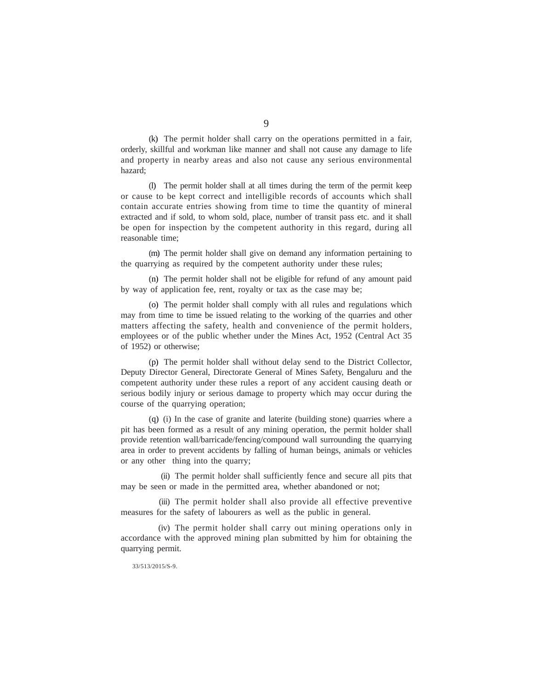(k) The permit holder shall carry on the operations permitted in a fair, orderly, skillful and workman like manner and shall not cause any damage to life and property in nearby areas and also not cause any serious environmental hazard;

(l) The permit holder shall at all times during the term of the permit keep or cause to be kept correct and intelligible records of accounts which shall contain accurate entries showing from time to time the quantity of mineral extracted and if sold, to whom sold, place, number of transit pass etc. and it shall be open for inspection by the competent authority in this regard, during all reasonable time;

(m) The permit holder shall give on demand any information pertaining to the quarrying as required by the competent authority under these rules;

(n) The permit holder shall not be eligible for refund of any amount paid by way of application fee, rent, royalty or tax as the case may be;

(o) The permit holder shall comply with all rules and regulations which may from time to time be issued relating to the working of the quarries and other matters affecting the safety, health and convenience of the permit holders, employees or of the public whether under the Mines Act, 1952 (Central Act 35 of 1952) or otherwise;

(p) The permit holder shall without delay send to the District Collector, Deputy Director General, Directorate General of Mines Safety, Bengaluru and the competent authority under these rules a report of any accident causing death or serious bodily injury or serious damage to property which may occur during the course of the quarrying operation;

(q) (i) In the case of granite and laterite (building stone) quarries where a pit has been formed as a result of any mining operation, the permit holder shall provide retention wall/barricade/fencing/compound wall surrounding the quarrying area in order to prevent accidents by falling of human beings, animals or vehicles or any other thing into the quarry;

(ii) The permit holder shall sufficiently fence and secure all pits that may be seen or made in the permitted area, whether abandoned or not;

(iii) The permit holder shall also provide all effective preventive measures for the safety of labourers as well as the public in general.

(iv) The permit holder shall carry out mining operations only in accordance with the approved mining plan submitted by him for obtaining the quarrying permit.

33/513/2015/S-9.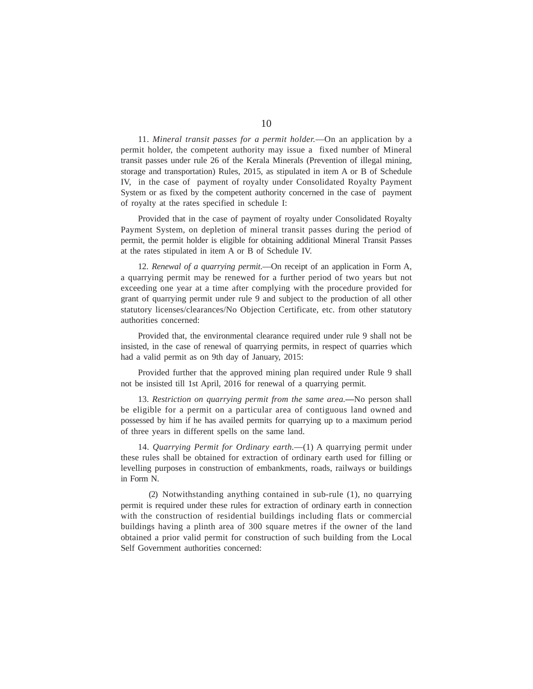11. *Mineral transit passes for a permit holder.*—On an application by a permit holder, the competent authority may issue a fixed number of Mineral transit passes under rule 26 of the Kerala Minerals (Prevention of illegal mining, storage and transportation) Rules, 2015, as stipulated in item A or B of Schedule IV, in the case of payment of royalty under Consolidated Royalty Payment System or as fixed by the competent authority concerned in the case of payment of royalty at the rates specified in schedule I:

Provided that in the case of payment of royalty under Consolidated Royalty Payment System, on depletion of mineral transit passes during the period of permit, the permit holder is eligible for obtaining additional Mineral Transit Passes at the rates stipulated in item A or B of Schedule IV.

12. *Renewal of a quarrying permit*.—On receipt of an application in Form A, a quarrying permit may be renewed for a further period of two years but not exceeding one year at a time after complying with the procedure provided for grant of quarrying permit under rule 9 and subject to the production of all other statutory licenses/clearances/No Objection Certificate, etc. from other statutory authorities concerned:

Provided that, the environmental clearance required under rule 9 shall not be insisted, in the case of renewal of quarrying permits, in respect of quarries which had a valid permit as on 9th day of January, 2015:

Provided further that the approved mining plan required under Rule 9 shall not be insisted till 1st April, 2016 for renewal of a quarrying permit.

13. *Restriction on quarrying permit from the same area.—*No person shall be eligible for a permit on a particular area of contiguous land owned and possessed by him if he has availed permits for quarrying up to a maximum period of three years in different spells on the same land.

14. *Quarrying Permit for Ordinary earth.*—(1) A quarrying permit under these rules shall be obtained for extraction of ordinary earth used for filling or levelling purposes in construction of embankments, roads, railways or buildings in Form N.

(2) Notwithstanding anything contained in sub-rule (1), no quarrying permit is required under these rules for extraction of ordinary earth in connection with the construction of residential buildings including flats or commercial buildings having a plinth area of 300 square metres if the owner of the land obtained a prior valid permit for construction of such building from the Local Self Government authorities concerned: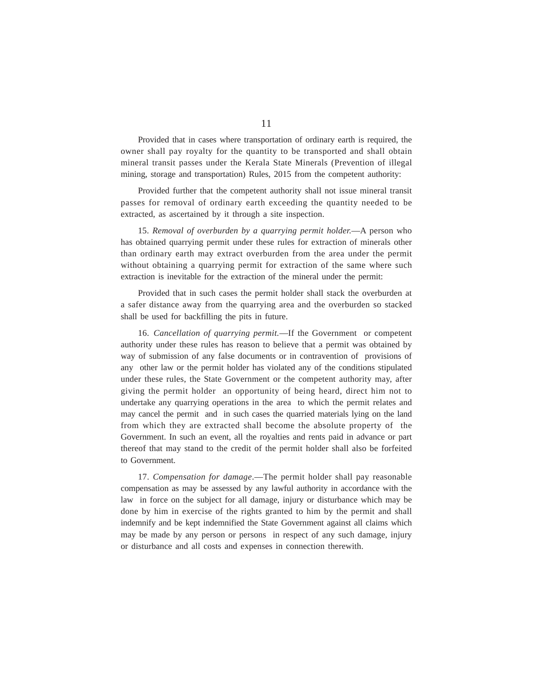Provided that in cases where transportation of ordinary earth is required, the owner shall pay royalty for the quantity to be transported and shall obtain mineral transit passes under the Kerala State Minerals (Prevention of illegal mining, storage and transportation) Rules, 2015 from the competent authority:

Provided further that the competent authority shall not issue mineral transit passes for removal of ordinary earth exceeding the quantity needed to be extracted, as ascertained by it through a site inspection.

15. *Removal of overburden by a quarrying permit holder.*—A person who has obtained quarrying permit under these rules for extraction of minerals other than ordinary earth may extract overburden from the area under the permit without obtaining a quarrying permit for extraction of the same where such extraction is inevitable for the extraction of the mineral under the permit:

Provided that in such cases the permit holder shall stack the overburden at a safer distance away from the quarrying area and the overburden so stacked shall be used for backfilling the pits in future.

16. *Cancellation of quarrying permit.*—If the Government or competent authority under these rules has reason to believe that a permit was obtained by way of submission of any false documents or in contravention of provisions of any other law or the permit holder has violated any of the conditions stipulated under these rules, the State Government or the competent authority may, after giving the permit holder an opportunity of being heard, direct him not to undertake any quarrying operations in the area to which the permit relates and may cancel the permit and in such cases the quarried materials lying on the land from which they are extracted shall become the absolute property of the Government. In such an event, all the royalties and rents paid in advance or part thereof that may stand to the credit of the permit holder shall also be forfeited to Government.

17. *Compensation for damage*.—The permit holder shall pay reasonable compensation as may be assessed by any lawful authority in accordance with the law in force on the subject for all damage, injury or disturbance which may be done by him in exercise of the rights granted to him by the permit and shall indemnify and be kept indemnified the State Government against all claims which may be made by any person or persons in respect of any such damage, injury or disturbance and all costs and expenses in connection therewith.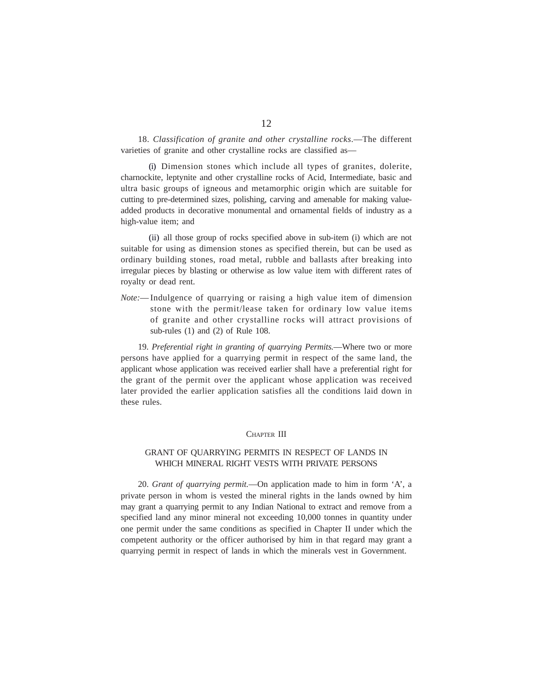18. *Classification of granite and other crystalline rocks*.—The different varieties of granite and other crystalline rocks are classified as—

(i) Dimension stones which include all types of granites, dolerite, charnockite, leptynite and other crystalline rocks of Acid, Intermediate, basic and ultra basic groups of igneous and metamorphic origin which are suitable for cutting to pre-determined sizes, polishing, carving and amenable for making valueadded products in decorative monumental and ornamental fields of industry as a high-value item; and

(ii) all those group of rocks specified above in sub-item (i) which are not suitable for using as dimension stones as specified therein, but can be used as ordinary building stones, road metal, rubble and ballasts after breaking into irregular pieces by blasting or otherwise as low value item with different rates of royalty or dead rent.

*Note:*— Indulgence of quarrying or raising a high value item of dimension stone with the permit/lease taken for ordinary low value items of granite and other crystalline rocks will attract provisions of sub-rules (1) and (2) of Rule 108.

19. *Preferential right in granting of quarrying Permits.*—Where two or more persons have applied for a quarrying permit in respect of the same land, the applicant whose application was received earlier shall have a preferential right for the grant of the permit over the applicant whose application was received later provided the earlier application satisfies all the conditions laid down in these rules.

#### CHAPTER III

# GRANT OF QUARRYING PERMITS IN RESPECT OF LANDS IN WHICH MINERAL RIGHT VESTS WITH PRIVATE PERSONS

20. *Grant of quarrying permit.*—On application made to him in form 'A', a private person in whom is vested the mineral rights in the lands owned by him may grant a quarrying permit to any Indian National to extract and remove from a specified land any minor mineral not exceeding 10,000 tonnes in quantity under one permit under the same conditions as specified in Chapter II under which the competent authority or the officer authorised by him in that regard may grant a quarrying permit in respect of lands in which the minerals vest in Government.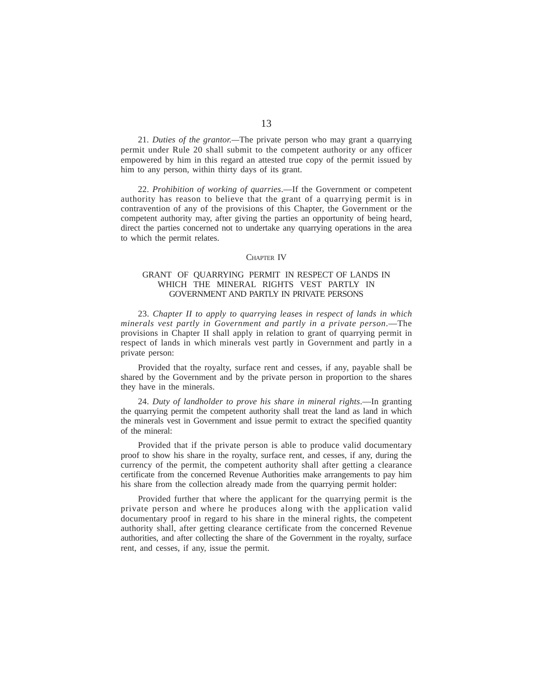21. *Duties of the grantor.—*The private person who may grant a quarrying permit under Rule 20 shall submit to the competent authority or any officer empowered by him in this regard an attested true copy of the permit issued by him to any person, within thirty days of its grant.

22. *Prohibition of working of quarries*.—If the Government or competent authority has reason to believe that the grant of a quarrying permit is in contravention of any of the provisions of this Chapter, the Government or the competent authority may, after giving the parties an opportunity of being heard, direct the parties concerned not to undertake any quarrying operations in the area to which the permit relates.

#### CHAPTER IV

## GRANT OF QUARRYING PERMIT IN RESPECT OF LANDS IN WHICH THE MINERAL RIGHTS VEST PARTLY IN GOVERNMENT AND PARTLY IN PRIVATE PERSONS

23. *Chapter II to apply to quarrying leases in respect of lands in which minerals vest partly in Government and partly in a private person*.—The provisions in Chapter II shall apply in relation to grant of quarrying permit in respect of lands in which minerals vest partly in Government and partly in a private person:

Provided that the royalty, surface rent and cesses, if any, payable shall be shared by the Government and by the private person in proportion to the shares they have in the minerals.

24. *Duty of landholder to prove his share in mineral rights*.—In granting the quarrying permit the competent authority shall treat the land as land in which the minerals vest in Government and issue permit to extract the specified quantity of the mineral:

Provided that if the private person is able to produce valid documentary proof to show his share in the royalty, surface rent, and cesses, if any, during the currency of the permit, the competent authority shall after getting a clearance certificate from the concerned Revenue Authorities make arrangements to pay him his share from the collection already made from the quarrying permit holder:

Provided further that where the applicant for the quarrying permit is the private person and where he produces along with the application valid documentary proof in regard to his share in the mineral rights, the competent authority shall, after getting clearance certificate from the concerned Revenue authorities, and after collecting the share of the Government in the royalty, surface rent, and cesses, if any, issue the permit.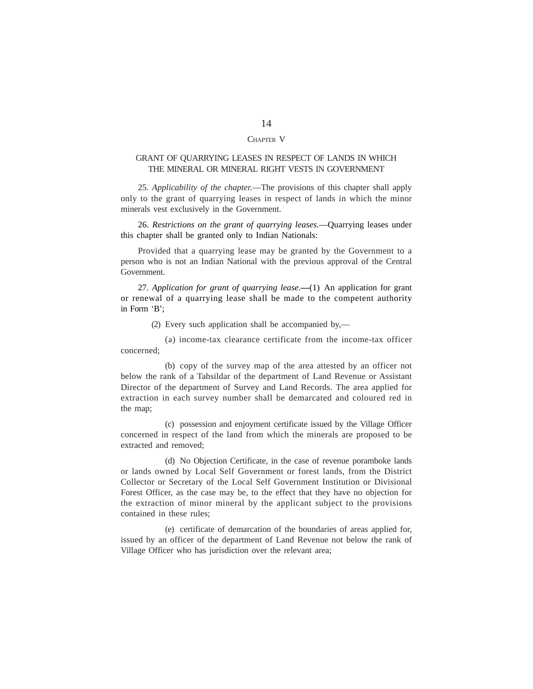#### CHAPTER V

# GRANT OF QUARRYING LEASES IN RESPECT OF LANDS IN WHICH THE MINERAL OR MINERAL RIGHT VESTS IN GOVERNMENT

25. *Applicability of the chapter.*—The provisions of this chapter shall apply only to the grant of quarrying leases in respect of lands in which the minor minerals vest exclusively in the Government.

26. *Restrictions on the grant of quarrying leases.*—Quarrying leases under this chapter shall be granted only to Indian Nationals:

Provided that a quarrying lease may be granted by the Government to a person who is not an Indian National with the previous approval of the Central Government.

27. *Application for grant of quarrying lease.—*(1) An application for grant or renewal of a quarrying lease shall be made to the competent authority in Form 'B';

(2) Every such application shall be accompanied by,—

(a) income-tax clearance certificate from the income-tax officer concerned;

(b) copy of the survey map of the area attested by an officer not below the rank of a Tahsildar of the department of Land Revenue or Assistant Director of the department of Survey and Land Records. The area applied for extraction in each survey number shall be demarcated and coloured red in the map;

(c) possession and enjoyment certificate issued by the Village Officer concerned in respect of the land from which the minerals are proposed to be extracted and removed;

(d) No Objection Certificate, in the case of revenue poramboke lands or lands owned by Local Self Government or forest lands, from the District Collector or Secretary of the Local Self Government Institution or Divisional Forest Officer, as the case may be, to the effect that they have no objection for the extraction of minor mineral by the applicant subject to the provisions contained in these rules;

(e) certificate of demarcation of the boundaries of areas applied for, issued by an officer of the department of Land Revenue not below the rank of Village Officer who has jurisdiction over the relevant area;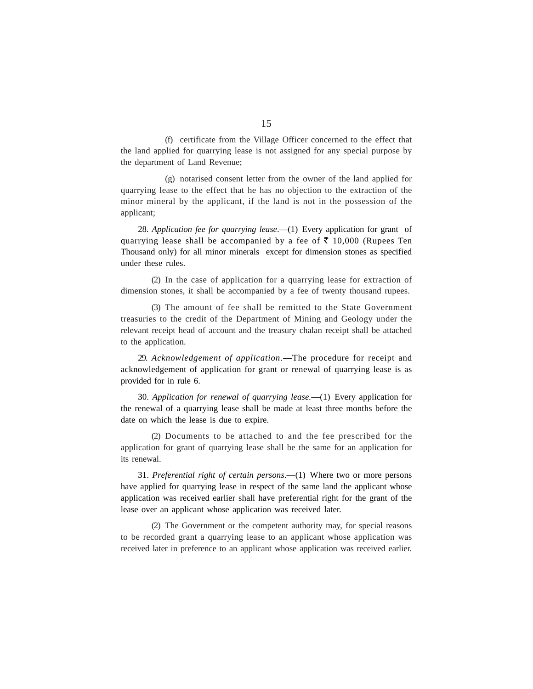(f) certificate from the Village Officer concerned to the effect that the land applied for quarrying lease is not assigned for any special purpose by the department of Land Revenue;

(g) notarised consent letter from the owner of the land applied for quarrying lease to the effect that he has no objection to the extraction of the minor mineral by the applicant, if the land is not in the possession of the applicant;

28. *Application fee for quarrying lease*.—(1) Every application for grant of quarrying lease shall be accompanied by a fee of  $\bar{\tau}$  10,000 (Rupees Ten Thousand only) for all minor minerals except for dimension stones as specified under these rules.

(2) In the case of application for a quarrying lease for extraction of dimension stones, it shall be accompanied by a fee of twenty thousand rupees.

(3) The amount of fee shall be remitted to the State Government treasuries to the credit of the Department of Mining and Geology under the relevant receipt head of account and the treasury chalan receipt shall be attached to the application.

29. *Acknowledgement of application*.—The procedure for receipt and acknowledgement of application for grant or renewal of quarrying lease is as provided for in rule 6.

30. *Application for renewal of quarrying lease.*—(1) Every application for the renewal of a quarrying lease shall be made at least three months before the date on which the lease is due to expire.

(2) Documents to be attached to and the fee prescribed for the application for grant of quarrying lease shall be the same for an application for its renewal.

31. *Preferential right of certain persons*.—(1) Where two or more persons have applied for quarrying lease in respect of the same land the applicant whose application was received earlier shall have preferential right for the grant of the lease over an applicant whose application was received later.

(2) The Government or the competent authority may, for special reasons to be recorded grant a quarrying lease to an applicant whose application was received later in preference to an applicant whose application was received earlier.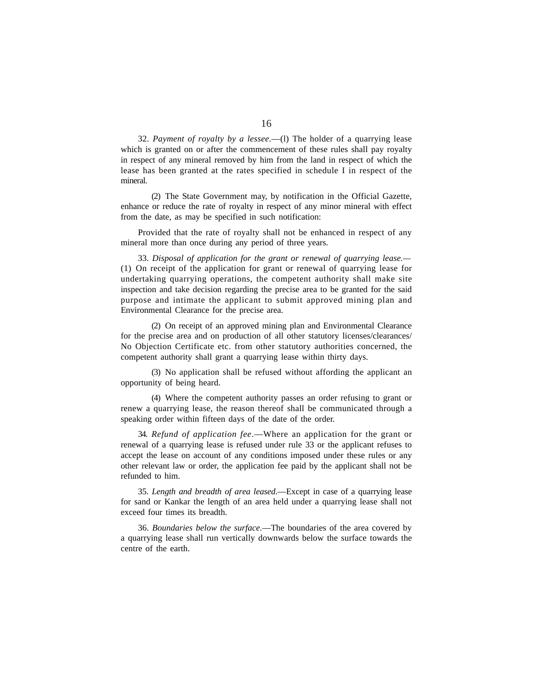32. *Payment of royalty by a lessee*.—(l) The holder of a quarrying lease which is granted on or after the commencement of these rules shall pay royalty in respect of any mineral removed by him from the land in respect of which the lease has been granted at the rates specified in schedule I in respect of the mineral.

(2) The State Government may, by notification in the Official Gazette, enhance or reduce the rate of royalty in respect of any minor mineral with effect from the date, as may be specified in such notification:

Provided that the rate of royalty shall not be enhanced in respect of any mineral more than once during any period of three years.

33. *Disposal of application for the grant or renewal of quarrying lease.—* (1) On receipt of the application for grant or renewal of quarrying lease for undertaking quarrying operations, the competent authority shall make site inspection and take decision regarding the precise area to be granted for the said purpose and intimate the applicant to submit approved mining plan and Environmental Clearance for the precise area.

(2) On receipt of an approved mining plan and Environmental Clearance for the precise area and on production of all other statutory licenses/clearances/ No Objection Certificate etc. from other statutory authorities concerned, the competent authority shall grant a quarrying lease within thirty days.

(3) No application shall be refused without affording the applicant an opportunity of being heard.

(4) Where the competent authority passes an order refusing to grant or renew a quarrying lease, the reason thereof shall be communicated through a speaking order within fifteen days of the date of the order.

34. *Refund of application fee*.—Where an application for the grant or renewal of a quarrying lease is refused under rule 33 or the applicant refuses to accept the lease on account of any conditions imposed under these rules or any other relevant law or order, the application fee paid by the applicant shall not be refunded to him.

35. *Length and breadth of area leased*.—Except in case of a quarrying lease for sand or Kankar the length of an area held under a quarrying lease shall not exceed four times its breadth.

36. *Boundaries below the surface.*—The boundaries of the area covered by a quarrying lease shall run vertically downwards below the surface towards the centre of the earth.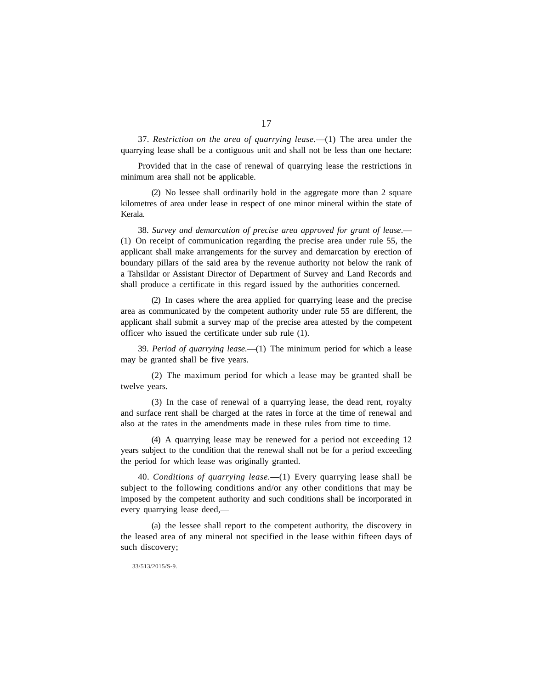37. *Restriction on the area of quarrying lease.*—(1) The area under the quarrying lease shall be a contiguous unit and shall not be less than one hectare:

Provided that in the case of renewal of quarrying lease the restrictions in minimum area shall not be applicable.

(2) No lessee shall ordinarily hold in the aggregate more than 2 square kilometres of area under lease in respect of one minor mineral within the state of Kerala.

38. *Survey and demarcation of precise area approved for grant of lease*.— (1) On receipt of communication regarding the precise area under rule 55, the applicant shall make arrangements for the survey and demarcation by erection of boundary pillars of the said area by the revenue authority not below the rank of a Tahsildar or Assistant Director of Department of Survey and Land Records and shall produce a certificate in this regard issued by the authorities concerned.

(2) In cases where the area applied for quarrying lease and the precise area as communicated by the competent authority under rule 55 are different, the applicant shall submit a survey map of the precise area attested by the competent officer who issued the certificate under sub rule (1).

39. *Period of quarrying lease.*—(1) The minimum period for which a lease may be granted shall be five years.

(2) The maximum period for which a lease may be granted shall be twelve years.

(3) In the case of renewal of a quarrying lease, the dead rent, royalty and surface rent shall be charged at the rates in force at the time of renewal and also at the rates in the amendments made in these rules from time to time.

(4) A quarrying lease may be renewed for a period not exceeding 12 years subject to the condition that the renewal shall not be for a period exceeding the period for which lease was originally granted.

40. *Conditions of quarrying lease.*—(1) Every quarrying lease shall be subject to the following conditions and/or any other conditions that may be imposed by the competent authority and such conditions shall be incorporated in every quarrying lease deed,—

(a) the lessee shall report to the competent authority, the discovery in the leased area of any mineral not specified in the lease within fifteen days of such discovery;

33/513/2015/S-9.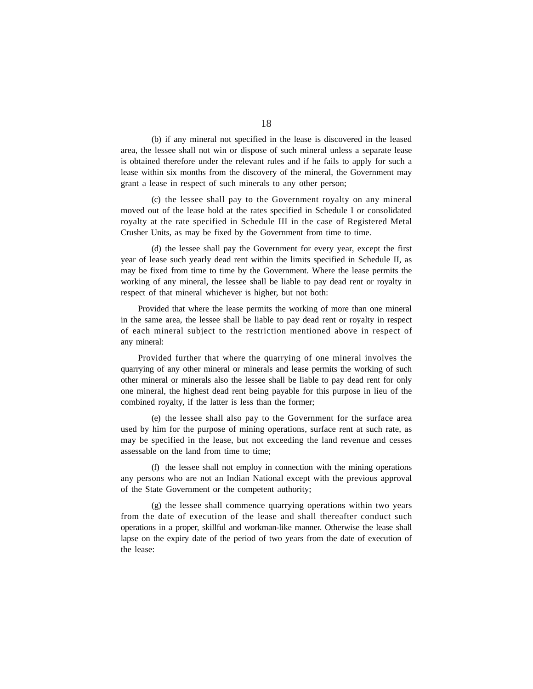(b) if any mineral not specified in the lease is discovered in the leased area, the lessee shall not win or dispose of such mineral unless a separate lease is obtained therefore under the relevant rules and if he fails to apply for such a lease within six months from the discovery of the mineral, the Government may grant a lease in respect of such minerals to any other person;

(c) the lessee shall pay to the Government royalty on any mineral moved out of the lease hold at the rates specified in Schedule I or consolidated royalty at the rate specified in Schedule III in the case of Registered Metal Crusher Units, as may be fixed by the Government from time to time.

(d) the lessee shall pay the Government for every year, except the first year of lease such yearly dead rent within the limits specified in Schedule II, as may be fixed from time to time by the Government. Where the lease permits the working of any mineral, the lessee shall be liable to pay dead rent or royalty in respect of that mineral whichever is higher, but not both:

Provided that where the lease permits the working of more than one mineral in the same area, the lessee shall be liable to pay dead rent or royalty in respect of each mineral subject to the restriction mentioned above in respect of any mineral:

Provided further that where the quarrying of one mineral involves the quarrying of any other mineral or minerals and lease permits the working of such other mineral or minerals also the lessee shall be liable to pay dead rent for only one mineral, the highest dead rent being payable for this purpose in lieu of the combined royalty, if the latter is less than the former;

(e) the lessee shall also pay to the Government for the surface area used by him for the purpose of mining operations, surface rent at such rate, as may be specified in the lease, but not exceeding the land revenue and cesses assessable on the land from time to time;

(f) the lessee shall not employ in connection with the mining operations any persons who are not an Indian National except with the previous approval of the State Government or the competent authority;

(g) the lessee shall commence quarrying operations within two years from the date of execution of the lease and shall thereafter conduct such operations in a proper, skillful and workman-like manner. Otherwise the lease shall lapse on the expiry date of the period of two years from the date of execution of the lease: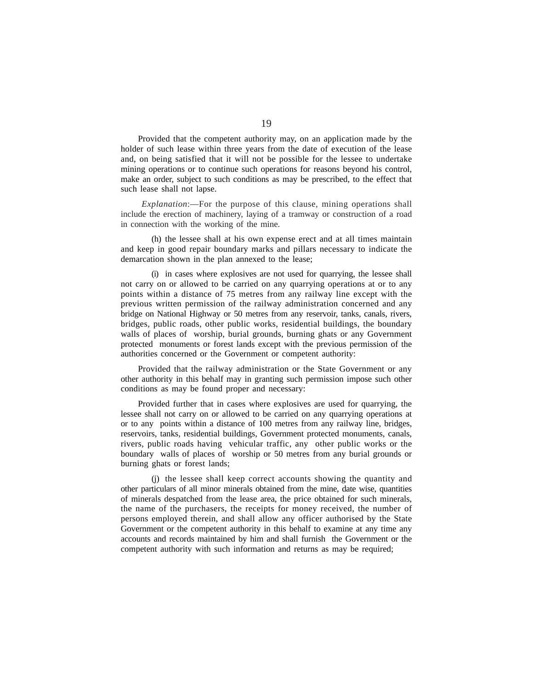Provided that the competent authority may, on an application made by the holder of such lease within three years from the date of execution of the lease and, on being satisfied that it will not be possible for the lessee to undertake mining operations or to continue such operations for reasons beyond his control, make an order, subject to such conditions as may be prescribed, to the effect that such lease shall not lapse.

*Explanation*:—For the purpose of this clause, mining operations shall include the erection of machinery, laying of a tramway or construction of a road in connection with the working of the mine.

(h) the lessee shall at his own expense erect and at all times maintain and keep in good repair boundary marks and pillars necessary to indicate the demarcation shown in the plan annexed to the lease;

(i) in cases where explosives are not used for quarrying, the lessee shall not carry on or allowed to be carried on any quarrying operations at or to any points within a distance of 75 metres from any railway line except with the previous written permission of the railway administration concerned and any bridge on National Highway or 50 metres from any reservoir, tanks, canals, rivers, bridges, public roads, other public works, residential buildings, the boundary walls of places of worship, burial grounds, burning ghats or any Government protected monuments or forest lands except with the previous permission of the authorities concerned or the Government or competent authority:

Provided that the railway administration or the State Government or any other authority in this behalf may in granting such permission impose such other conditions as may be found proper and necessary:

Provided further that in cases where explosives are used for quarrying, the lessee shall not carry on or allowed to be carried on any quarrying operations at or to any points within a distance of 100 metres from any railway line, bridges, reservoirs, tanks, residential buildings, Government protected monuments, canals, rivers, public roads having vehicular traffic, any other public works or the boundary walls of places of worship or 50 metres from any burial grounds or burning ghats or forest lands;

(j) the lessee shall keep correct accounts showing the quantity and other particulars of all minor minerals obtained from the mine, date wise, quantities of minerals despatched from the lease area, the price obtained for such minerals, the name of the purchasers, the receipts for money received, the number of persons employed therein, and shall allow any officer authorised by the State Government or the competent authority in this behalf to examine at any time any accounts and records maintained by him and shall furnish the Government or the competent authority with such information and returns as may be required;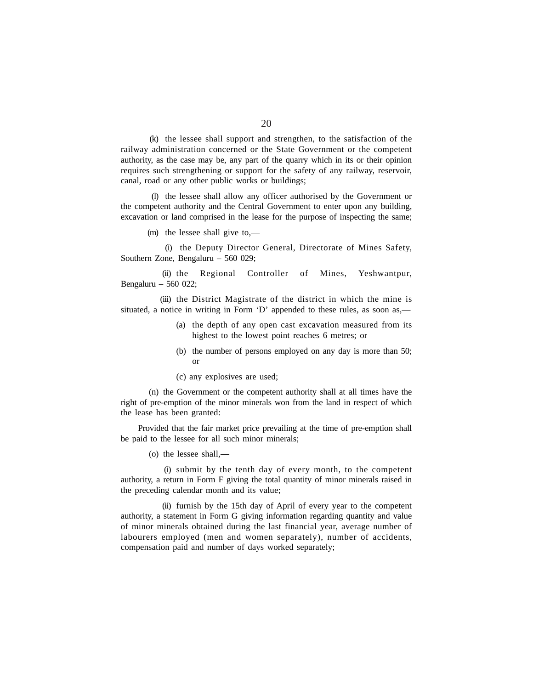(k) the lessee shall support and strengthen, to the satisfaction of the railway administration concerned or the State Government or the competent authority, as the case may be, any part of the quarry which in its or their opinion requires such strengthening or support for the safety of any railway, reservoir, canal, road or any other public works or buildings;

(l) the lessee shall allow any officer authorised by the Government or the competent authority and the Central Government to enter upon any building, excavation or land comprised in the lease for the purpose of inspecting the same;

(m) the lessee shall give to,—

(i) the Deputy Director General, Directorate of Mines Safety, Southern Zone, Bengaluru – 560 029;

(ii) the Regional Controller of Mines, Yeshwantpur, Bengaluru – 560 022;

(iii) the District Magistrate of the district in which the mine is situated, a notice in writing in Form 'D' appended to these rules, as soon as,—

- (a) the depth of any open cast excavation measured from its highest to the lowest point reaches 6 metres; or
- (b) the number of persons employed on any day is more than 50; or
- (c) any explosives are used;

(n) the Government or the competent authority shall at all times have the right of pre-emption of the minor minerals won from the land in respect of which the lease has been granted:

Provided that the fair market price prevailing at the time of pre-emption shall be paid to the lessee for all such minor minerals;

(o) the lessee shall,—

(i) submit by the tenth day of every month, to the competent authority, a return in Form F giving the total quantity of minor minerals raised in the preceding calendar month and its value;

(ii) furnish by the 15th day of April of every year to the competent authority, a statement in Form G giving information regarding quantity and value of minor minerals obtained during the last financial year, average number of labourers employed (men and women separately), number of accidents, compensation paid and number of days worked separately;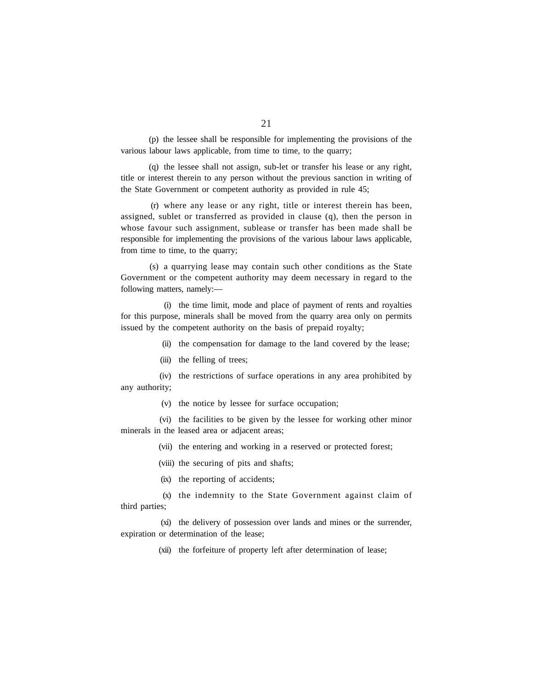(p) the lessee shall be responsible for implementing the provisions of the various labour laws applicable, from time to time, to the quarry;

(q) the lessee shall not assign, sub-let or transfer his lease or any right, title or interest therein to any person without the previous sanction in writing of the State Government or competent authority as provided in rule 45;

(r) where any lease or any right, title or interest therein has been, assigned, sublet or transferred as provided in clause (q), then the person in whose favour such assignment, sublease or transfer has been made shall be responsible for implementing the provisions of the various labour laws applicable, from time to time, to the quarry;

(s) a quarrying lease may contain such other conditions as the State Government or the competent authority may deem necessary in regard to the following matters, namely:—

(i) the time limit, mode and place of payment of rents and royalties for this purpose, minerals shall be moved from the quarry area only on permits issued by the competent authority on the basis of prepaid royalty;

(ii) the compensation for damage to the land covered by the lease;

(iii) the felling of trees;

(iv) the restrictions of surface operations in any area prohibited by any authority;

(v) the notice by lessee for surface occupation;

(vi) the facilities to be given by the lessee for working other minor minerals in the leased area or adjacent areas;

(vii) the entering and working in a reserved or protected forest;

(viii) the securing of pits and shafts;

(ix) the reporting of accidents;

(x) the indemnity to the State Government against claim of third parties;

(xi) the delivery of possession over lands and mines or the surrender, expiration or determination of the lease;

(xii) the forfeiture of property left after determination of lease;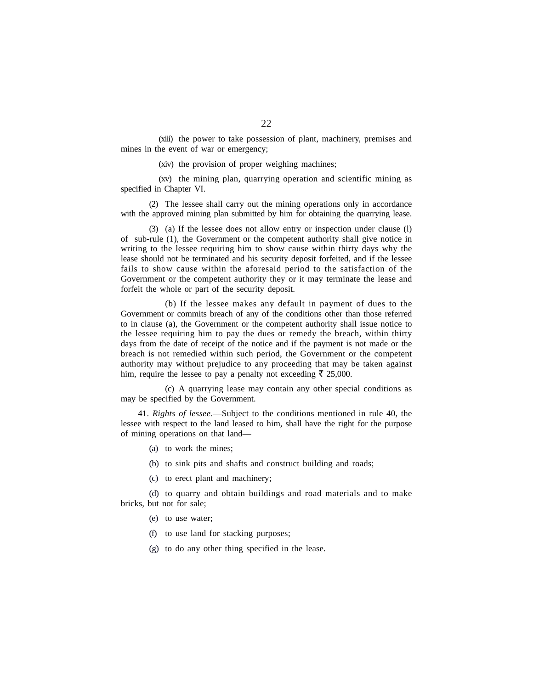(xiii) the power to take possession of plant, machinery, premises and mines in the event of war or emergency;

(xiv) the provision of proper weighing machines;

(xv) the mining plan, quarrying operation and scientific mining as specified in Chapter VI.

(2) The lessee shall carry out the mining operations only in accordance with the approved mining plan submitted by him for obtaining the quarrying lease.

(3) (a) If the lessee does not allow entry or inspection under clause (l) of sub-rule (1), the Government or the competent authority shall give notice in writing to the lessee requiring him to show cause within thirty days why the lease should not be terminated and his security deposit forfeited, and if the lessee fails to show cause within the aforesaid period to the satisfaction of the Government or the competent authority they or it may terminate the lease and forfeit the whole or part of the security deposit.

(b) If the lessee makes any default in payment of dues to the Government or commits breach of any of the conditions other than those referred to in clause (a), the Government or the competent authority shall issue notice to the lessee requiring him to pay the dues or remedy the breach, within thirty days from the date of receipt of the notice and if the payment is not made or the breach is not remedied within such period, the Government or the competent authority may without prejudice to any proceeding that may be taken against him, require the lessee to pay a penalty not exceeding  $\bar{\tau}$  25,000.

(c) A quarrying lease may contain any other special conditions as may be specified by the Government.

41. *Rights of lessee*.—Subject to the conditions mentioned in rule 40, the lessee with respect to the land leased to him, shall have the right for the purpose of mining operations on that land—

- (a) to work the mines;
- (b) to sink pits and shafts and construct building and roads;
- (c) to erect plant and machinery;

(d) to quarry and obtain buildings and road materials and to make bricks, but not for sale;

- (e) to use water;
- (f) to use land for stacking purposes;
- (g) to do any other thing specified in the lease.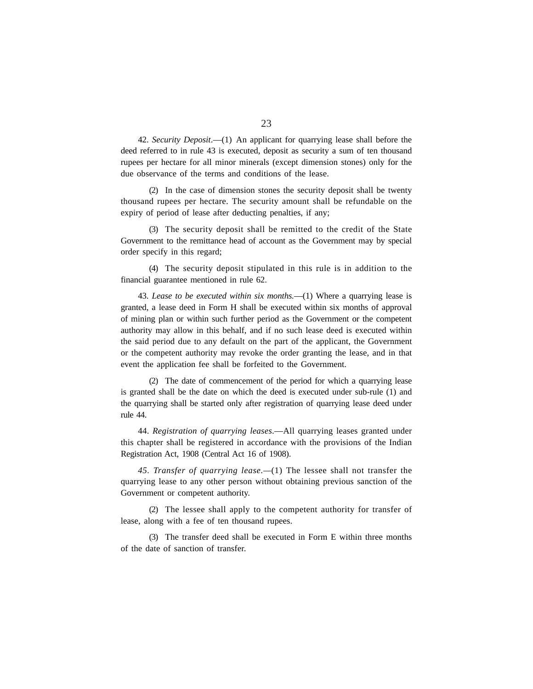42. *Security Deposit*.—(1) An applicant for quarrying lease shall before the deed referred to in rule 43 is executed, deposit as security a sum of ten thousand rupees per hectare for all minor minerals (except dimension stones) only for the due observance of the terms and conditions of the lease.

(2) In the case of dimension stones the security deposit shall be twenty thousand rupees per hectare. The security amount shall be refundable on the expiry of period of lease after deducting penalties, if any;

(3) The security deposit shall be remitted to the credit of the State Government to the remittance head of account as the Government may by special order specify in this regard;

(4) The security deposit stipulated in this rule is in addition to the financial guarantee mentioned in rule 62.

43. *Lease to be executed within six months.*—(1) Where a quarrying lease is granted, a lease deed in Form H shall be executed within six months of approval of mining plan or within such further period as the Government or the competent authority may allow in this behalf, and if no such lease deed is executed within the said period due to any default on the part of the applicant, the Government or the competent authority may revoke the order granting the lease, and in that event the application fee shall be forfeited to the Government.

(2) The date of commencement of the period for which a quarrying lease is granted shall be the date on which the deed is executed under sub-rule (1) and the quarrying shall be started only after registration of quarrying lease deed under rule 44.

44. *Registration of quarrying leases*.—All quarrying leases granted under this chapter shall be registered in accordance with the provisions of the Indian Registration Act, 1908 (Central Act 16 of 1908).

*45. Transfer of quarrying lease.—*(1) The lessee shall not transfer the quarrying lease to any other person without obtaining previous sanction of the Government or competent authority.

(2) The lessee shall apply to the competent authority for transfer of lease, along with a fee of ten thousand rupees.

(3) The transfer deed shall be executed in Form E within three months of the date of sanction of transfer.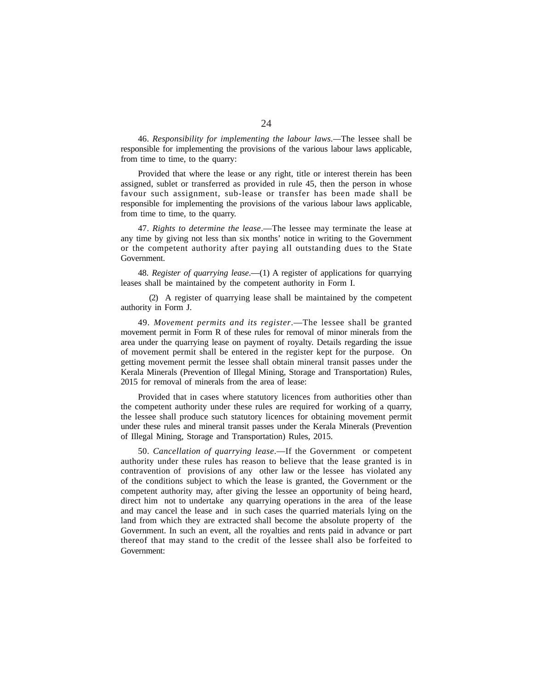46. *Responsibility for implementing the labour laws.—*The lessee shall be responsible for implementing the provisions of the various labour laws applicable, from time to time, to the quarry:

Provided that where the lease or any right, title or interest therein has been assigned, sublet or transferred as provided in rule 45, then the person in whose favour such assignment, sub-lease or transfer has been made shall be responsible for implementing the provisions of the various labour laws applicable, from time to time, to the quarry.

47. *Rights to determine the lease*.—The lessee may terminate the lease at any time by giving not less than six months' notice in writing to the Government or the competent authority after paying all outstanding dues to the State Government.

48. *Register of quarrying lease*.—(1) A register of applications for quarrying leases shall be maintained by the competent authority in Form I.

(2) A register of quarrying lease shall be maintained by the competent authority in Form J.

49. *Movement permits and its register*.—The lessee shall be granted movement permit in Form R of these rules for removal of minor minerals from the area under the quarrying lease on payment of royalty. Details regarding the issue of movement permit shall be entered in the register kept for the purpose. On getting movement permit the lessee shall obtain mineral transit passes under the Kerala Minerals (Prevention of Illegal Mining, Storage and Transportation) Rules, 2015 for removal of minerals from the area of lease:

Provided that in cases where statutory licences from authorities other than the competent authority under these rules are required for working of a quarry, the lessee shall produce such statutory licences for obtaining movement permit under these rules and mineral transit passes under the Kerala Minerals (Prevention of Illegal Mining, Storage and Transportation) Rules, 2015.

50. *Cancellation of quarrying lease*.—If the Government or competent authority under these rules has reason to believe that the lease granted is in contravention of provisions of any other law or the lessee has violated any of the conditions subject to which the lease is granted, the Government or the competent authority may, after giving the lessee an opportunity of being heard, direct him not to undertake any quarrying operations in the area of the lease and may cancel the lease and in such cases the quarried materials lying on the land from which they are extracted shall become the absolute property of the Government. In such an event, all the royalties and rents paid in advance or part thereof that may stand to the credit of the lessee shall also be forfeited to Government: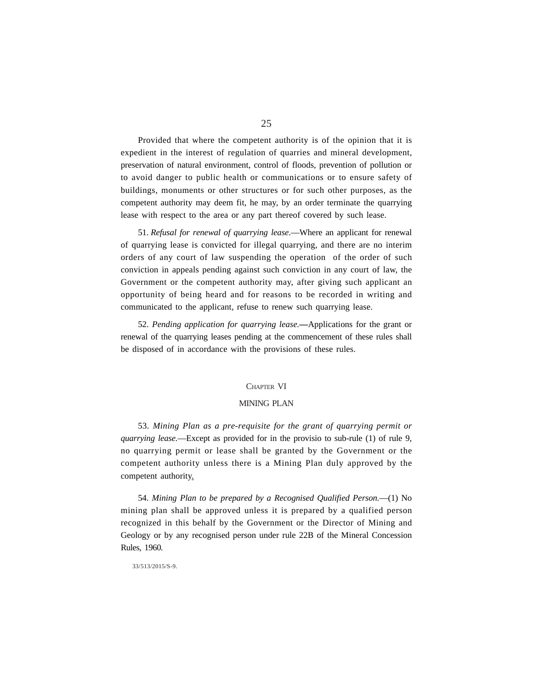Provided that where the competent authority is of the opinion that it is expedient in the interest of regulation of quarries and mineral development, preservation of natural environment, control of floods, prevention of pollution or to avoid danger to public health or communications or to ensure safety of buildings, monuments or other structures or for such other purposes, as the competent authority may deem fit, he may, by an order terminate the quarrying lease with respect to the area or any part thereof covered by such lease.

51. *Refusal for renewal of quarrying lease*.—Where an applicant for renewal of quarrying lease is convicted for illegal quarrying, and there are no interim orders of any court of law suspending the operation of the order of such conviction in appeals pending against such conviction in any court of law, the Government or the competent authority may, after giving such applicant an opportunity of being heard and for reasons to be recorded in writing and communicated to the applicant, refuse to renew such quarrying lease.

52. *Pending application for quarrying lease.***—**Applications for the grant or renewal of the quarrying leases pending at the commencement of these rules shall be disposed of in accordance with the provisions of these rules.

#### CHAPTER VI

#### MINING PLAN

53. *Mining Plan as a pre-requisite for the grant of quarrying permit or quarrying lease.*—Except as provided for in the provisio to sub-rule (1) of rule 9, no quarrying permit or lease shall be granted by the Government or the competent authority unless there is a Mining Plan duly approved by the competent authority.

54. *Mining Plan to be prepared by a Recognised Qualified Person.*—(1) No mining plan shall be approved unless it is prepared by a qualified person recognized in this behalf by the Government or the Director of Mining and Geology or by any recognised person under rule 22B of the Mineral Concession Rules, 1960*.*

#### 33/513/2015/S-9.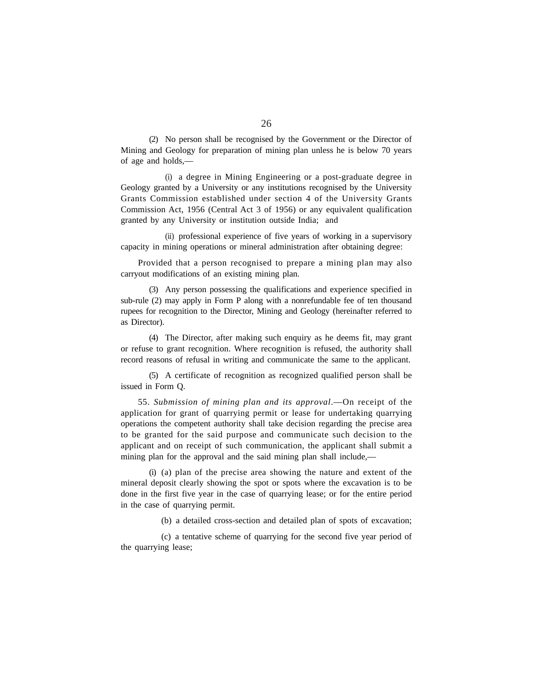(2) No person shall be recognised by the Government or the Director of Mining and Geology for preparation of mining plan unless he is below 70 years of age and holds,—

(i) a degree in Mining Engineering or a post-graduate degree in Geology granted by a University or any institutions recognised by the University Grants Commission established under section 4 of the University Grants Commission Act, 1956 (Central Act 3 of 1956) or any equivalent qualification granted by any University or institution outside India; and

(ii) professional experience of five years of working in a supervisory capacity in mining operations or mineral administration after obtaining degree:

Provided that a person recognised to prepare a mining plan may also carryout modifications of an existing mining plan.

(3) Any person possessing the qualifications and experience specified in sub-rule (2) may apply in Form P along with a nonrefundable fee of ten thousand rupees for recognition to the Director, Mining and Geology (hereinafter referred to as Director).

(4) The Director, after making such enquiry as he deems fit, may grant or refuse to grant recognition. Where recognition is refused, the authority shall record reasons of refusal in writing and communicate the same to the applicant.

(5) A certificate of recognition as recognized qualified person shall be issued in Form Q.

55. *Submission of mining plan and its approval*.—On receipt of the application for grant of quarrying permit or lease for undertaking quarrying operations the competent authority shall take decision regarding the precise area to be granted for the said purpose and communicate such decision to the applicant and on receipt of such communication, the applicant shall submit a mining plan for the approval and the said mining plan shall include,—

(i) (a) plan of the precise area showing the nature and extent of the mineral deposit clearly showing the spot or spots where the excavation is to be done in the first five year in the case of quarrying lease; or for the entire period in the case of quarrying permit.

(b) a detailed cross-section and detailed plan of spots of excavation;

(c) a tentative scheme of quarrying for the second five year period of the quarrying lease;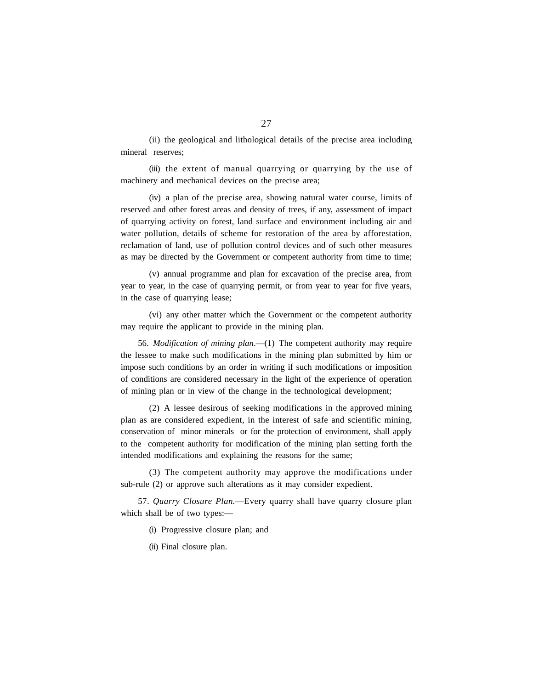(ii) the geological and lithological details of the precise area including mineral reserves;

(iii) the extent of manual quarrying or quarrying by the use of machinery and mechanical devices on the precise area;

(iv) a plan of the precise area, showing natural water course, limits of reserved and other forest areas and density of trees, if any, assessment of impact of quarrying activity on forest, land surface and environment including air and water pollution, details of scheme for restoration of the area by afforestation, reclamation of land, use of pollution control devices and of such other measures as may be directed by the Government or competent authority from time to time;

(v) annual programme and plan for excavation of the precise area, from year to year, in the case of quarrying permit, or from year to year for five years, in the case of quarrying lease;

(vi) any other matter which the Government or the competent authority may require the applicant to provide in the mining plan.

56. *Modification of mining plan*.—(1) The competent authority may require the lessee to make such modifications in the mining plan submitted by him or impose such conditions by an order in writing if such modifications or imposition of conditions are considered necessary in the light of the experience of operation of mining plan or in view of the change in the technological development;

(2) A lessee desirous of seeking modifications in the approved mining plan as are considered expedient, in the interest of safe and scientific mining, conservation of minor minerals or for the protection of environment, shall apply to the competent authority for modification of the mining plan setting forth the intended modifications and explaining the reasons for the same;

(3) The competent authority may approve the modifications under sub-rule (2) or approve such alterations as it may consider expedient.

57. *Quarry Closure Plan.*—Every quarry shall have quarry closure plan which shall be of two types:—

(i) Progressive closure plan; and

(ii) Final closure plan.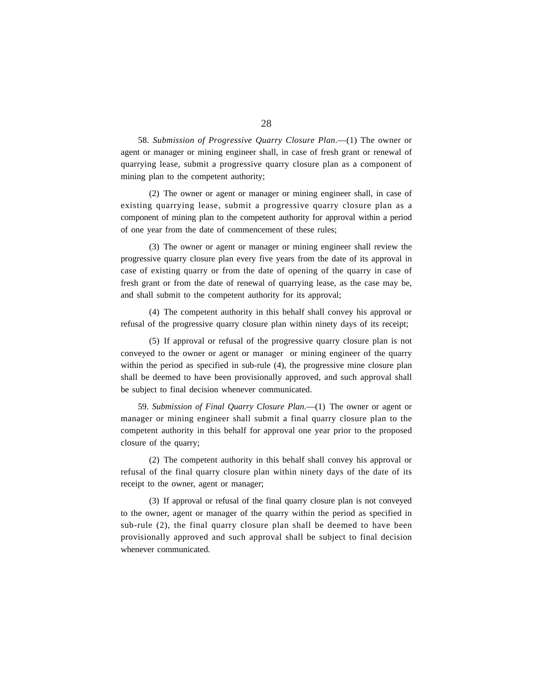58. *Submission of Progressive Quarry Closure Plan*.—(1) The owner or agent or manager or mining engineer shall, in case of fresh grant or renewal of quarrying lease, submit a progressive quarry closure plan as a component of mining plan to the competent authority;

(2) The owner or agent or manager or mining engineer shall, in case of existing quarrying lease, submit a progressive quarry closure plan as a component of mining plan to the competent authority for approval within a period of one year from the date of commencement of these rules;

(3) The owner or agent or manager or mining engineer shall review the progressive quarry closure plan every five years from the date of its approval in case of existing quarry or from the date of opening of the quarry in case of fresh grant or from the date of renewal of quarrying lease, as the case may be, and shall submit to the competent authority for its approval;

(4) The competent authority in this behalf shall convey his approval or refusal of the progressive quarry closure plan within ninety days of its receipt;

(5) If approval or refusal of the progressive quarry closure plan is not conveyed to the owner or agent or manager or mining engineer of the quarry within the period as specified in sub-rule (4), the progressive mine closure plan shall be deemed to have been provisionally approved, and such approval shall be subject to final decision whenever communicated.

59. *Submission of Final Quarry Closure Plan.*—(1) The owner or agent or manager or mining engineer shall submit a final quarry closure plan to the competent authority in this behalf for approval one year prior to the proposed closure of the quarry;

(2) The competent authority in this behalf shall convey his approval or refusal of the final quarry closure plan within ninety days of the date of its receipt to the owner, agent or manager;

(3) If approval or refusal of the final quarry closure plan is not conveyed to the owner, agent or manager of the quarry within the period as specified in sub-rule (2), the final quarry closure plan shall be deemed to have been provisionally approved and such approval shall be subject to final decision whenever communicated.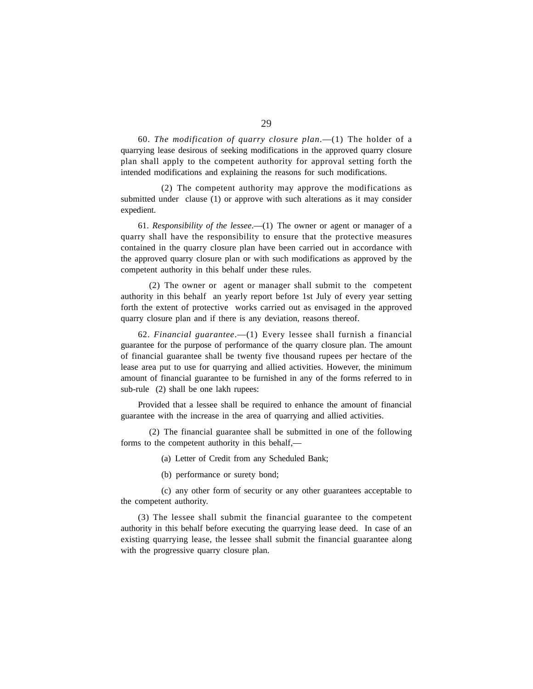60. *The modification of quarry closure plan*.—(1) The holder of a quarrying lease desirous of seeking modifications in the approved quarry closure plan shall apply to the competent authority for approval setting forth the intended modifications and explaining the reasons for such modifications.

(2) The competent authority may approve the modifications as submitted under clause (1) or approve with such alterations as it may consider expedient.

61. *Responsibility of the lessee*.—(1) The owner or agent or manager of a quarry shall have the responsibility to ensure that the protective measures contained in the quarry closure plan have been carried out in accordance with the approved quarry closure plan or with such modifications as approved by the competent authority in this behalf under these rules.

(2) The owner or agent or manager shall submit to the competent authority in this behalf an yearly report before 1st July of every year setting forth the extent of protective works carried out as envisaged in the approved quarry closure plan and if there is any deviation, reasons thereof.

62. *Financial guarantee*.—(1) Every lessee shall furnish a financial guarantee for the purpose of performance of the quarry closure plan. The amount of financial guarantee shall be twenty five thousand rupees per hectare of the lease area put to use for quarrying and allied activities. However, the minimum amount of financial guarantee to be furnished in any of the forms referred to in sub-rule (2) shall be one lakh rupees:

Provided that a lessee shall be required to enhance the amount of financial guarantee with the increase in the area of quarrying and allied activities.

(2) The financial guarantee shall be submitted in one of the following forms to the competent authority in this behalf,—

(a) Letter of Credit from any Scheduled Bank;

(b) performance or surety bond;

(c) any other form of security or any other guarantees acceptable to the competent authority.

(3) The lessee shall submit the financial guarantee to the competent authority in this behalf before executing the quarrying lease deed. In case of an existing quarrying lease, the lessee shall submit the financial guarantee along with the progressive quarry closure plan.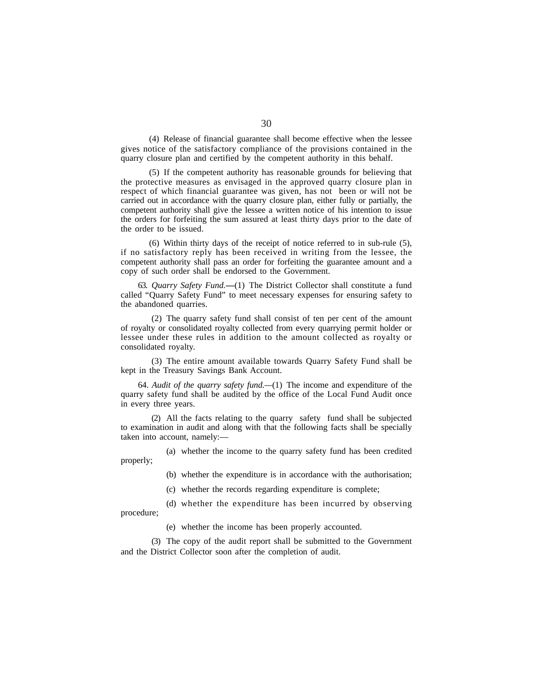(4) Release of financial guarantee shall become effective when the lessee gives notice of the satisfactory compliance of the provisions contained in the quarry closure plan and certified by the competent authority in this behalf.

(5) If the competent authority has reasonable grounds for believing that the protective measures as envisaged in the approved quarry closure plan in respect of which financial guarantee was given, has not been or will not be carried out in accordance with the quarry closure plan, either fully or partially, the competent authority shall give the lessee a written notice of his intention to issue the orders for forfeiting the sum assured at least thirty days prior to the date of the order to be issued.

(6) Within thirty days of the receipt of notice referred to in sub-rule (5), if no satisfactory reply has been received in writing from the lessee, the competent authority shall pass an order for forfeiting the guarantee amount and a copy of such order shall be endorsed to the Government.

63. *Quarry Safety Fund.***—**(1) The District Collector shall constitute a fund called "Quarry Safety Fund" to meet necessary expenses for ensuring safety to the abandoned quarries.

(2) The quarry safety fund shall consist of ten per cent of the amount of royalty or consolidated royalty collected from every quarrying permit holder or lessee under these rules in addition to the amount collected as royalty or consolidated royalty.

(3) The entire amount available towards Quarry Safety Fund shall be kept in the Treasury Savings Bank Account.

64. *Audit of the quarry safety fund.—*(1) The income and expenditure of the quarry safety fund shall be audited by the office of the Local Fund Audit once in every three years.

(2) All the facts relating to the quarry safety fund shall be subjected to examination in audit and along with that the following facts shall be specially taken into account, namely:—

(a) whether the income to the quarry safety fund has been credited properly;

(b) whether the expenditure is in accordance with the authorisation;

(c) whether the records regarding expenditure is complete;

(d) whether the expenditure has been incurred by observing procedure;

(e) whether the income has been properly accounted.

(3) The copy of the audit report shall be submitted to the Government and the District Collector soon after the completion of audit.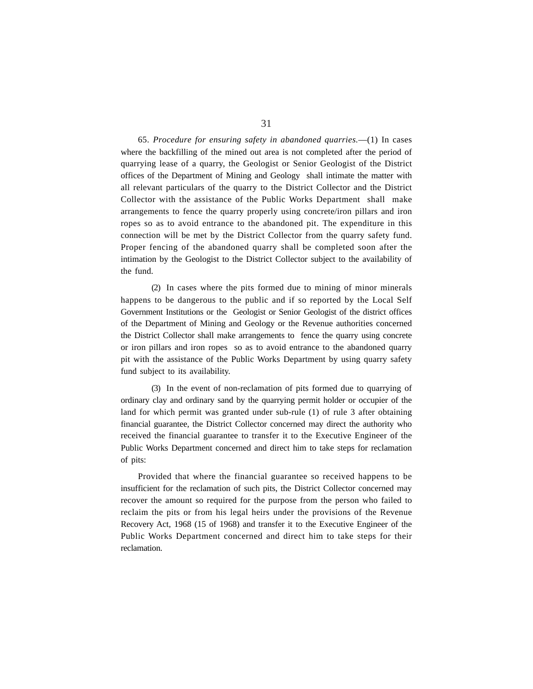65. *Procedure for ensuring safety in abandoned quarries.*—(1) In cases where the backfilling of the mined out area is not completed after the period of quarrying lease of a quarry, the Geologist or Senior Geologist of the District offices of the Department of Mining and Geology shall intimate the matter with all relevant particulars of the quarry to the District Collector and the District Collector with the assistance of the Public Works Department shall make arrangements to fence the quarry properly using concrete/iron pillars and iron ropes so as to avoid entrance to the abandoned pit. The expenditure in this connection will be met by the District Collector from the quarry safety fund. Proper fencing of the abandoned quarry shall be completed soon after the intimation by the Geologist to the District Collector subject to the availability of the fund.

(2) In cases where the pits formed due to mining of minor minerals happens to be dangerous to the public and if so reported by the Local Self Government Institutions or the Geologist or Senior Geologist of the district offices of the Department of Mining and Geology or the Revenue authorities concerned the District Collector shall make arrangements to fence the quarry using concrete or iron pillars and iron ropes so as to avoid entrance to the abandoned quarry pit with the assistance of the Public Works Department by using quarry safety fund subject to its availability.

(3) In the event of non-reclamation of pits formed due to quarrying of ordinary clay and ordinary sand by the quarrying permit holder or occupier of the land for which permit was granted under sub-rule (1) of rule 3 after obtaining financial guarantee, the District Collector concerned may direct the authority who received the financial guarantee to transfer it to the Executive Engineer of the Public Works Department concerned and direct him to take steps for reclamation of pits:

Provided that where the financial guarantee so received happens to be insufficient for the reclamation of such pits, the District Collector concerned may recover the amount so required for the purpose from the person who failed to reclaim the pits or from his legal heirs under the provisions of the Revenue Recovery Act, 1968 (15 of 1968) and transfer it to the Executive Engineer of the Public Works Department concerned and direct him to take steps for their reclamation.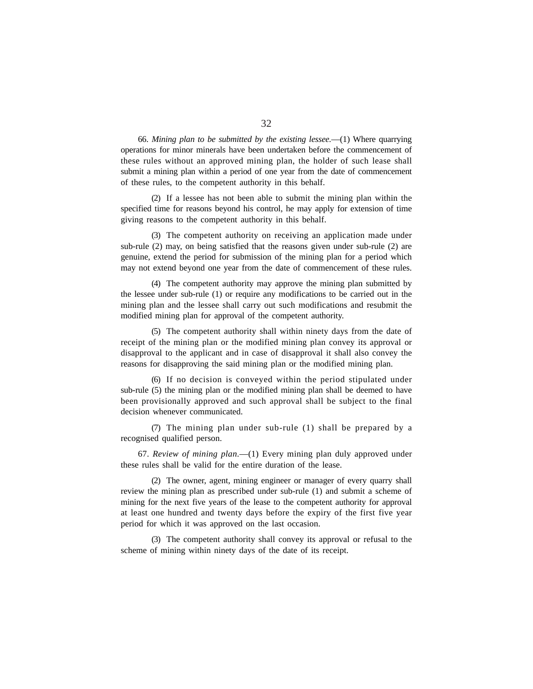66. *Mining plan to be submitted by the existing lessee.*—(1) Where quarrying operations for minor minerals have been undertaken before the commencement of these rules without an approved mining plan, the holder of such lease shall submit a mining plan within a period of one year from the date of commencement of these rules, to the competent authority in this behalf.

(2) If a lessee has not been able to submit the mining plan within the specified time for reasons beyond his control, he may apply for extension of time giving reasons to the competent authority in this behalf.

(3) The competent authority on receiving an application made under sub-rule (2) may, on being satisfied that the reasons given under sub-rule (2) are genuine, extend the period for submission of the mining plan for a period which may not extend beyond one year from the date of commencement of these rules.

(4) The competent authority may approve the mining plan submitted by the lessee under sub-rule (1) or require any modifications to be carried out in the mining plan and the lessee shall carry out such modifications and resubmit the modified mining plan for approval of the competent authority.

(5) The competent authority shall within ninety days from the date of receipt of the mining plan or the modified mining plan convey its approval or disapproval to the applicant and in case of disapproval it shall also convey the reasons for disapproving the said mining plan or the modified mining plan.

(6) If no decision is conveyed within the period stipulated under sub-rule (5) the mining plan or the modified mining plan shall be deemed to have been provisionally approved and such approval shall be subject to the final decision whenever communicated.

(7) The mining plan under sub-rule (1) shall be prepared by a recognised qualified person.

67. *Review of mining plan*.—(1) Every mining plan duly approved under these rules shall be valid for the entire duration of the lease.

(2) The owner, agent, mining engineer or manager of every quarry shall review the mining plan as prescribed under sub-rule (1) and submit a scheme of mining for the next five years of the lease to the competent authority for approval at least one hundred and twenty days before the expiry of the first five year period for which it was approved on the last occasion.

(3) The competent authority shall convey its approval or refusal to the scheme of mining within ninety days of the date of its receipt.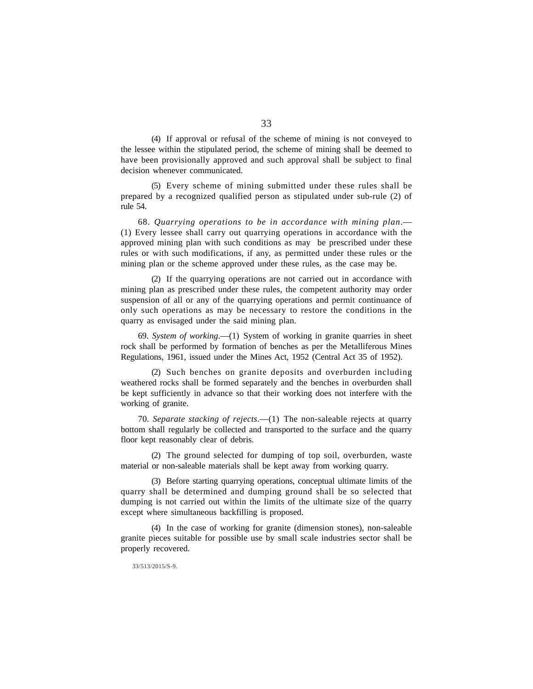(4) If approval or refusal of the scheme of mining is not conveyed to the lessee within the stipulated period, the scheme of mining shall be deemed to have been provisionally approved and such approval shall be subject to final decision whenever communicated.

(5) Every scheme of mining submitted under these rules shall be prepared by a recognized qualified person as stipulated under sub-rule (2) of rule 54.

68. *Quarrying operations to be in accordance with mining plan*.— (1) Every lessee shall carry out quarrying operations in accordance with the approved mining plan with such conditions as may be prescribed under these rules or with such modifications, if any, as permitted under these rules or the mining plan or the scheme approved under these rules, as the case may be.

(2) If the quarrying operations are not carried out in accordance with mining plan as prescribed under these rules, the competent authority may order suspension of all or any of the quarrying operations and permit continuance of only such operations as may be necessary to restore the conditions in the quarry as envisaged under the said mining plan.

69. *System of working*.—(1) System of working in granite quarries in sheet rock shall be performed by formation of benches as per the Metalliferous Mines Regulations, 1961, issued under the Mines Act, 1952 (Central Act 35 of 1952).

(2) Such benches on granite deposits and overburden including weathered rocks shall be formed separately and the benches in overburden shall be kept sufficiently in advance so that their working does not interfere with the working of granite.

70. *Separate stacking of rejects*.—(1) The non-saleable rejects at quarry bottom shall regularly be collected and transported to the surface and the quarry floor kept reasonably clear of debris.

(2) The ground selected for dumping of top soil, overburden, waste material or non-saleable materials shall be kept away from working quarry.

(3) Before starting quarrying operations, conceptual ultimate limits of the quarry shall be determined and dumping ground shall be so selected that dumping is not carried out within the limits of the ultimate size of the quarry except where simultaneous backfilling is proposed.

(4) In the case of working for granite (dimension stones), non-saleable granite pieces suitable for possible use by small scale industries sector shall be properly recovered.

33/513/2015/S-9.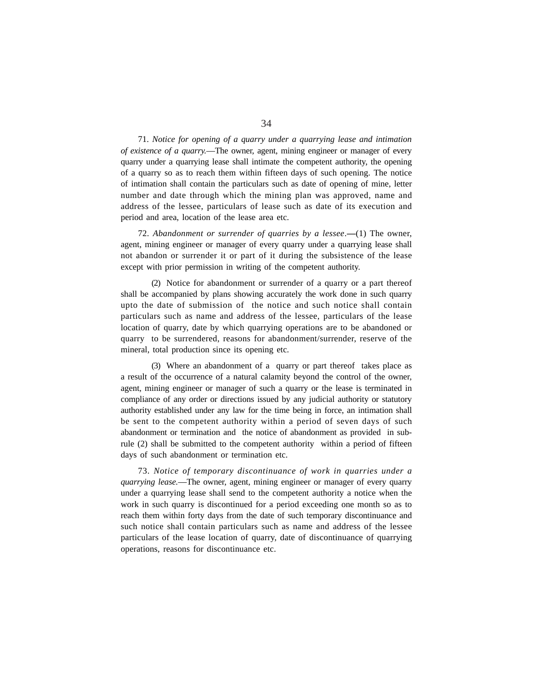71. *Notice for opening of a quarry under a quarrying lease and intimation of existence of a quarry.*—The owner, agent, mining engineer or manager of every quarry under a quarrying lease shall intimate the competent authority, the opening of a quarry so as to reach them within fifteen days of such opening. The notice of intimation shall contain the particulars such as date of opening of mine, letter number and date through which the mining plan was approved, name and address of the lessee, particulars of lease such as date of its execution and period and area, location of the lease area etc.

72. *Abandonment or surrender of quarries by a lessee*.**—**(1) The owner, agent, mining engineer or manager of every quarry under a quarrying lease shall not abandon or surrender it or part of it during the subsistence of the lease except with prior permission in writing of the competent authority.

(2) Notice for abandonment or surrender of a quarry or a part thereof shall be accompanied by plans showing accurately the work done in such quarry upto the date of submission of the notice and such notice shall contain particulars such as name and address of the lessee, particulars of the lease location of quarry, date by which quarrying operations are to be abandoned or quarry to be surrendered, reasons for abandonment/surrender, reserve of the mineral, total production since its opening etc.

(3) Where an abandonment of a quarry or part thereof takes place as a result of the occurrence of a natural calamity beyond the control of the owner, agent, mining engineer or manager of such a quarry or the lease is terminated in compliance of any order or directions issued by any judicial authority or statutory authority established under any law for the time being in force, an intimation shall be sent to the competent authority within a period of seven days of such abandonment or termination and the notice of abandonment as provided in subrule (2) shall be submitted to the competent authority within a period of fifteen days of such abandonment or termination etc.

73. *Notice of temporary discontinuance of work in quarries under a quarrying lease.*—The owner, agent, mining engineer or manager of every quarry under a quarrying lease shall send to the competent authority a notice when the work in such quarry is discontinued for a period exceeding one month so as to reach them within forty days from the date of such temporary discontinuance and such notice shall contain particulars such as name and address of the lessee particulars of the lease location of quarry, date of discontinuance of quarrying operations, reasons for discontinuance etc.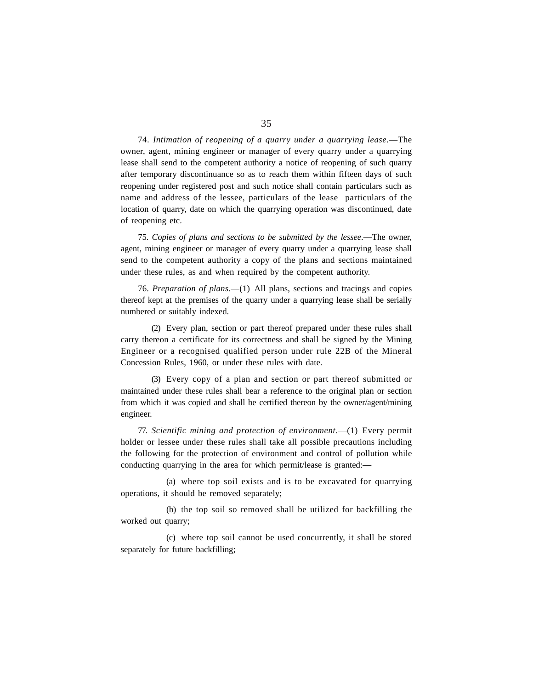74. *Intimation of reopening of a quarry under a quarrying lease*.—The owner, agent, mining engineer or manager of every quarry under a quarrying lease shall send to the competent authority a notice of reopening of such quarry after temporary discontinuance so as to reach them within fifteen days of such reopening under registered post and such notice shall contain particulars such as name and address of the lessee, particulars of the lease particulars of the location of quarry, date on which the quarrying operation was discontinued, date of reopening etc.

75. *Copies of plans and sections to be submitted by the lessee*.—The owner, agent, mining engineer or manager of every quarry under a quarrying lease shall send to the competent authority a copy of the plans and sections maintained under these rules, as and when required by the competent authority.

76. *Preparation of plans.*—(1) All plans, sections and tracings and copies thereof kept at the premises of the quarry under a quarrying lease shall be serially numbered or suitably indexed.

(2) Every plan, section or part thereof prepared under these rules shall carry thereon a certificate for its correctness and shall be signed by the Mining Engineer or a recognised qualified person under rule 22B of the Mineral Concession Rules, 1960, or under these rules with date.

(3) Every copy of a plan and section or part thereof submitted or maintained under these rules shall bear a reference to the original plan or section from which it was copied and shall be certified thereon by the owner/agent/mining engineer.

77. *Scientific mining and protection of environment*.—(1) Every permit holder or lessee under these rules shall take all possible precautions including the following for the protection of environment and control of pollution while conducting quarrying in the area for which permit/lease is granted:—

(a) where top soil exists and is to be excavated for quarrying operations, it should be removed separately;

(b) the top soil so removed shall be utilized for backfilling the worked out quarry;

(c) where top soil cannot be used concurrently, it shall be stored separately for future backfilling;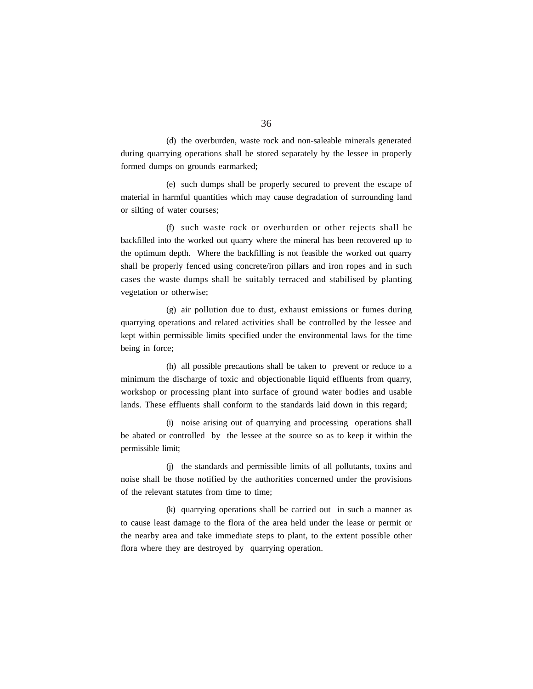(d) the overburden, waste rock and non-saleable minerals generated during quarrying operations shall be stored separately by the lessee in properly formed dumps on grounds earmarked;

(e) such dumps shall be properly secured to prevent the escape of material in harmful quantities which may cause degradation of surrounding land or silting of water courses;

(f) such waste rock or overburden or other rejects shall be backfilled into the worked out quarry where the mineral has been recovered up to the optimum depth. Where the backfilling is not feasible the worked out quarry shall be properly fenced using concrete/iron pillars and iron ropes and in such cases the waste dumps shall be suitably terraced and stabilised by planting vegetation or otherwise;

(g) air pollution due to dust, exhaust emissions or fumes during quarrying operations and related activities shall be controlled by the lessee and kept within permissible limits specified under the environmental laws for the time being in force;

(h) all possible precautions shall be taken to prevent or reduce to a minimum the discharge of toxic and objectionable liquid effluents from quarry, workshop or processing plant into surface of ground water bodies and usable lands. These effluents shall conform to the standards laid down in this regard;

(i) noise arising out of quarrying and processing operations shall be abated or controlled by the lessee at the source so as to keep it within the permissible limit;

(j) the standards and permissible limits of all pollutants, toxins and noise shall be those notified by the authorities concerned under the provisions of the relevant statutes from time to time;

(k) quarrying operations shall be carried out in such a manner as to cause least damage to the flora of the area held under the lease or permit or the nearby area and take immediate steps to plant, to the extent possible other flora where they are destroyed by quarrying operation.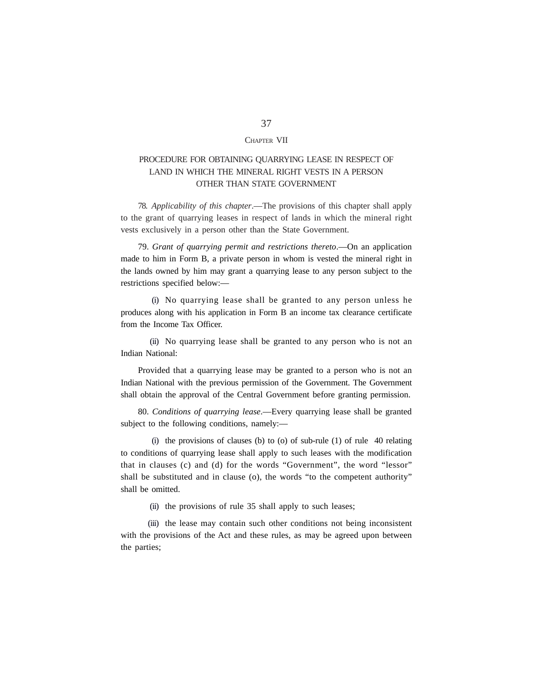### CHAPTER VII

# PROCEDURE FOR OBTAINING QUARRYING LEASE IN RESPECT OF LAND IN WHICH THE MINERAL RIGHT VESTS IN A PERSON OTHER THAN STATE GOVERNMENT

78. *Applicability of this chapter*.—The provisions of this chapter shall apply to the grant of quarrying leases in respect of lands in which the mineral right vests exclusively in a person other than the State Government.

79. *Grant of quarrying permit and restrictions thereto*.—On an application made to him in Form B, a private person in whom is vested the mineral right in the lands owned by him may grant a quarrying lease to any person subject to the restrictions specified below:—

(i) No quarrying lease shall be granted to any person unless he produces along with his application in Form B an income tax clearance certificate from the Income Tax Officer.

(ii) No quarrying lease shall be granted to any person who is not an Indian National:

Provided that a quarrying lease may be granted to a person who is not an Indian National with the previous permission of the Government. The Government shall obtain the approval of the Central Government before granting permission.

80. *Conditions of quarrying lease*.—Every quarrying lease shall be granted subject to the following conditions, namely:—

(i) the provisions of clauses (b) to (o) of sub-rule  $(1)$  of rule 40 relating to conditions of quarrying lease shall apply to such leases with the modification that in clauses (c) and (d) for the words "Government", the word "lessor" shall be substituted and in clause (o), the words "to the competent authority" shall be omitted.

(ii) the provisions of rule 35 shall apply to such leases;

(iii) the lease may contain such other conditions not being inconsistent with the provisions of the Act and these rules, as may be agreed upon between the parties;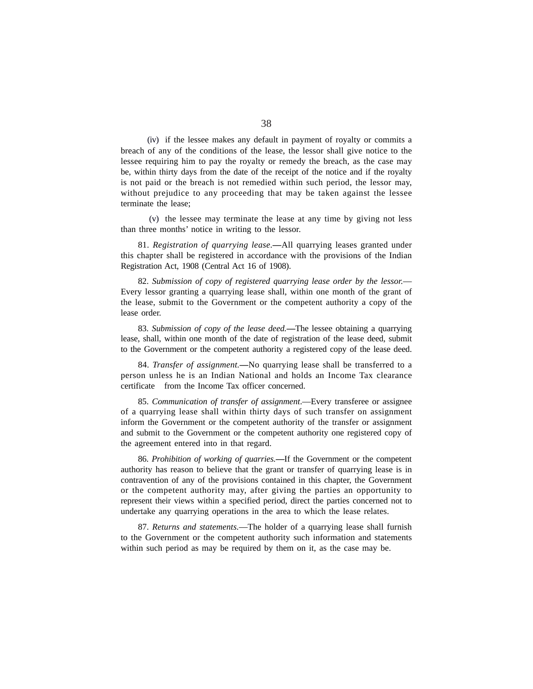(iv) if the lessee makes any default in payment of royalty or commits a breach of any of the conditions of the lease, the lessor shall give notice to the lessee requiring him to pay the royalty or remedy the breach, as the case may be, within thirty days from the date of the receipt of the notice and if the royalty is not paid or the breach is not remedied within such period, the lessor may, without prejudice to any proceeding that may be taken against the lessee terminate the lease;

(v) the lessee may terminate the lease at any time by giving not less than three months' notice in writing to the lessor.

81. *Registration of quarrying lease*.**—**All quarrying leases granted under this chapter shall be registered in accordance with the provisions of the Indian Registration Act, 1908 (Central Act 16 of 1908).

82. *Submission of copy of registered quarrying lease order by the lessor.*— Every lessor granting a quarrying lease shall, within one month of the grant of the lease, submit to the Government or the competent authority a copy of the lease order.

83. *Submission of copy of the lease deed.***—**The lessee obtaining a quarrying lease, shall, within one month of the date of registration of the lease deed, submit to the Government or the competent authority a registered copy of the lease deed.

84. *Transfer of assignment.***—**No quarrying lease shall be transferred to a person unless he is an Indian National and holds an Income Tax clearance certificate from the Income Tax officer concerned.

85. *Communication of transfer of assignment*.—Every transferee or assignee of a quarrying lease shall within thirty days of such transfer on assignment inform the Government or the competent authority of the transfer or assignment and submit to the Government or the competent authority one registered copy of the agreement entered into in that regard.

86. *Prohibition of working of quarries.***—**If the Government or the competent authority has reason to believe that the grant or transfer of quarrying lease is in contravention of any of the provisions contained in this chapter, the Government or the competent authority may, after giving the parties an opportunity to represent their views within a specified period, direct the parties concerned not to undertake any quarrying operations in the area to which the lease relates.

87. *Returns and statements.*—The holder of a quarrying lease shall furnish to the Government or the competent authority such information and statements within such period as may be required by them on it, as the case may be.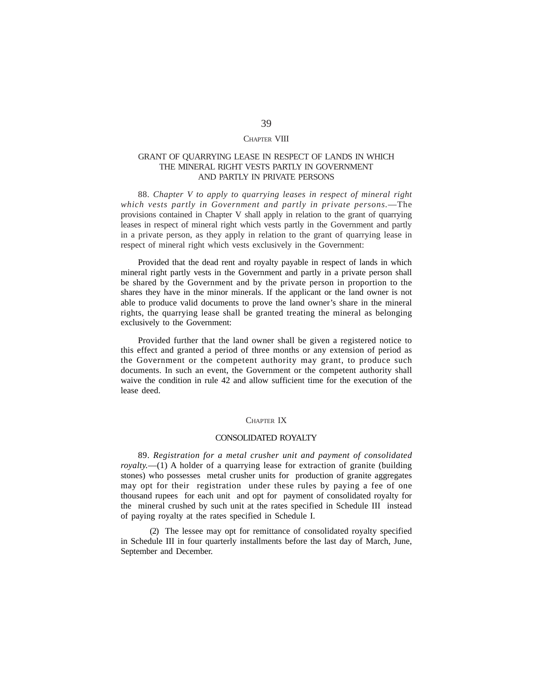### CHAPTER VIII

### GRANT OF QUARRYING LEASE IN RESPECT OF LANDS IN WHICH THE MINERAL RIGHT VESTS PARTLY IN GOVERNMENT AND PARTLY IN PRIVATE PERSONS

88. *Chapter V to apply to quarrying leases in respect of mineral right which vests partly in Government and partly in private persons.*—The provisions contained in Chapter V shall apply in relation to the grant of quarrying leases in respect of mineral right which vests partly in the Government and partly in a private person, as they apply in relation to the grant of quarrying lease in respect of mineral right which vests exclusively in the Government:

Provided that the dead rent and royalty payable in respect of lands in which mineral right partly vests in the Government and partly in a private person shall be shared by the Government and by the private person in proportion to the shares they have in the minor minerals. If the applicant or the land owner is not able to produce valid documents to prove the land owner's share in the mineral rights, the quarrying lease shall be granted treating the mineral as belonging exclusively to the Government:

Provided further that the land owner shall be given a registered notice to this effect and granted a period of three months or any extension of period as the Government or the competent authority may grant, to produce such documents. In such an event, the Government or the competent authority shall waive the condition in rule 42 and allow sufficient time for the execution of the lease deed.

### CHAPTER IX

### CONSOLIDATED ROYALTY

89. *Registration for a metal crusher unit and payment of consolidated royalty.*—(1) A holder of a quarrying lease for extraction of granite (building stones) who possesses metal crusher units for production of granite aggregates may opt for their registration under these rules by paying a fee of one thousand rupees for each unit and opt for payment of consolidated royalty for the mineral crushed by such unit at the rates specified in Schedule III instead of paying royalty at the rates specified in Schedule I.

(2) The lessee may opt for remittance of consolidated royalty specified in Schedule III in four quarterly installments before the last day of March, June, September and December.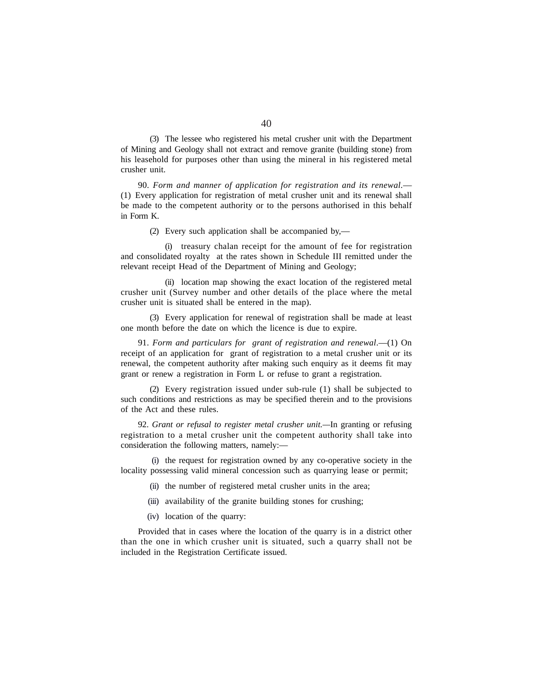(3) The lessee who registered his metal crusher unit with the Department of Mining and Geology shall not extract and remove granite (building stone) from his leasehold for purposes other than using the mineral in his registered metal crusher unit.

90. *Form and manner of application for registration and its renewal.*— (1) Every application for registration of metal crusher unit and its renewal shall be made to the competent authority or to the persons authorised in this behalf in Form K.

(2) Every such application shall be accompanied by,—

(i) treasury chalan receipt for the amount of fee for registration and consolidated royalty at the rates shown in Schedule III remitted under the relevant receipt Head of the Department of Mining and Geology;

(ii) location map showing the exact location of the registered metal crusher unit (Survey number and other details of the place where the metal crusher unit is situated shall be entered in the map).

(3) Every application for renewal of registration shall be made at least one month before the date on which the licence is due to expire.

91. *Form and particulars for grant of registration and renewal*.—(1) On receipt of an application for grant of registration to a metal crusher unit or its renewal, the competent authority after making such enquiry as it deems fit may grant or renew a registration in Form L or refuse to grant a registration.

(2) Every registration issued under sub-rule (1) shall be subjected to such conditions and restrictions as may be specified therein and to the provisions of the Act and these rules.

92. *Grant or refusal to register metal crusher unit.—*In granting or refusing registration to a metal crusher unit the competent authority shall take into consideration the following matters, namely:—

(i) the request for registration owned by any co-operative society in the locality possessing valid mineral concession such as quarrying lease or permit;

- (ii) the number of registered metal crusher units in the area;
- (iii) availability of the granite building stones for crushing;
- (iv) location of the quarry:

Provided that in cases where the location of the quarry is in a district other than the one in which crusher unit is situated, such a quarry shall not be included in the Registration Certificate issued.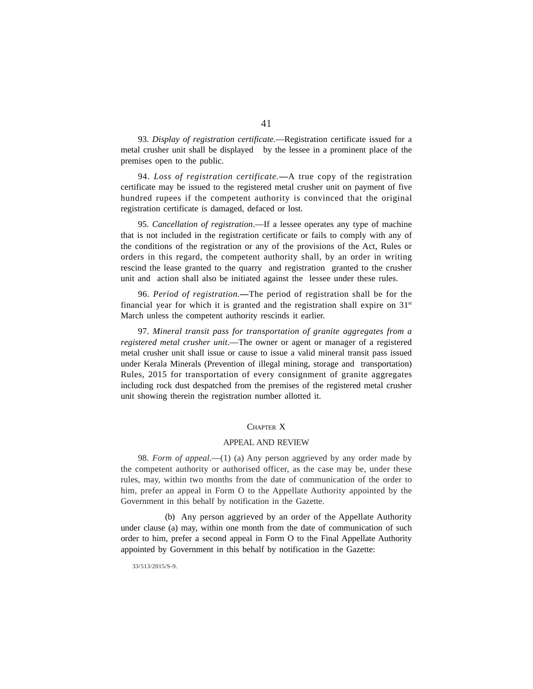93. *Display of registration certificate.*—Registration certificate issued for a metal crusher unit shall be displayed by the lessee in a prominent place of the premises open to the public.

94. *Loss of registration certificate.***—**A true copy of the registration certificate may be issued to the registered metal crusher unit on payment of five hundred rupees if the competent authority is convinced that the original registration certificate is damaged, defaced or lost.

95. *Cancellation of registration*.—If a lessee operates any type of machine that is not included in the registration certificate or fails to comply with any of the conditions of the registration or any of the provisions of the Act, Rules or orders in this regard, the competent authority shall, by an order in writing rescind the lease granted to the quarry and registration granted to the crusher unit and action shall also be initiated against the lessee under these rules.

96. *Period of registration.***—**The period of registration shall be for the financial year for which it is granted and the registration shall expire on  $31<sup>st</sup>$ March unless the competent authority rescinds it earlier.

97. *Mineral transit pass for transportation of granite aggregates from a registered metal crusher unit*.—The owner or agent or manager of a registered metal crusher unit shall issue or cause to issue a valid mineral transit pass issued under Kerala Minerals (Prevention of illegal mining, storage and transportation) Rules, 2015 for transportation of every consignment of granite aggregates including rock dust despatched from the premises of the registered metal crusher unit showing therein the registration number allotted it.

# CHAPTER X

### APPEAL AND REVIEW

98. *Form of appeal*.—(1) (a) Any person aggrieved by any order made by the competent authority or authorised officer, as the case may be, under these rules, may, within two months from the date of communication of the order to him, prefer an appeal in Form O to the Appellate Authority appointed by the Government in this behalf by notification in the Gazette.

(b) Any person aggrieved by an order of the Appellate Authority under clause (a) may, within one month from the date of communication of such order to him, prefer a second appeal in Form O to the Final Appellate Authority appointed by Government in this behalf by notification in the Gazette:

33/513/2015/S-9.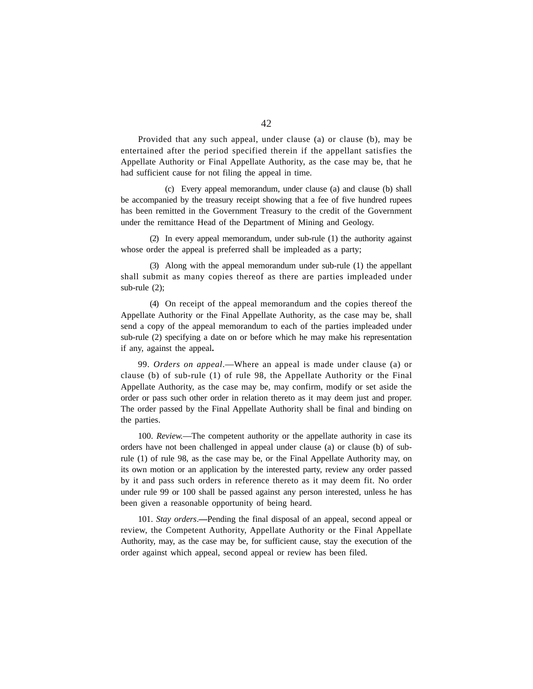Provided that any such appeal, under clause (a) or clause (b), may be entertained after the period specified therein if the appellant satisfies the Appellate Authority or Final Appellate Authority, as the case may be, that he had sufficient cause for not filing the appeal in time.

(c) Every appeal memorandum, under clause (a) and clause (b) shall be accompanied by the treasury receipt showing that a fee of five hundred rupees has been remitted in the Government Treasury to the credit of the Government under the remittance Head of the Department of Mining and Geology.

(2) In every appeal memorandum, under sub-rule (1) the authority against whose order the appeal is preferred shall be impleaded as a party;

(3) Along with the appeal memorandum under sub-rule (1) the appellant shall submit as many copies thereof as there are parties impleaded under sub-rule (2);

(4) On receipt of the appeal memorandum and the copies thereof the Appellate Authority or the Final Appellate Authority, as the case may be, shall send a copy of the appeal memorandum to each of the parties impleaded under sub-rule (2) specifying a date on or before which he may make his representation if any, against the appeal**.**

99. *Orders on appeal*.—Where an appeal is made under clause (a) or clause (b) of sub-rule (1) of rule 98, the Appellate Authority or the Final Appellate Authority, as the case may be, may confirm, modify or set aside the order or pass such other order in relation thereto as it may deem just and proper. The order passed by the Final Appellate Authority shall be final and binding on the parties.

100. *Review.*—The competent authority or the appellate authority in case its orders have not been challenged in appeal under clause (a) or clause (b) of subrule (1) of rule 98, as the case may be, or the Final Appellate Authority may, on its own motion or an application by the interested party, review any order passed by it and pass such orders in reference thereto as it may deem fit. No order under rule 99 or 100 shall be passed against any person interested, unless he has been given a reasonable opportunity of being heard.

101. *Stay orders*.**—**Pending the final disposal of an appeal, second appeal or review, the Competent Authority, Appellate Authority or the Final Appellate Authority, may, as the case may be, for sufficient cause, stay the execution of the order against which appeal, second appeal or review has been filed.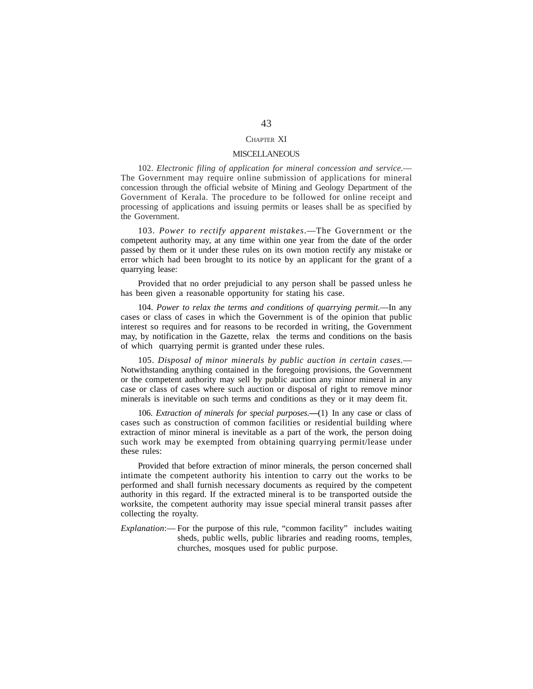# CHAPTER XI

### **MISCELLANEOUS**

102. *Electronic filing of application for mineral concession and service.*— The Government may require online submission of applications for mineral concession through the official website of Mining and Geology Department of the Government of Kerala. The procedure to be followed for online receipt and processing of applications and issuing permits or leases shall be as specified by the Government.

103. *Power to rectify apparent mistakes*.—The Government or the competent authority may, at any time within one year from the date of the order passed by them or it under these rules on its own motion rectify any mistake or error which had been brought to its notice by an applicant for the grant of a quarrying lease:

Provided that no order prejudicial to any person shall be passed unless he has been given a reasonable opportunity for stating his case.

104. *Power to relax the terms and conditions of quarrying permit*.—In any cases or class of cases in which the Government is of the opinion that public interest so requires and for reasons to be recorded in writing, the Government may, by notification in the Gazette, relax the terms and conditions on the basis of which quarrying permit is granted under these rules.

105. *Disposal of minor minerals by public auction in certain cases.*— Notwithstanding anything contained in the foregoing provisions, the Government or the competent authority may sell by public auction any minor mineral in any case or class of cases where such auction or disposal of right to remove minor minerals is inevitable on such terms and conditions as they or it may deem fit.

106. *Extraction of minerals for special purposes.***—**(1) In any case or class of cases such as construction of common facilities or residential building where extraction of minor mineral is inevitable as a part of the work, the person doing such work may be exempted from obtaining quarrying permit/lease under these rules:

Provided that before extraction of minor minerals, the person concerned shall intimate the competent authority his intention to carry out the works to be performed and shall furnish necessary documents as required by the competent authority in this regard. If the extracted mineral is to be transported outside the worksite, the competent authority may issue special mineral transit passes after collecting the royalty.

*Explanation*:— For the purpose of this rule, "common facility" includes waiting sheds, public wells, public libraries and reading rooms, temples, churches, mosques used for public purpose.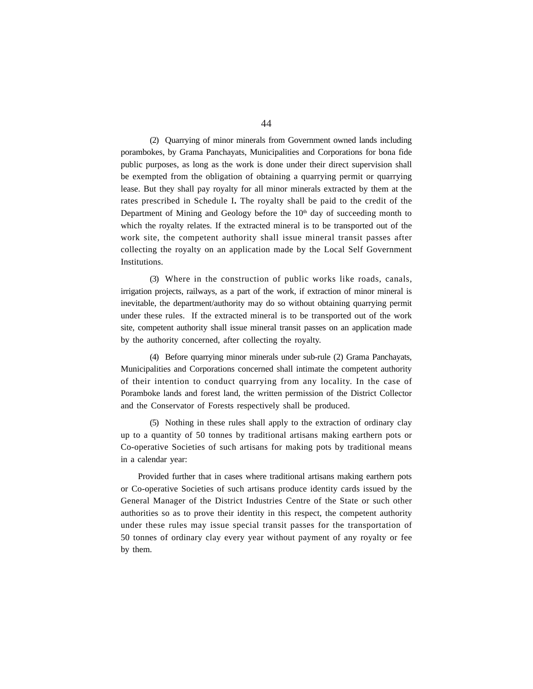(2) Quarrying of minor minerals from Government owned lands including porambokes, by Grama Panchayats, Municipalities and Corporations for bona fide public purposes, as long as the work is done under their direct supervision shall be exempted from the obligation of obtaining a quarrying permit or quarrying lease. But they shall pay royalty for all minor minerals extracted by them at the rates prescribed in Schedule I**.** The royalty shall be paid to the credit of the Department of Mining and Geology before the  $10<sup>th</sup>$  day of succeeding month to which the royalty relates. If the extracted mineral is to be transported out of the work site, the competent authority shall issue mineral transit passes after collecting the royalty on an application made by the Local Self Government Institutions.

(3) Where in the construction of public works like roads, canals, irrigation projects, railways, as a part of the work, if extraction of minor mineral is inevitable, the department/authority may do so without obtaining quarrying permit under these rules. If the extracted mineral is to be transported out of the work site, competent authority shall issue mineral transit passes on an application made by the authority concerned, after collecting the royalty.

(4) Before quarrying minor minerals under sub-rule (2) Grama Panchayats, Municipalities and Corporations concerned shall intimate the competent authority of their intention to conduct quarrying from any locality. In the case of Poramboke lands and forest land, the written permission of the District Collector and the Conservator of Forests respectively shall be produced.

(5) Nothing in these rules shall apply to the extraction of ordinary clay up to a quantity of 50 tonnes by traditional artisans making earthern pots or Co-operative Societies of such artisans for making pots by traditional means in a calendar year:

Provided further that in cases where traditional artisans making earthern pots or Co-operative Societies of such artisans produce identity cards issued by the General Manager of the District Industries Centre of the State or such other authorities so as to prove their identity in this respect, the competent authority under these rules may issue special transit passes for the transportation of 50 tonnes of ordinary clay every year without payment of any royalty or fee by them.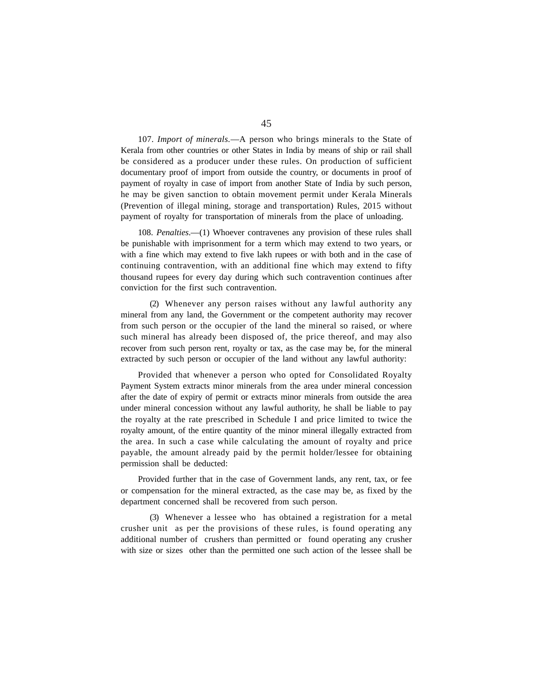107. *Import of minerals.*—A person who brings minerals to the State of Kerala from other countries or other States in India by means of ship or rail shall be considered as a producer under these rules. On production of sufficient documentary proof of import from outside the country, or documents in proof of payment of royalty in case of import from another State of India by such person, he may be given sanction to obtain movement permit under Kerala Minerals (Prevention of illegal mining, storage and transportation) Rules, 2015 without payment of royalty for transportation of minerals from the place of unloading.

108. *Penalties*.—(1) Whoever contravenes any provision of these rules shall be punishable with imprisonment for a term which may extend to two years, or with a fine which may extend to five lakh rupees or with both and in the case of continuing contravention, with an additional fine which may extend to fifty thousand rupees for every day during which such contravention continues after conviction for the first such contravention.

(2) Whenever any person raises without any lawful authority any mineral from any land, the Government or the competent authority may recover from such person or the occupier of the land the mineral so raised, or where such mineral has already been disposed of, the price thereof, and may also recover from such person rent, royalty or tax, as the case may be, for the mineral extracted by such person or occupier of the land without any lawful authority:

Provided that whenever a person who opted for Consolidated Royalty Payment System extracts minor minerals from the area under mineral concession after the date of expiry of permit or extracts minor minerals from outside the area under mineral concession without any lawful authority, he shall be liable to pay the royalty at the rate prescribed in Schedule I and price limited to twice the royalty amount, of the entire quantity of the minor mineral illegally extracted from the area. In such a case while calculating the amount of royalty and price payable, the amount already paid by the permit holder/lessee for obtaining permission shall be deducted:

Provided further that in the case of Government lands, any rent, tax, or fee or compensation for the mineral extracted, as the case may be, as fixed by the department concerned shall be recovered from such person.

(3) Whenever a lessee who has obtained a registration for a metal crusher unit as per the provisions of these rules, is found operating any additional number of crushers than permitted or found operating any crusher with size or sizes other than the permitted one such action of the lessee shall be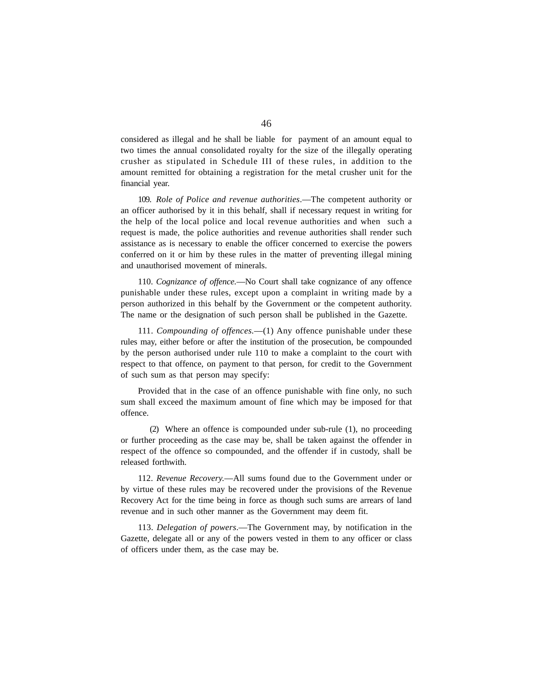considered as illegal and he shall be liable for payment of an amount equal to two times the annual consolidated royalty for the size of the illegally operating crusher as stipulated in Schedule III of these rules, in addition to the amount remitted for obtaining a registration for the metal crusher unit for the financial year.

109. *Role of Police and revenue authorities*.—The competent authority or an officer authorised by it in this behalf, shall if necessary request in writing for the help of the local police and local revenue authorities and when such a request is made, the police authorities and revenue authorities shall render such assistance as is necessary to enable the officer concerned to exercise the powers conferred on it or him by these rules in the matter of preventing illegal mining and unauthorised movement of minerals.

110. *Cognizance of offence.*—No Court shall take cognizance of any offence punishable under these rules, except upon a complaint in writing made by a person authorized in this behalf by the Government or the competent authority. The name or the designation of such person shall be published in the Gazette.

111. *Compounding of offences.*—(1) Any offence punishable under these rules may, either before or after the institution of the prosecution, be compounded by the person authorised under rule 110 to make a complaint to the court with respect to that offence, on payment to that person, for credit to the Government of such sum as that person may specify:

Provided that in the case of an offence punishable with fine only, no such sum shall exceed the maximum amount of fine which may be imposed for that offence.

(2) Where an offence is compounded under sub-rule (1), no proceeding or further proceeding as the case may be, shall be taken against the offender in respect of the offence so compounded, and the offender if in custody, shall be released forthwith.

112. *Revenue Recovery.*—All sums found due to the Government under or by virtue of these rules may be recovered under the provisions of the Revenue Recovery Act for the time being in force as though such sums are arrears of land revenue and in such other manner as the Government may deem fit.

113. *Delegation of powers*.—The Government may, by notification in the Gazette, delegate all or any of the powers vested in them to any officer or class of officers under them, as the case may be.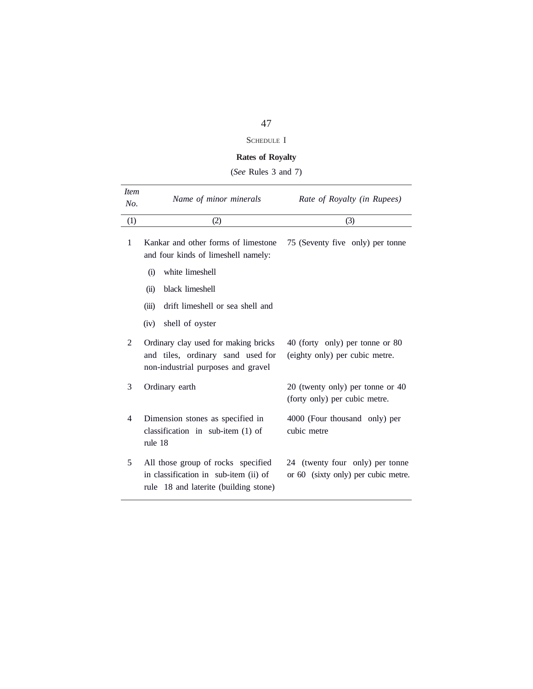# SCHEDULE I

# **Rates of Royalty**

(*See* Rules 3 and 7)

| <i>Item</i><br>No. | Name of minor minerals                                                                                               | Rate of Royalty (in Rupees)                                            |
|--------------------|----------------------------------------------------------------------------------------------------------------------|------------------------------------------------------------------------|
| (1)                | (2)                                                                                                                  | (3)                                                                    |
| 1                  | Kankar and other forms of limestone<br>and four kinds of limeshell namely:                                           | 75 (Seventy five only) per tonne                                       |
|                    | white limeshell<br>(i)                                                                                               |                                                                        |
|                    | black limeshell<br>(ii)                                                                                              |                                                                        |
|                    | (iii)<br>drift limeshell or sea shell and                                                                            |                                                                        |
|                    | shell of oyster<br>(iv)                                                                                              |                                                                        |
| 2                  | Ordinary clay used for making bricks<br>and tiles, ordinary sand used for<br>non-industrial purposes and gravel      | 40 (forty only) per tonne or 80<br>(eighty only) per cubic metre.      |
| 3                  | Ordinary earth                                                                                                       | 20 (twenty only) per tonne or 40<br>(forty only) per cubic metre.      |
| 4                  | Dimension stones as specified in<br>classification in sub-item $(1)$ of<br>rule 18                                   | 4000 (Four thousand only) per<br>cubic metre                           |
| 5                  | All those group of rocks specified<br>in classification in sub-item (ii) of<br>rule 18 and laterite (building stone) | 24 (twenty four only) per tonne<br>or 60 (sixty only) per cubic metre. |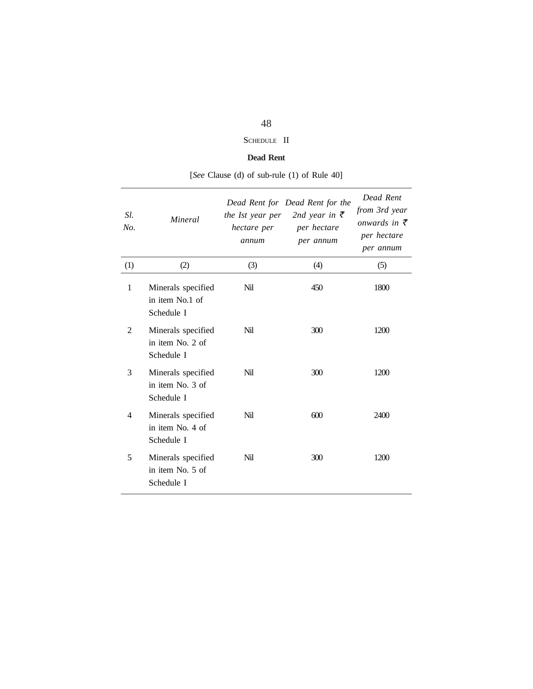# SCHEDULE II

# **Dead Rent**

| Sl.<br>No. | Mineral                                              | the Ist year per<br>hectare per<br>annum | Dead Rent for Dead Rent for the<br>2nd year in $\bar{\tau}$<br>per hectare<br>per annum | Dead Rent<br>from 3rd year<br>onwards in $\bar{\tau}$<br>per hectare<br>per annum |
|------------|------------------------------------------------------|------------------------------------------|-----------------------------------------------------------------------------------------|-----------------------------------------------------------------------------------|
| (1)        | (2)                                                  | (3)                                      | (4)                                                                                     | (5)                                                                               |
| 1          | Minerals specified<br>in item No.1 of<br>Schedule I  | Nil                                      | 450                                                                                     | 1800                                                                              |
| 2          | Minerals specified<br>in item No. 2 of<br>Schedule I | Nil                                      | 300                                                                                     | 1200                                                                              |
| 3          | Minerals specified<br>in item No. 3 of<br>Schedule I | Nil                                      | 300                                                                                     | 1200                                                                              |
| 4          | Minerals specified<br>in item No. 4 of<br>Schedule I | Nil                                      | 600                                                                                     | 2400                                                                              |
| 5          | Minerals specified<br>in item No. 5 of<br>Schedule I | Nil                                      | 300                                                                                     | 1200                                                                              |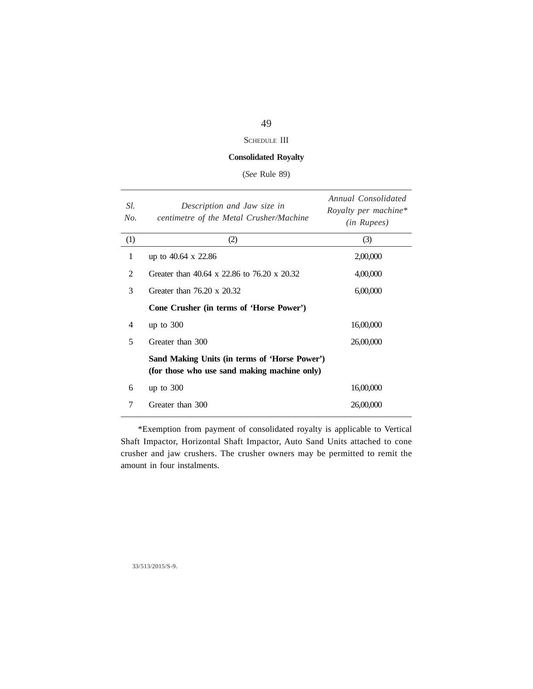# SCHEDULE III

# **Consolidated Royalty**

(*See* Rule 89)

| Sl.<br>No. | Description and Jaw size in<br>centimetre of the Metal Crusher/Machine                        | Annual Consolidated<br>Royalty per machine*<br>( <i>in Rupees</i> ) |
|------------|-----------------------------------------------------------------------------------------------|---------------------------------------------------------------------|
| (1)        | (2)                                                                                           | (3)                                                                 |
| 1          | up to $40.64 \times 22.86$                                                                    | 2,00,000                                                            |
| 2          | Greater than 40.64 x 22.86 to 76.20 x 20.32                                                   | 4,00,000                                                            |
| 3          | Greater than $76.20 \times 20.32$                                                             | 6,00,000                                                            |
|            | Cone Crusher (in terms of 'Horse Power')                                                      |                                                                     |
| 4          | up to $300$                                                                                   | 16,00,000                                                           |
| 5          | Greater than 300                                                                              | 26,00,000                                                           |
|            | Sand Making Units (in terms of 'Horse Power')<br>(for those who use sand making machine only) |                                                                     |
| 6          | up to $300$                                                                                   | 16,00,000                                                           |
| 7          | Greater than 300                                                                              | 26,00,000                                                           |

\*Exemption from payment of consolidated royalty is applicable to Vertical Shaft Impactor, Horizontal Shaft Impactor, Auto Sand Units attached to cone crusher and jaw crushers. The crusher owners may be permitted to remit the amount in four instalments.

33/513/2015/S-9.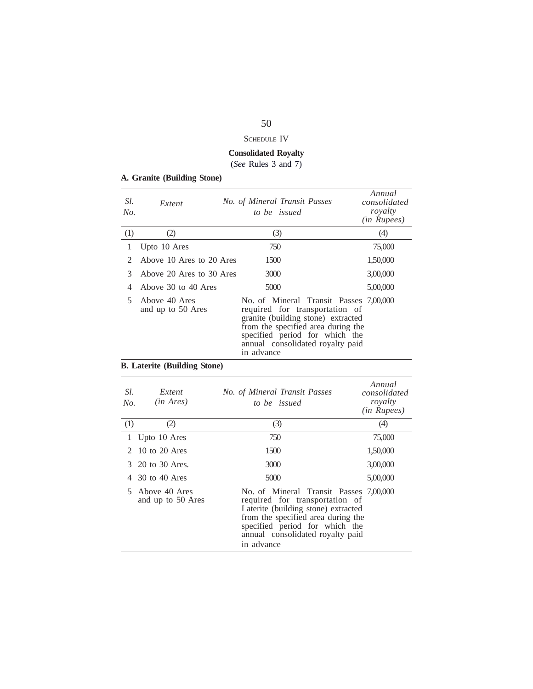# SCHEDULE IV

# **Consolidated Royalty**

(*See* Rules 3 and 7)

|  | A. Granite (Building Stone) |  |
|--|-----------------------------|--|
|  |                             |  |

| Sl.<br>No.                  | Extent                             | No. of Mineral Transit Passes<br>to be issued                                                                                                                                                                                            | Annual<br>consolidated<br>royalty<br>(in Rupees) |
|-----------------------------|------------------------------------|------------------------------------------------------------------------------------------------------------------------------------------------------------------------------------------------------------------------------------------|--------------------------------------------------|
| (1)                         | (2)                                | (3)                                                                                                                                                                                                                                      | (4)                                              |
| 1                           | Upto 10 Ares                       | 750                                                                                                                                                                                                                                      | 75,000                                           |
| $\mathcal{D}_{\mathcal{L}}$ | Above 10 Ares to 20 Ares           | 1500                                                                                                                                                                                                                                     | 1,50,000                                         |
| 3                           | Above 20 Ares to 30 Ares           | 3000                                                                                                                                                                                                                                     | 3,00,000                                         |
| 4                           | Above 30 to 40 Ares                | 5000                                                                                                                                                                                                                                     | 5,00,000                                         |
| 5.                          | Above 40 Ares<br>and up to 50 Ares | No. of Mineral Transit Passes 7,00,000<br>required for transportation of<br>granite (building stone) extracted<br>from the specified area during the<br>specified period for which the<br>annual consolidated royalty paid<br>in advance |                                                  |

# **B. Laterite (Building Stone)**

| Sl.<br>No.                  | Extent<br>$(in \; Ares)$           | No. of Mineral Transit Passes<br>to be issued                                                                                                                                                                                             | Annual<br>consolidated<br>royalty<br>( <i>in Rupees</i> ) |
|-----------------------------|------------------------------------|-------------------------------------------------------------------------------------------------------------------------------------------------------------------------------------------------------------------------------------------|-----------------------------------------------------------|
| (1)                         | (2)                                | (3)                                                                                                                                                                                                                                       | (4)                                                       |
| 1                           | Upto 10 Ares                       | 750                                                                                                                                                                                                                                       | 75,000                                                    |
| $\mathcal{D}_{\mathcal{L}}$ | 10 to 20 Ares                      | 1500                                                                                                                                                                                                                                      | 1,50,000                                                  |
| 3                           | 20 to 30 Ares.                     | 3000                                                                                                                                                                                                                                      | 3,00,000                                                  |
|                             | 30 to 40 Ares                      | 5000                                                                                                                                                                                                                                      | 5,00,000                                                  |
| 5.                          | Above 40 Ares<br>and up to 50 Ares | No. of Mineral Transit Passes 7,00,000<br>required for transportation of<br>Laterite (building stone) extracted<br>from the specified area during the<br>specified period for which the<br>annual consolidated royalty paid<br>in advance |                                                           |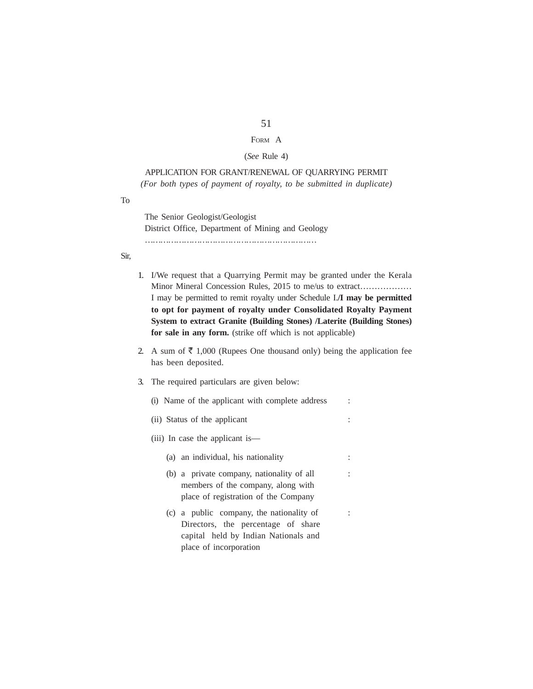# FORM A

### (*See* Rule 4)

# APPLICATION FOR GRANT/RENEWAL OF QUARRYING PERMIT *(For both types of payment of royalty, to be submitted in duplicate)*

### To

The Senior Geologist/Geologist District Office, Department of Mining and Geology …………………………………………………………

# Sir,

- 1. I/We request that a Quarrying Permit may be granted under the Kerala Minor Mineral Concession Rules, 2015 to me/us to extract……………… I may be permitted to remit royalty under Schedule I.**/I may be permitted to opt for payment of royalty under Consolidated Royalty Payment System to extract Granite (Building Stones) /Laterite (Building Stones) for sale in any form.** (strike off which is not applicable)
- 2. A sum of  $\bar{\tau}$  1,000 (Rupees One thousand only) being the application fee has been deposited.
- 3. The required particulars are given below:
	- (i) Name of the applicant with complete address :
	- (ii) Status of the applicant :
	- (iii) In case the applicant is—
		- (a) an individual, his nationality :
		- (b) a private company, nationality of all : members of the company, along with place of registration of the Company
		- (c) a public company, the nationality of : Directors, the percentage of share capital held by Indian Nationals and place of incorporation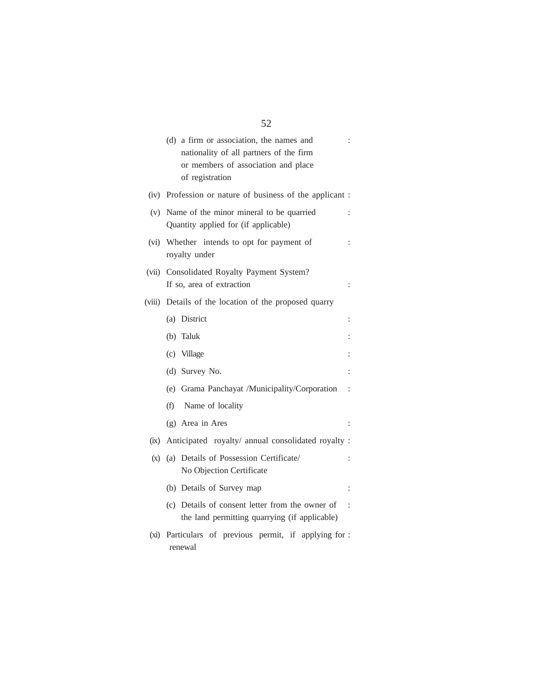|         | (d) a firm or association, the names and<br>nationality of all partners of the firm<br>or members of association and place<br>of registration |                      |
|---------|-----------------------------------------------------------------------------------------------------------------------------------------------|----------------------|
|         | (iv) Profession or nature of business of the applicant :                                                                                      |                      |
| (v)     | Name of the minor mineral to be quarried<br>Quantity applied for (if applicable)                                                              | ÷                    |
|         | (vi) Whether intends to opt for payment of<br>royalty under                                                                                   | ÷                    |
|         | (vii) Consolidated Royalty Payment System?<br>If so, area of extraction                                                                       | $\ddot{\cdot}$       |
| (viii)  | Details of the location of the proposed quarry                                                                                                |                      |
|         | (a) District                                                                                                                                  | ÷                    |
|         | (b) Taluk                                                                                                                                     |                      |
|         | (c) Village                                                                                                                                   |                      |
|         | (d) Survey No.                                                                                                                                |                      |
|         | (e) Grama Panchayat /Municipality/Corporation                                                                                                 | $\vdots$             |
|         | Name of locality<br>(f)                                                                                                                       |                      |
|         | (g) Area in Ares                                                                                                                              |                      |
| (ix)    | Anticipated royalty/ annual consolidated royalty :                                                                                            |                      |
| (x)     | (a) Details of Possession Certificate/<br>No Objection Certificate                                                                            | $\ddot{\phantom{a}}$ |
|         | (b) Details of Survey map                                                                                                                     | $\ddot{\cdot}$       |
|         | (c) Details of consent letter from the owner of<br>the land permitting quarrying (if applicable)                                              | $\ddot{\cdot}$       |
| $(x_i)$ | Particulars of previous permit, if applying for :<br>renewal                                                                                  |                      |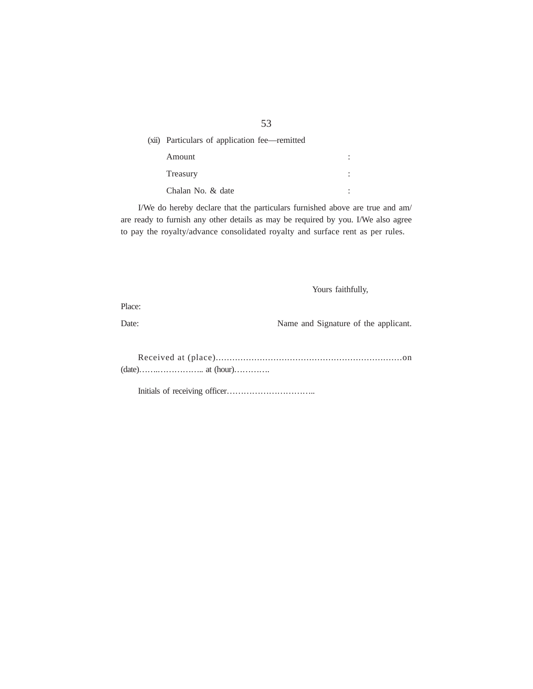| (xii) Particulars of application fee—remitted |  |
|-----------------------------------------------|--|
| Amount                                        |  |
| Treasury                                      |  |
| Chalan No. & date                             |  |

I/We do hereby declare that the particulars furnished above are true and am/ are ready to furnish any other details as may be required by you. I/We also agree to pay the royalty/advance consolidated royalty and surface rent as per rules.

Yours faithfully,

Place:

Date: Name and Signature of the applicant.

Received at (place)....................................................................on (date)…….…………….. at (hour)………….

Initials of receiving officer…………………………..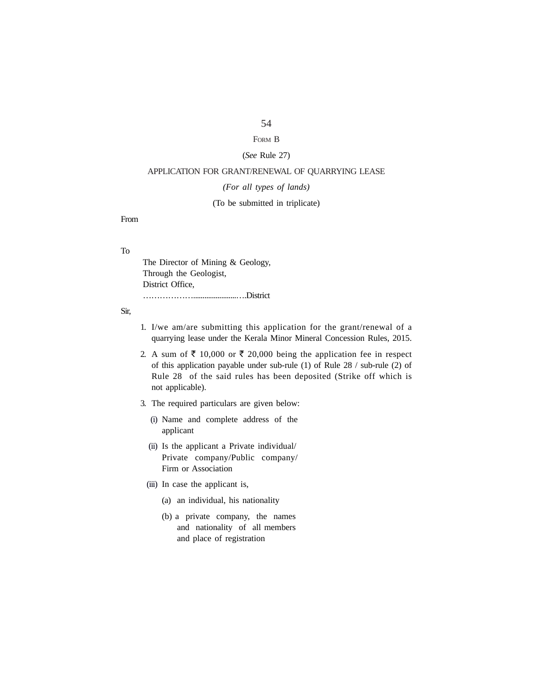# FORM B

# (*See* Rule 27)

# APPLICATION FOR GRANT/RENEWAL OF QUARRYING LEASE

### *(For all types of lands)*

# (To be submitted in triplicate)

From

# To

The Director of Mining & Geology, Through the Geologist, District Office, ……………….......................….District

# Sir,

- 1. I/we am/are submitting this application for the grant/renewal of a quarrying lease under the Kerala Minor Mineral Concession Rules, 2015.
- 2. A sum of  $\bar{\tau}$  10,000 or  $\bar{\tau}$  20,000 being the application fee in respect of this application payable under sub-rule (1) of Rule 28 / sub-rule (2) of Rule 28 of the said rules has been deposited (Strike off which is not applicable).
- 3. The required particulars are given below:
	- (i) Name and complete address of the applicant
	- (ii) Is the applicant a Private individual/ Private company/Public company/ Firm or Association
	- (iii) In case the applicant is,
		- (a) an individual, his nationality
		- (b) a private company, the names and nationality of all members and place of registration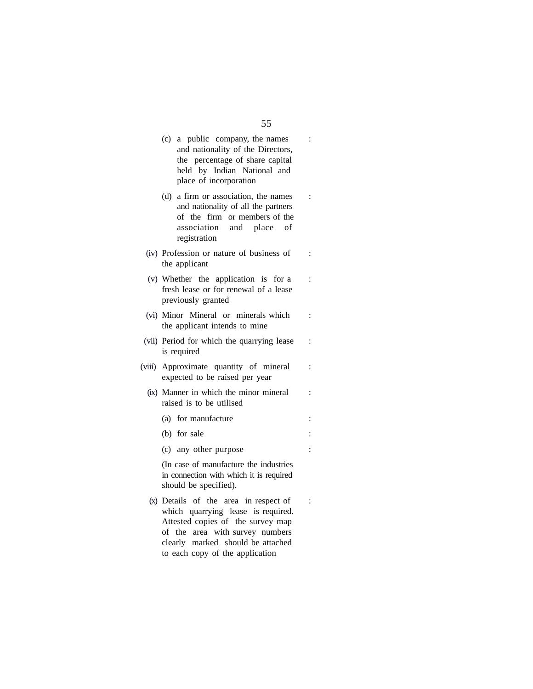# $(c)$  a public company, the names : and nationality of the Directors, the percentage of share capital held by Indian National and place of incorporation (d) a firm or association, the names : and nationality of all the partners of the firm or members of the association and place of registration  $(iv)$  Profession or nature of business of : the applicant (v) Whether the application is for a : fresh lease or for renewal of a lease previously granted (vi) Minor Mineral or minerals which : the applicant intends to mine (vii) Period for which the quarrying lease : is required (viii) Approximate quantity of mineral : expected to be raised per year (ix) Manner in which the minor mineral : raised is to be utilised (a) for manufacture :  $(b)$  for sale : (c) any other purpose : (In case of manufacture the industries in connection with which it is required should be specified).  $(x)$  Details of the area in respect of : which quarrying lease is required.

Attested copies of the survey map of the area with survey numbers clearly marked should be attached to each copy of the application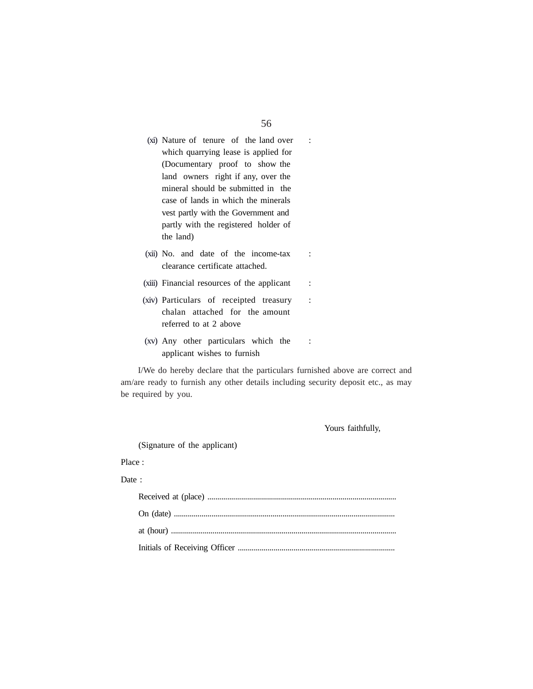- (xi) Nature of tenure of the land over : which quarrying lease is applied for (Documentary proof to show the land owners right if any, over the mineral should be submitted in the case of lands in which the minerals vest partly with the Government and partly with the registered holder of the land)
- (xii) No. and date of the income-tax : clearance certificate attached.
- (xiii) Financial resources of the applicant :
- (xiv) Particulars of receipted treasury : chalan attached for the amount referred to at 2 above
- (xv) Any other particulars which the : applicant wishes to furnish

I/We do hereby declare that the particulars furnished above are correct and am/are ready to furnish any other details including security deposit etc., as may be required by you.

Yours faithfully,

(Signature of the applicant)

# Place :

### Date :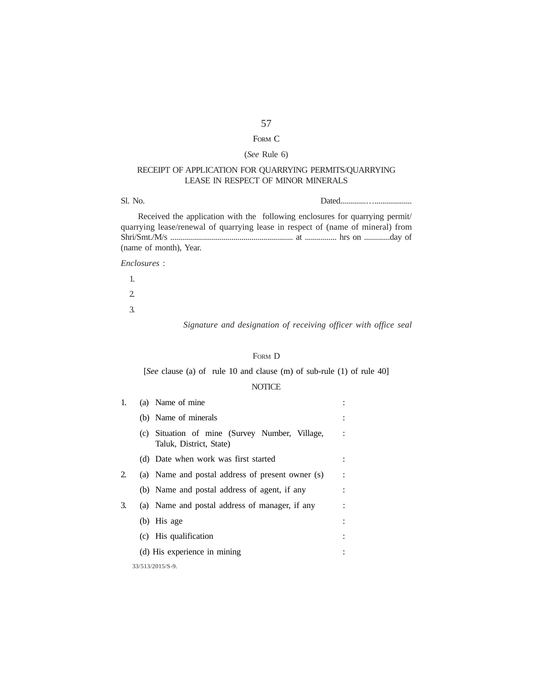# FORM C

# (*See* Rule 6)

# RECEIPT OF APPLICATION FOR QUARRYING PERMITS/QUARRYING LEASE IN RESPECT OF MINOR MINERALS

| Sl. No.                  |  |  |               |  |               |  |     |  |  |   |  |  |
|--------------------------|--|--|---------------|--|---------------|--|-----|--|--|---|--|--|
| $\overline{\phantom{a}}$ |  |  | $\sim$ $\sim$ |  | $\sim$ $\sim$ |  | --- |  |  | - |  |  |

Received the application with the following enclosures for quarrying permit/ quarrying lease/renewal of quarrying lease in respect of (name of mineral) from Shri/Smt./M/s .............................................................. at ................ hrs on .............day of (name of month), Year.

*Enclosures* :

1. 2. 3.

*Signature and designation of receiving officer with office seal*

# FORM D

[*See* clause (a) of rule 10 and clause (m) of sub-rule (1) of rule 40]

# **NOTICE**

| 1. | (a) Name of mine                                                          |  |  |  |  |  |  |  |  |  |  |
|----|---------------------------------------------------------------------------|--|--|--|--|--|--|--|--|--|--|
|    | (b) Name of minerals                                                      |  |  |  |  |  |  |  |  |  |  |
|    | (c) Situation of mine (Survey Number, Village,<br>Taluk, District, State) |  |  |  |  |  |  |  |  |  |  |
|    | (d) Date when work was first started                                      |  |  |  |  |  |  |  |  |  |  |
| 2. | (a) Name and postal address of present owner (s)                          |  |  |  |  |  |  |  |  |  |  |
|    | (b) Name and postal address of agent, if any                              |  |  |  |  |  |  |  |  |  |  |
| 3. | (a) Name and postal address of manager, if any                            |  |  |  |  |  |  |  |  |  |  |
|    | $(b)$ His age                                                             |  |  |  |  |  |  |  |  |  |  |
|    | (c) His qualification                                                     |  |  |  |  |  |  |  |  |  |  |
|    | (d) His experience in mining                                              |  |  |  |  |  |  |  |  |  |  |
|    | 33/513/2015/S-9.                                                          |  |  |  |  |  |  |  |  |  |  |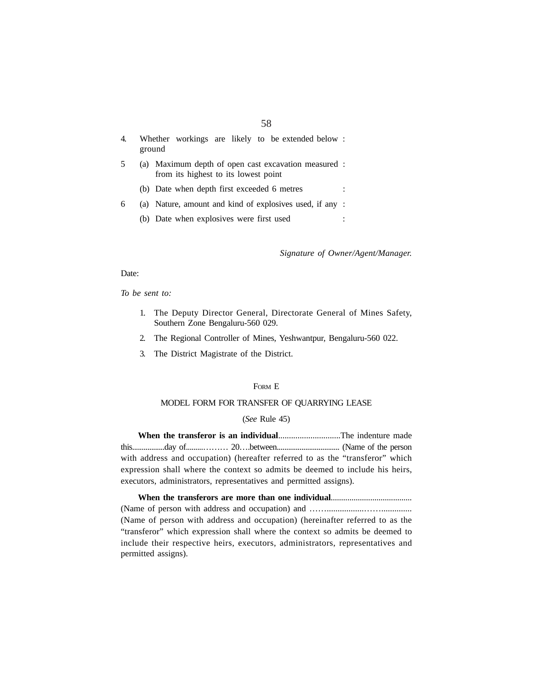| Whether workings are likely to be extended below :<br>ground                                 |  |
|----------------------------------------------------------------------------------------------|--|
| (a) Maximum depth of open cast excavation measured :<br>from its highest to its lowest point |  |
| (b) Date when depth first exceeded 6 metres                                                  |  |
| (a) Nature, amount and kind of explosives used, if any :                                     |  |
| (b) Date when explosives were first used                                                     |  |
|                                                                                              |  |

*Signature of Owner/Agent/Manager.*

### Date:

*To be sent to:*

- 1. The Deputy Director General, Directorate General of Mines Safety, Southern Zone Bengaluru-560 029.
- 2. The Regional Controller of Mines, Yeshwantpur, Bengaluru-560 022.
- 3. The District Magistrate of the District.

# FORM E

### MODEL FORM FOR TRANSFER OF QUARRYING LEASE

### (*See* Rule 45)

**When the transferor is an individual**.............................The indenture made this.................day of.........……… 20….between................................. (Name of the person with address and occupation) (hereafter referred to as the "transferor" which expression shall where the context so admits be deemed to include his heirs, executors, administrators, representatives and permitted assigns).

### **When the transferors are more than one individual**.......................................

(Name of person with address and occupation) and …….................…….............. (Name of person with address and occupation) (hereinafter referred to as the "transferor" which expression shall where the context so admits be deemed to include their respective heirs, executors, administrators, representatives and permitted assigns).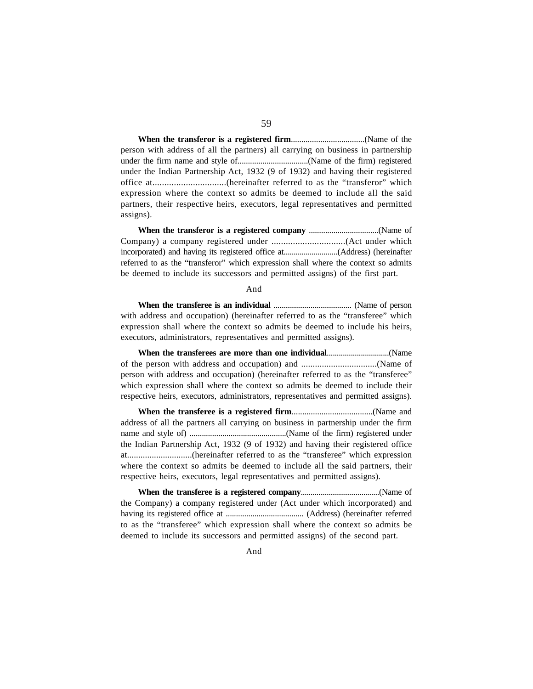**When the transferor is a registered firm**...................................(Name of the person with address of all the partners) all carrying on business in partnership under the firm name and style of..................................(Name of the firm) registered under the Indian Partnership Act, 1932 (9 of 1932) and having their registered office at...............................(hereinafter referred to as the "transferor" which expression where the context so admits be deemed to include all the said partners, their respective heirs, executors, legal representatives and permitted assigns).

**When the transferor is a registered company** ..................................(Name of Company) a company registered under ...............................(Act under which incorporated) and having its registered office at...........................(Address) (hereinafter referred to as the "transferor" which expression shall where the context so admits be deemed to include its successors and permitted assigns) of the first part.

### And

**When the transferee is an individual** ........................................ (Name of person with address and occupation) (hereinafter referred to as the "transferee" which expression shall where the context so admits be deemed to include his heirs, executors, administrators, representatives and permitted assigns).

**When the transferees are more than one individual**...............................(Name of the person with address and occupation) and .................................(Name of person with address and occupation) (hereinafter referred to as the "transferee" which expression shall where the context so admits be deemed to include their respective heirs, executors, administrators, representatives and permitted assigns).

**When the transferee is a registered firm**......................................(Name and address of all the partners all carrying on business in partnership under the firm name and style of) ...............................................(Name of the firm) registered under the Indian Partnership Act, 1932 (9 of 1932) and having their registered office at.............................(hereinafter referred to as the "transferee" which expression where the context so admits be deemed to include all the said partners, their respective heirs, executors, legal representatives and permitted assigns).

**When the transferee is a registered company**........................................(Name of the Company) a company registered under (Act under which incorporated) and having its registered office at ...................................... (Address) (hereinafter referred to as the "transferee" which expression shall where the context so admits be deemed to include its successors and permitted assigns) of the second part.

And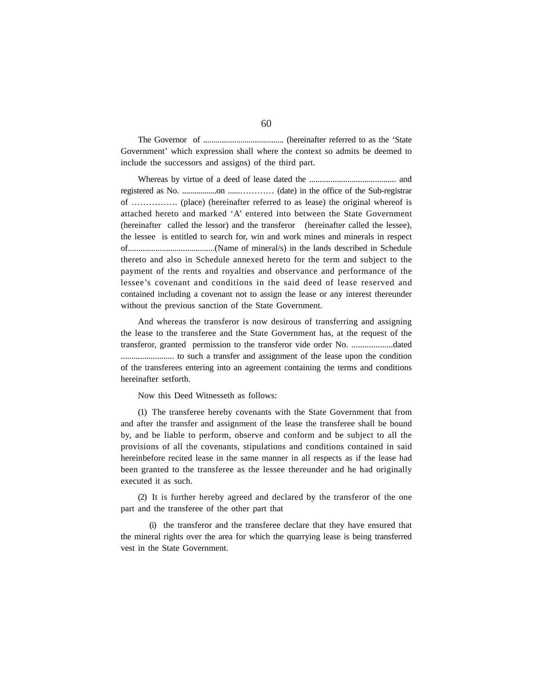The Governor of ....................................... (hereinafter referred to as the 'State Government' which expression shall where the context so admits be deemed to include the successors and assigns) of the third part.

Whereas by virtue of a deed of lease dated the ......................................... and registered as No. .................on ......………… (date) in the office of the Sub-registrar of ……………. (place) (hereinafter referred to as lease) the original whereof is attached hereto and marked 'A' entered into between the State Government (hereinafter called the lessor) and the transferor (hereinafter called the lessee), the lessee is entitled to search for, win and work mines and minerals in respect of.........................................(Name of mineral/s) in the lands described in Schedule thereto and also in Schedule annexed hereto for the term and subject to the payment of the rents and royalties and observance and performance of the lessee's covenant and conditions in the said deed of lease reserved and contained including a covenant not to assign the lease or any interest thereunder without the previous sanction of the State Government.

And whereas the transferor is now desirous of transferring and assigning the lease to the transferee and the State Government has, at the request of the transferor, granted permission to the transferor vide order No. ...................dated ......................... to such a transfer and assignment of the lease upon the condition of the transferees entering into an agreement containing the terms and conditions hereinafter setforth.

Now this Deed Witnesseth as follows:

(1) The transferee hereby covenants with the State Government that from and after the transfer and assignment of the lease the transferee shall be bound by, and be liable to perform, observe and conform and be subject to all the provisions of all the covenants, stipulations and conditions contained in said hereinbefore recited lease in the same manner in all respects as if the lease had been granted to the transferee as the lessee thereunder and he had originally executed it as such.

(2) It is further hereby agreed and declared by the transferor of the one part and the transferee of the other part that

(i) the transferor and the transferee declare that they have ensured that the mineral rights over the area for which the quarrying lease is being transferred vest in the State Government.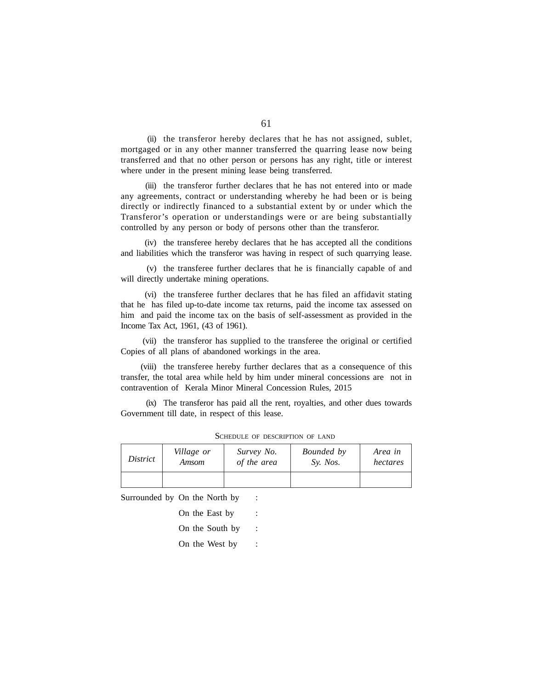(ii) the transferor hereby declares that he has not assigned, sublet, mortgaged or in any other manner transferred the quarring lease now being transferred and that no other person or persons has any right, title or interest where under in the present mining lease being transferred.

(iii) the transferor further declares that he has not entered into or made any agreements, contract or understanding whereby he had been or is being directly or indirectly financed to a substantial extent by or under which the Transferor's operation or understandings were or are being substantially controlled by any person or body of persons other than the transferor.

(iv) the transferee hereby declares that he has accepted all the conditions and liabilities which the transferor was having in respect of such quarrying lease.

(v) the transferee further declares that he is financially capable of and will directly undertake mining operations.

(vi) the transferee further declares that he has filed an affidavit stating that he has filed up-to-date income tax returns, paid the income tax assessed on him and paid the income tax on the basis of self-assessment as provided in the Income Tax Act, 1961, (43 of 1961).

(vii) the transferor has supplied to the transferee the original or certified Copies of all plans of abandoned workings in the area.

(viii) the transferee hereby further declares that as a consequence of this transfer, the total area while held by him under mineral concessions are not in contravention of Kerala Minor Mineral Concession Rules, 2015

(ix) The transferor has paid all the rent, royalties, and other dues towards Government till date, in respect of this lease.

| District | Village or | Survey No.  | Bounded by | Area in  |
|----------|------------|-------------|------------|----------|
|          | Amsom      | of the area | Sv. Nos.   | hectares |
|          |            |             |            |          |

SCHEDULE OF DESCRIPTION OF LAND

Surrounded by On the North by :

| On the East by  |  |
|-----------------|--|
| On the South by |  |
| On the West by  |  |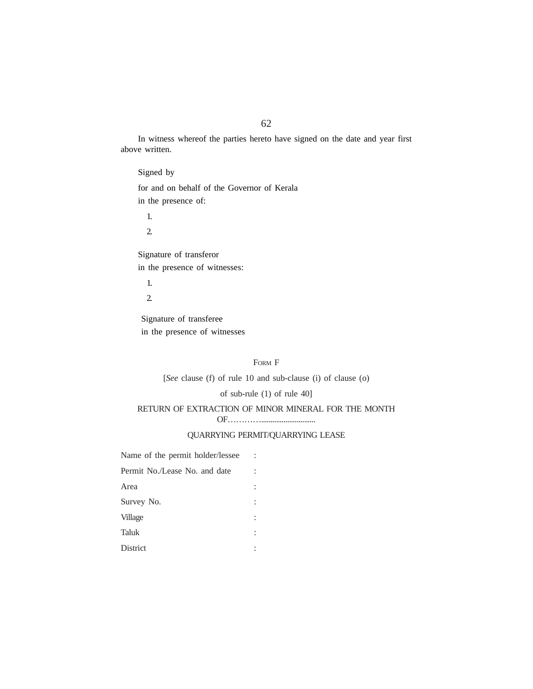In witness whereof the parties hereto have signed on the date and year first above written.

Signed by for and on behalf of the Governor of Kerala in the presence of:

1.

2.

Signature of transferor in the presence of witnesses:

1.

2.

 Signature of transferee in the presence of witnesses

### FORM F

[*See* clause (f) of rule 10 and sub-clause (i) of clause (o)

# of sub-rule (1) of rule 40]

# RETURN OF EXTRACTION OF MINOR MINERAL FOR THE MONTH

OF………….............................

# QUARRYING PERMIT/QUARRYING LEASE

| Name of the permit holder/lessee |  |
|----------------------------------|--|
| Permit No./Lease No. and date    |  |
| Area                             |  |
| Survey No.                       |  |
| Village                          |  |
| Taluk                            |  |
| <b>District</b>                  |  |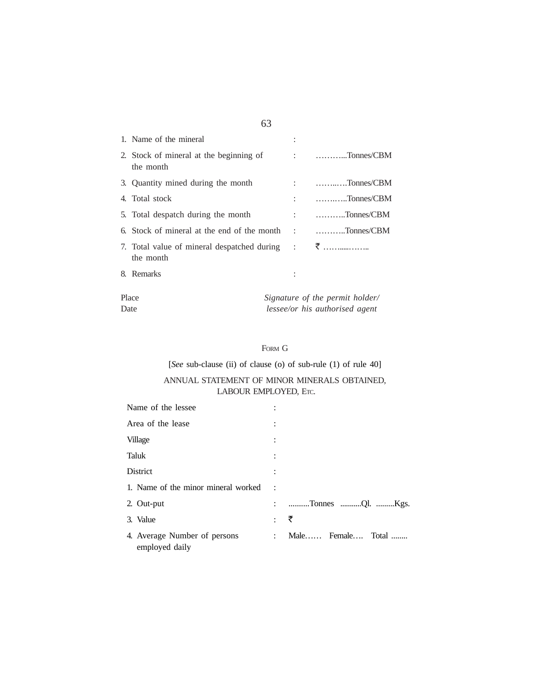| 1. Name of the mineral                                                                    |                                                                                                                                                                                                                                                                                                                                              |
|-------------------------------------------------------------------------------------------|----------------------------------------------------------------------------------------------------------------------------------------------------------------------------------------------------------------------------------------------------------------------------------------------------------------------------------------------|
| 2. Stock of mineral at the beginning of<br>the month                                      | $\vdots$ $\ldots$ $\ldots$ $\ldots$ $\ldots$ $\ldots$ $\ldots$ $\ldots$ $\ldots$ $\ldots$ $\ldots$ $\ldots$ $\ldots$ $\ldots$ $\ldots$ $\ldots$ $\ldots$ $\ldots$ $\ldots$ $\ldots$ $\ldots$ $\ldots$ $\ldots$ $\ldots$ $\ldots$ $\ldots$ $\ldots$ $\ldots$ $\ldots$ $\ldots$ $\ldots$ $\ldots$ $\ldots$ $\ldots$ $\ldots$ $\ldots$ $\ldots$ |
| 3. Quantity mined during the month                                                        | $\ldots$ Tonnes/CBM                                                                                                                                                                                                                                                                                                                          |
| 4. Total stock                                                                            | $: \qquad \ldots \ldots \ldots \ldots$ Tonnes/CBM                                                                                                                                                                                                                                                                                            |
| 5. Total despatch during the month                                                        | $\therefore$ Tonnes/CBM                                                                                                                                                                                                                                                                                                                      |
| 6. Stock of mineral at the end of the month                                               | $\vdots$ $\dots \dots \dots \dots$ Tonnes/CBM                                                                                                                                                                                                                                                                                                |
| 7. Total value of mineral despatched during $\qquad \qquad \overline{\zeta}$<br>the month |                                                                                                                                                                                                                                                                                                                                              |
| 8. Remarks                                                                                |                                                                                                                                                                                                                                                                                                                                              |

| Place | Signature of the permit holder/ |
|-------|---------------------------------|
| Date  | lessee/or his authorised agent  |

# FORM G

[*See* sub-clause (ii) of clause (o) of sub-rule (1) of rule 40]

# ANNUAL STATEMENT OF MINOR MINERALS OBTAINED, LABOUR EMPLOYED, ETC.

| Name of the lessee                             |                           |                   |
|------------------------------------------------|---------------------------|-------------------|
| Area of the lease                              |                           |                   |
| Village                                        |                           |                   |
| Taluk                                          |                           |                   |
| <b>District</b>                                | ٠                         |                   |
| 1. Name of the minor mineral worked            | $\ddot{\cdot}$            |                   |
| 2. Out-put                                     |                           | : Tonnes Ql. Kgs. |
| 3. Value                                       | $\ddot{\cdot}$            | ₹                 |
| 4. Average Number of persons<br>employed daily | $\mathbb{R}^{\mathbb{Z}}$ | Male Female Total |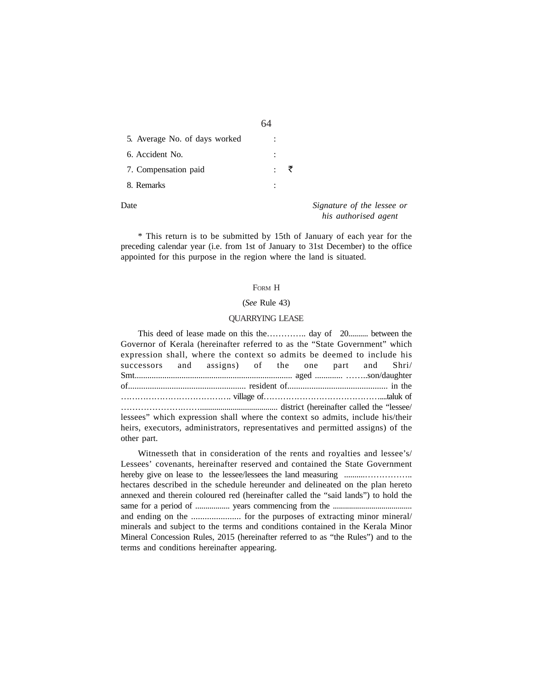| 5. Average No. of days worked |                |  |
|-------------------------------|----------------|--|
| 6. Accident No.               | $\ddot{\cdot}$ |  |
| 7. Compensation paid          |                |  |
| 8. Remarks                    |                |  |
|                               |                |  |

Date *Signature of the lessee or his authorised agent*

\* This return is to be submitted by 15th of January of each year for the preceding calendar year (i.e. from 1st of January to 31st December) to the office appointed for this purpose in the region where the land is situated.

### FORM H

### (*See* Rule 43)

### QUARRYING LEASE

This deed of lease made on this the………….. day of 20.......... between the Governor of Kerala (hereinafter referred to as the "State Government" which expression shall, where the context so admits be deemed to include his successors and assigns) of the one part and Shri/ Smt.......................................................................... aged ............. ……..son/daughter of...................................................... resident of.............................................. in the …………………………………. village of……………………………………....taluk of ………………….……...................................... district (hereinafter called the "lessee/ lessees" which expression shall where the context so admits, include his/their heirs, executors, administrators, representatives and permitted assigns) of the other part.

Witnesseth that in consideration of the rents and royalties and lessee's/ Lessees' covenants, hereinafter reserved and contained the State Government hereby give on lease to the lessee/lessees the land measuring ..........…………….. hectares described in the schedule hereunder and delineated on the plan hereto annexed and therein coloured red (hereinafter called the "said lands") to hold the same for a period of ................. years commencing from the ....................................... and ending on the ...................... for the purposes of extracting minor mineral/ minerals and subject to the terms and conditions contained in the Kerala Minor Mineral Concession Rules, 2015 (hereinafter referred to as "the Rules") and to the terms and conditions hereinafter appearing.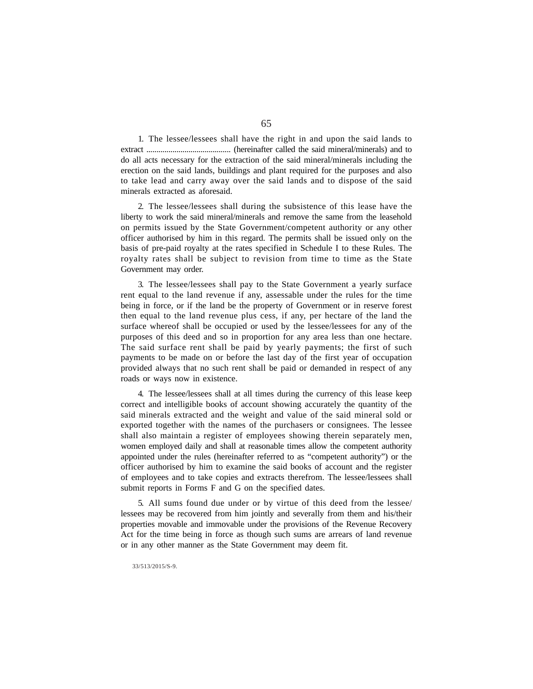1. The lessee/lessees shall have the right in and upon the said lands to extract .......................................... (hereinafter called the said mineral/minerals) and to do all acts necessary for the extraction of the said mineral/minerals including the erection on the said lands, buildings and plant required for the purposes and also to take lead and carry away over the said lands and to dispose of the said minerals extracted as aforesaid.

2. The lessee/lessees shall during the subsistence of this lease have the liberty to work the said mineral/minerals and remove the same from the leasehold on permits issued by the State Government/competent authority or any other officer authorised by him in this regard. The permits shall be issued only on the basis of pre-paid royalty at the rates specified in Schedule I to these Rules. The royalty rates shall be subject to revision from time to time as the State Government may order.

3. The lessee/lessees shall pay to the State Government a yearly surface rent equal to the land revenue if any, assessable under the rules for the time being in force, or if the land be the property of Government or in reserve forest then equal to the land revenue plus cess, if any, per hectare of the land the surface whereof shall be occupied or used by the lessee/lessees for any of the purposes of this deed and so in proportion for any area less than one hectare. The said surface rent shall be paid by yearly payments; the first of such payments to be made on or before the last day of the first year of occupation provided always that no such rent shall be paid or demanded in respect of any roads or ways now in existence.

4. The lessee/lessees shall at all times during the currency of this lease keep correct and intelligible books of account showing accurately the quantity of the said minerals extracted and the weight and value of the said mineral sold or exported together with the names of the purchasers or consignees. The lessee shall also maintain a register of employees showing therein separately men, women employed daily and shall at reasonable times allow the competent authority appointed under the rules (hereinafter referred to as "competent authority") or the officer authorised by him to examine the said books of account and the register of employees and to take copies and extracts therefrom. The lessee/lessees shall submit reports in Forms F and G on the specified dates.

5. All sums found due under or by virtue of this deed from the lessee/ lessees may be recovered from him jointly and severally from them and his/their properties movable and immovable under the provisions of the Revenue Recovery Act for the time being in force as though such sums are arrears of land revenue or in any other manner as the State Government may deem fit.

#### 33/513/2015/S-9.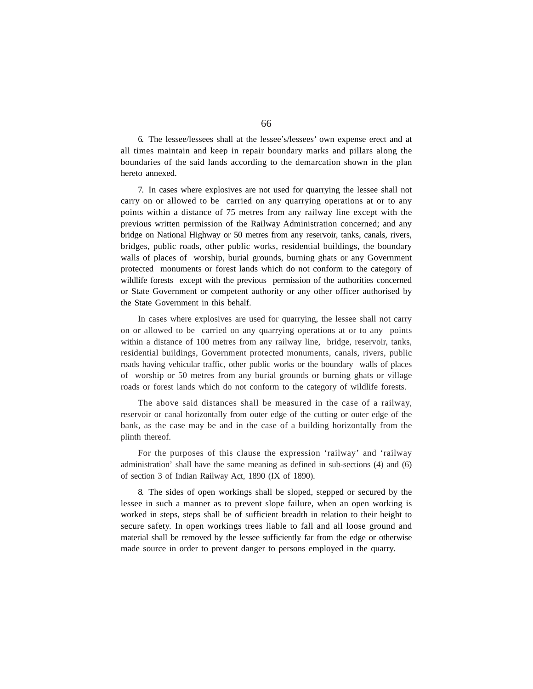6. The lessee/lessees shall at the lessee's/lessees' own expense erect and at all times maintain and keep in repair boundary marks and pillars along the boundaries of the said lands according to the demarcation shown in the plan hereto annexed.

7. In cases where explosives are not used for quarrying the lessee shall not carry on or allowed to be carried on any quarrying operations at or to any points within a distance of 75 metres from any railway line except with the previous written permission of the Railway Administration concerned; and any bridge on National Highway or 50 metres from any reservoir, tanks, canals, rivers, bridges, public roads, other public works, residential buildings, the boundary walls of places of worship, burial grounds, burning ghats or any Government protected monuments or forest lands which do not conform to the category of wildlife forests except with the previous permission of the authorities concerned or State Government or competent authority or any other officer authorised by the State Government in this behalf.

In cases where explosives are used for quarrying, the lessee shall not carry on or allowed to be carried on any quarrying operations at or to any points within a distance of 100 metres from any railway line, bridge, reservoir, tanks, residential buildings, Government protected monuments, canals, rivers, public roads having vehicular traffic, other public works or the boundary walls of places of worship or 50 metres from any burial grounds or burning ghats or village roads or forest lands which do not conform to the category of wildlife forests.

The above said distances shall be measured in the case of a railway, reservoir or canal horizontally from outer edge of the cutting or outer edge of the bank, as the case may be and in the case of a building horizontally from the plinth thereof.

For the purposes of this clause the expression 'railway' and 'railway administration' shall have the same meaning as defined in sub-sections (4) and (6) of section 3 of Indian Railway Act, 1890 (IX of 1890).

8. The sides of open workings shall be sloped, stepped or secured by the lessee in such a manner as to prevent slope failure, when an open working is worked in steps, steps shall be of sufficient breadth in relation to their height to secure safety. In open workings trees liable to fall and all loose ground and material shall be removed by the lessee sufficiently far from the edge or otherwise made source in order to prevent danger to persons employed in the quarry.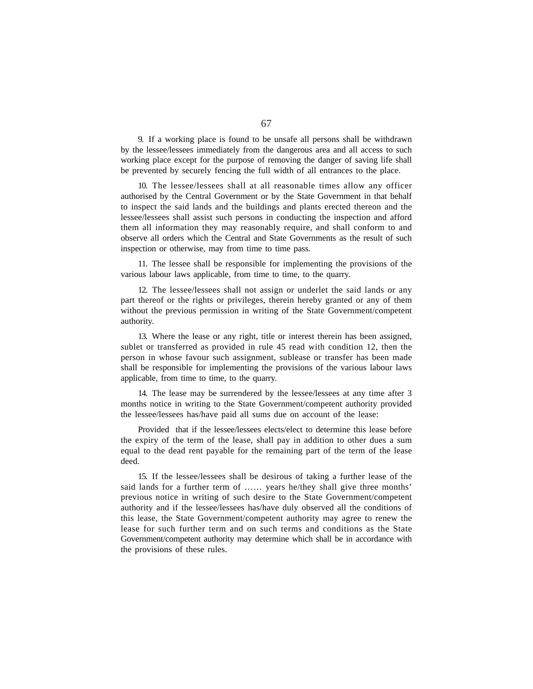9. If a working place is found to be unsafe all persons shall be withdrawn by the lessee/lessees immediately from the dangerous area and all access to such working place except for the purpose of removing the danger of saving life shall be prevented by securely fencing the full width of all entrances to the place.

10. The lessee/lessees shall at all reasonable times allow any officer authorised by the Central Government or by the State Government in that behalf to inspect the said lands and the buildings and plants erected thereon and the lessee/lessees shall assist such persons in conducting the inspection and afford them all information they may reasonably require, and shall conform to and observe all orders which the Central and State Governments as the result of such inspection or otherwise, may from time to time pass.

11. The lessee shall be responsible for implementing the provisions of the various labour laws applicable, from time to time, to the quarry.

12. The lessee/lessees shall not assign or underlet the said lands or any part thereof or the rights or privileges, therein hereby granted or any of them without the previous permission in writing of the State Government/competent authority.

13. Where the lease or any right, title or interest therein has been assigned, sublet or transferred as provided in rule 45 read with condition 12, then the person in whose favour such assignment, sublease or transfer has been made shall be responsible for implementing the provisions of the various labour laws applicable, from time to time, to the quarry.

14. The lease may be surrendered by the lessee/lessees at any time after 3 months notice in writing to the State Government/competent authority provided the lessee/lessees has/have paid all sums due on account of the lease:

Provided that if the lessee/lessees elects/elect to determine this lease before the expiry of the term of the lease, shall pay in addition to other dues a sum equal to the dead rent payable for the remaining part of the term of the lease deed.

15. If the lessee/lessees shall be desirous of taking a further lease of the said lands for a further term of …… years he/they shall give three months' previous notice in writing of such desire to the State Government/competent authority and if the lessee/lessees has/have duly observed all the conditions of this lease, the State Government/competent authority may agree to renew the lease for such further term and on such terms and conditions as the State Government/competent authority may determine which shall be in accordance with the provisions of these rules.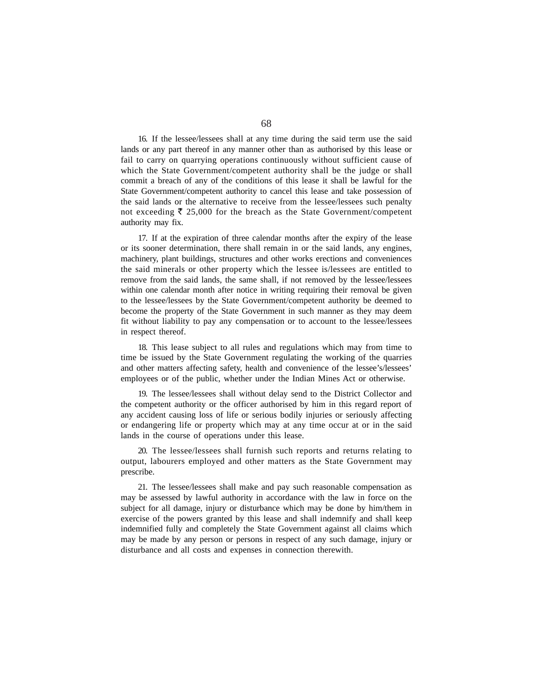16. If the lessee/lessees shall at any time during the said term use the said lands or any part thereof in any manner other than as authorised by this lease or fail to carry on quarrying operations continuously without sufficient cause of which the State Government/competent authority shall be the judge or shall commit a breach of any of the conditions of this lease it shall be lawful for the State Government/competent authority to cancel this lease and take possession of the said lands or the alternative to receive from the lessee/lessees such penalty not exceeding  $\bar{\tau}$  25,000 for the breach as the State Government/competent authority may fix.

17. If at the expiration of three calendar months after the expiry of the lease or its sooner determination, there shall remain in or the said lands, any engines, machinery, plant buildings, structures and other works erections and conveniences the said minerals or other property which the lessee is/lessees are entitled to remove from the said lands, the same shall, if not removed by the lessee/lessees within one calendar month after notice in writing requiring their removal be given to the lessee/lessees by the State Government/competent authority be deemed to become the property of the State Government in such manner as they may deem fit without liability to pay any compensation or to account to the lessee/lessees in respect thereof.

18. This lease subject to all rules and regulations which may from time to time be issued by the State Government regulating the working of the quarries and other matters affecting safety, health and convenience of the lessee's/lessees' employees or of the public, whether under the Indian Mines Act or otherwise.

19. The lessee/lessees shall without delay send to the District Collector and the competent authority or the officer authorised by him in this regard report of any accident causing loss of life or serious bodily injuries or seriously affecting or endangering life or property which may at any time occur at or in the said lands in the course of operations under this lease.

20. The lessee/lessees shall furnish such reports and returns relating to output, labourers employed and other matters as the State Government may prescribe.

21. The lessee/lessees shall make and pay such reasonable compensation as may be assessed by lawful authority in accordance with the law in force on the subject for all damage, injury or disturbance which may be done by him/them in exercise of the powers granted by this lease and shall indemnify and shall keep indemnified fully and completely the State Government against all claims which may be made by any person or persons in respect of any such damage, injury or disturbance and all costs and expenses in connection therewith.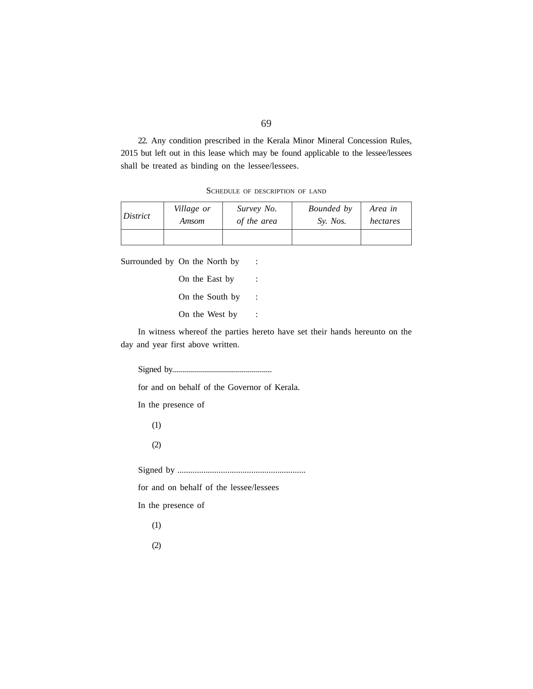22. Any condition prescribed in the Kerala Minor Mineral Concession Rules, 2015 but left out in this lease which may be found applicable to the lessee/lessees shall be treated as binding on the lessee/lessees.

SCHEDULE OF DESCRIPTION OF LAND

| District | Village or | Survey No.  | Bounded by | Area in  |
|----------|------------|-------------|------------|----------|
|          | Amsom      | of the area | Sy. Nos.   | hectares |
|          |            |             |            |          |

Surrounded by On the North by :

On the East by : On the South by : On the West by :

In witness whereof the parties hereto have set their hands hereunto on the day and year first above written.

Signed by..................................................

for and on behalf of the Governor of Kerala.

In the presence of

(1)

(2)

Signed by ...........................................................

for and on behalf of the lessee/lessees

In the presence of

(1)

(2)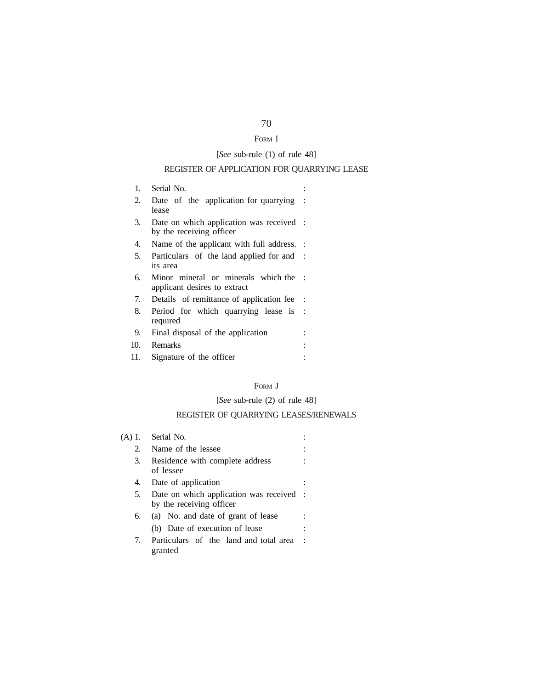# FORM I

# [*See* sub-rule (1) of rule 48]

# REGISTER OF APPLICATION FOR QUARRYING LEASE

| 1.  | Serial No.                                                           |  |
|-----|----------------------------------------------------------------------|--|
| 2.  | Date of the application for quarrying<br>lease                       |  |
| 3.  | Date on which application was received :<br>by the receiving officer |  |
| 4.  | Name of the applicant with full address. :                           |  |
| 5.  | Particulars of the land applied for and :<br>its area                |  |
| б.  | Minor mineral or minerals which the<br>applicant desires to extract  |  |
| 7.  | Details of remittance of application fee                             |  |
| 8.  | Period for which quarrying lease is :<br>required                    |  |
| 9.  | Final disposal of the application                                    |  |
| 10. | Remarks                                                              |  |
| 11. | Signature of the officer                                             |  |

# FORM **J**

# [*See* sub-rule (2) of rule 48]

# REGISTER OF QUARRYING LEASES/RENEWALS

| (A)     | Serial No.                                                           |  |  |  |  |
|---------|----------------------------------------------------------------------|--|--|--|--|
| $2^{2}$ | Name of the lessee                                                   |  |  |  |  |
| 3.      | Residence with complete address<br>of lessee                         |  |  |  |  |
| 4.      | Date of application                                                  |  |  |  |  |
| 5.      | Date on which application was received :<br>by the receiving officer |  |  |  |  |
| 6.      | (a) No. and date of grant of lease                                   |  |  |  |  |
|         | (b) Date of execution of lease                                       |  |  |  |  |
| 7.      | Particulars of the land and total area<br>granted                    |  |  |  |  |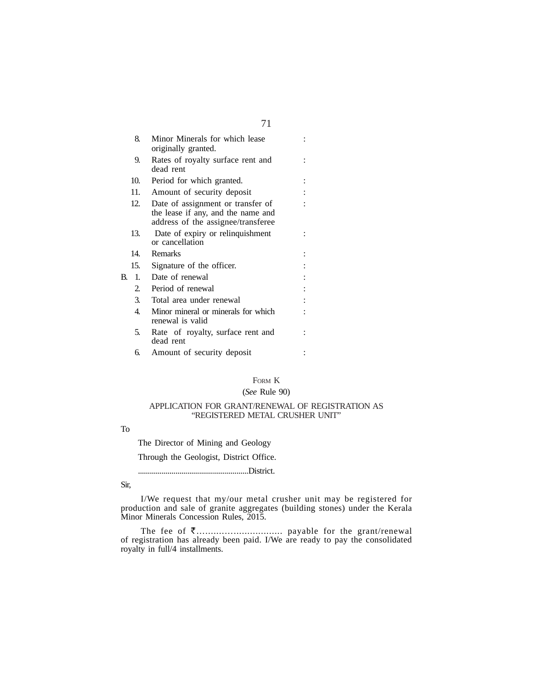| 8.             | Minor Minerals for which lease                                                                                |                                  |
|----------------|---------------------------------------------------------------------------------------------------------------|----------------------------------|
|                |                                                                                                               |                                  |
| 9.             | Rates of royalty surface rent and                                                                             |                                  |
|                |                                                                                                               |                                  |
| 10.            | Period for which granted.                                                                                     |                                  |
| 11.            | Amount of security deposit                                                                                    |                                  |
| 12.            | Date of assignment or transfer of<br>the lease if any, and the name and<br>address of the assignee/transferee |                                  |
| 13.            | Date of expiry or relinquishment<br>or cancellation                                                           |                                  |
| 14.            | Remarks                                                                                                       |                                  |
| 15.            | Signature of the officer.                                                                                     |                                  |
| $\mathbf{1}$ . | Date of renewal                                                                                               |                                  |
| 2.             | Period of renewal                                                                                             |                                  |
| 3.             | Total area under renewal                                                                                      |                                  |
| 4.             | Minor mineral or minerals for which<br>renewal is valid                                                       |                                  |
| 5.             | Rate of royalty, surface rent and<br>dead rent                                                                |                                  |
| б.             | Amount of security deposit                                                                                    |                                  |
|                |                                                                                                               | originally granted.<br>dead rent |

# FORM K

# (*See* Rule 90)

### APPLICATION FOR GRANT/RENEWAL OF REGISTRATION AS "REGISTERED METAL CRUSHER UNIT"

### To

The Director of Mining and Geology

Through the Geologist, District Office.

........................................................District.

### Sir,

I/We request that my/our metal crusher unit may be registered for production and sale of granite aggregates (building stones) under the Kerala Minor Minerals Concession Rules, 2015.

The fee of `….......….................. payable for the grant/renewal of registration has already been paid. I/We are ready to pay the consolidated royalty in full/4 installments.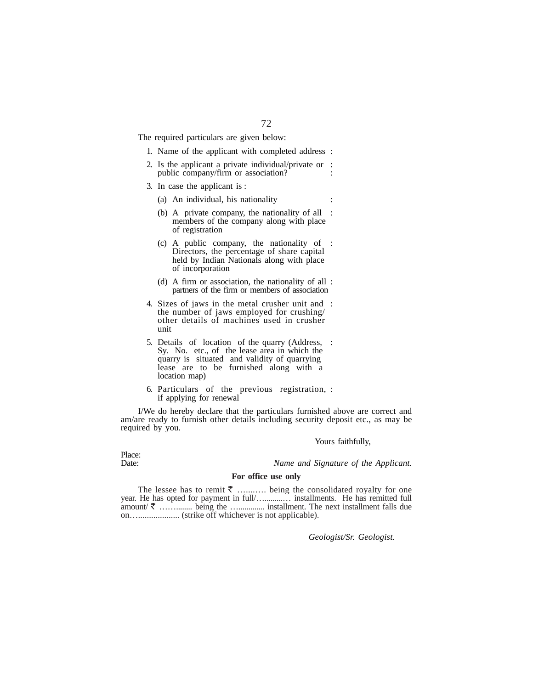The required particulars are given below:

- 1. Name of the applicant with completed address :
- 2. Is the applicant a private individual/private or : public company/firm or association?
- 3. In case the applicant is :
	- (a) An individual, his nationality :
	- (b) A private company, the nationality of all : members of the company along with place of registration
	- (c) A public company, the nationality of : Directors, the percentage of share capital held by Indian Nationals along with place of incorporation
	- (d) A firm or association, the nationality of all : partners of the firm or members of association
- 4. Sizes of jaws in the metal crusher unit and : the number of jaws employed for crushing/ other details of machines used in crusher unit
- 5. Details of location of the quarry (Address, : Sy. No. etc., of the lease area in which the quarry is situated and validity of quarrying lease are to be furnished along with a location map)
- 6. Particulars of the previous registration, : if applying for renewal

I/We do hereby declare that the particulars furnished above are correct and am/are ready to furnish other details including security deposit etc., as may be required by you.

Yours faithfully,

Place:<br>Date:

Name and Signature of the Applicant.

### **For office use only**

The lessee has to remit  $\bar{\tau}$  …........ being the consolidated royalty for one year. He has opted for payment in full/…............. installments. He has remitted full amount/ $\bar{\zeta}$  ….............. being the …............... installment. The next installment falls due on…................... (strike off whichever is not applicable).

*Geologist/Sr. Geologist.*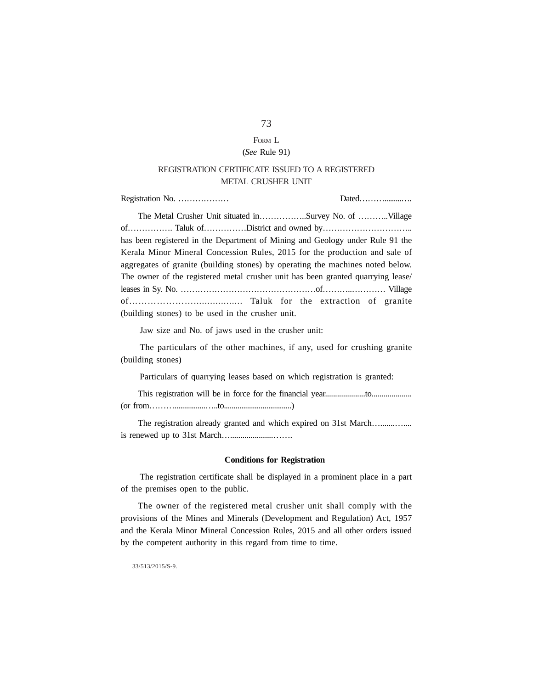## FORM L

## (*See* Rule 91)

## REGISTRATION CERTIFICATE ISSUED TO A REGISTERED METAL CRUSHER UNIT

Registration No. ……………… Dated……….........…. The Metal Crusher Unit situated in……………..Survey No. of ………..Village of……………. Taluk of……………District and owned by………………………….. has been registered in the Department of Mining and Geology under Rule 91 the Kerala Minor Mineral Concession Rules, 2015 for the production and sale of aggregates of granite (building stones) by operating the machines noted below. The owner of the registered metal crusher unit has been granted quarrying lease/ leases in Sy. No. …………………………………………of………..………… Village of………………….................. Taluk for the extraction of granite (building stones) to be used in the crusher unit.

Jaw size and No. of jaws used in the crusher unit:

The particulars of the other machines, if any, used for crushing granite (building stones)

Particulars of quarrying leases based on which registration is granted:

This registration will be in force for the financial year....................to.................... (or from………................…..to...................................)

The registration already granted and which expired on 31st March................. is renewed up to 31st March….....................…….

#### **Conditions for Registration**

The registration certificate shall be displayed in a prominent place in a part of the premises open to the public.

The owner of the registered metal crusher unit shall comply with the provisions of the Mines and Minerals (Development and Regulation) Act, 1957 and the Kerala Minor Mineral Concession Rules, 2015 and all other orders issued by the competent authority in this regard from time to time.

33/513/2015/S-9.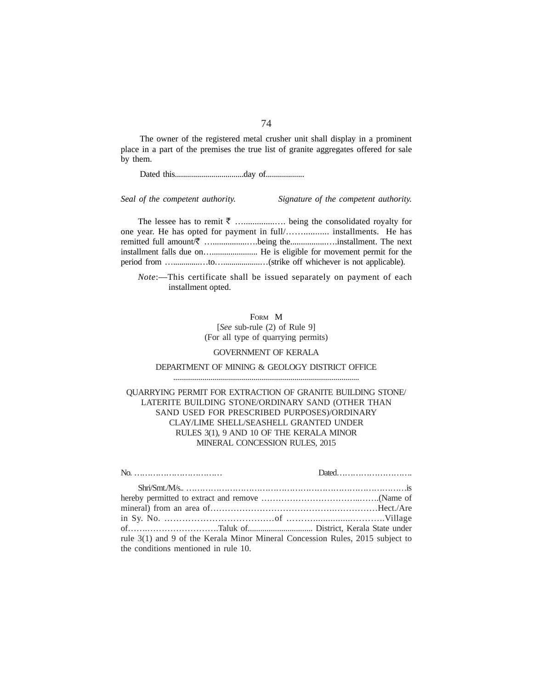The owner of the registered metal crusher unit shall display in a prominent place in a part of the premises the true list of granite aggregates offered for sale by them.

Dated this..................................day of...................

*Seal of the competent authority. Signature of the competent authority.*

The lessee has to remit  $\bar{\tau}$  …....................... being the consolidated royalty for one year. He has opted for payment in full/……........... installments. He has remitted full amount ₹ ….....................being the.......................installment. The next installment falls due on…...................... He is eligible for movement permit for the period from ….............…to…..................…(strike off whichever is not applicable).

*Note*:—This certificate shall be issued separately on payment of each installment opted.

FORM M

[*See* sub-rule (2) of Rule 9] (For all type of quarrying permits)

### GOVERNMENT OF KERALA

## DEPARTMENT OF MINING & GEOLOGY DISTRICT OFFICE ...............................................................................................

## QUARRYING PERMIT FOR EXTRACTION OF GRANITE BUILDING STONE/ LATERITE BUILDING STONE/ORDINARY SAND (OTHER THAN SAND USED FOR PRESCRIBED PURPOSES)/ORDINARY CLAY/LIME SHELL/SEASHELL GRANTED UNDER RULES 3(1), 9 AND 10 OF THE KERALA MINOR MINERAL CONCESSION RULES, 2015

| rule 3(1) and 9 of the Kerala Minor Mineral Concession Rules, 2015 subject to |  |
|-------------------------------------------------------------------------------|--|
| the conditions mentioned in rule 10.                                          |  |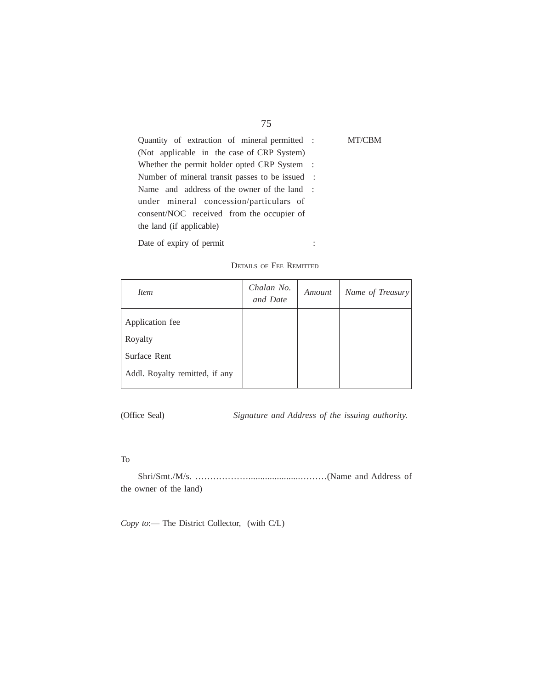| Quantity of extraction of mineral permitted :   | MT/CBM |
|-------------------------------------------------|--------|
| (Not applicable in the case of CRP System)      |        |
| Whether the permit holder opted CRP System :    |        |
| Number of mineral transit passes to be issued : |        |
| Name and address of the owner of the land :     |        |
| under mineral concession/particulars of         |        |
| consent/NOC received from the occupier of       |        |
| the land (if applicable)                        |        |
|                                                 |        |

Date of expiry of permit :

DETAILS OF FEE REMITTED

| <i>Item</i>                    | Chalan No.<br>and Date | Amount | Name of Treasury |
|--------------------------------|------------------------|--------|------------------|
| Application fee                |                        |        |                  |
| Royalty                        |                        |        |                  |
| Surface Rent                   |                        |        |                  |
| Addl. Royalty remitted, if any |                        |        |                  |

(Office Seal) *Signature and Address of the issuing authority.*

## To

Shri/Smt./M/s. ………………......................………(Name and Address of the owner of the land)

*Copy to*:— The District Collector, (with C/L)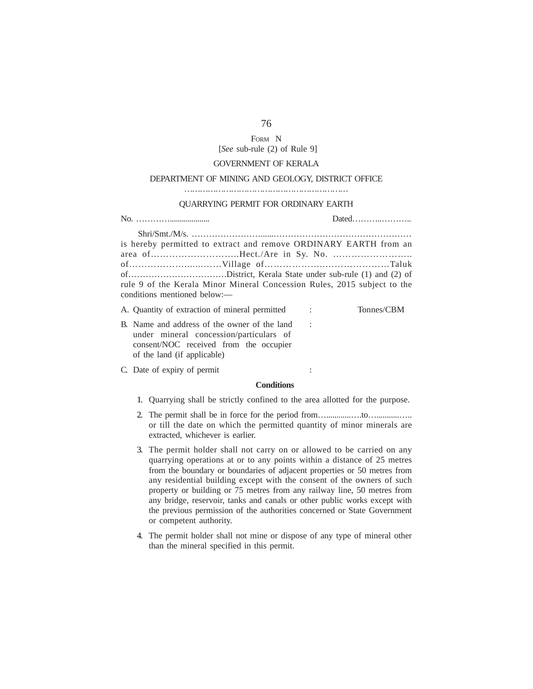## FORM N [*See* sub-rule (2) of Rule 9]

### GOVERNMENT OF KERALA

#### DEPARTMENT OF MINING AND GEOLOGY, DISTRICT OFFICE

………………………………………………………

#### QUARRYING PERMIT FOR ORDINARY EARTH

| is hereby permitted to extract and remove ORDINARY EARTH from an         |  |
|--------------------------------------------------------------------------|--|
|                                                                          |  |
|                                                                          |  |
|                                                                          |  |
| rule 9 of the Kerala Minor Mineral Concession Rules, 2015 subject to the |  |
| conditions mentioned below:—                                             |  |
| A. Quantity of extraction of mineral permitted : Tonnes/CBM              |  |

- B. Name and address of the owner of the land : under mineral concession/particulars of consent/NOC received from the occupier of the land (if applicable)
- C. Date of expiry of permit :

### **Conditions**

- 1. Quarrying shall be strictly confined to the area allotted for the purpose.
- 2. The permit shall be in force for the period from…............….to…...........….. or till the date on which the permitted quantity of minor minerals are extracted, whichever is earlier.
- 3. The permit holder shall not carry on or allowed to be carried on any quarrying operations at or to any points within a distance of 25 metres from the boundary or boundaries of adjacent properties or 50 metres from any residential building except with the consent of the owners of such property or building or 75 metres from any railway line, 50 metres from any bridge, reservoir, tanks and canals or other public works except with the previous permission of the authorities concerned or State Government or competent authority.
- 4. The permit holder shall not mine or dispose of any type of mineral other than the mineral specified in this permit.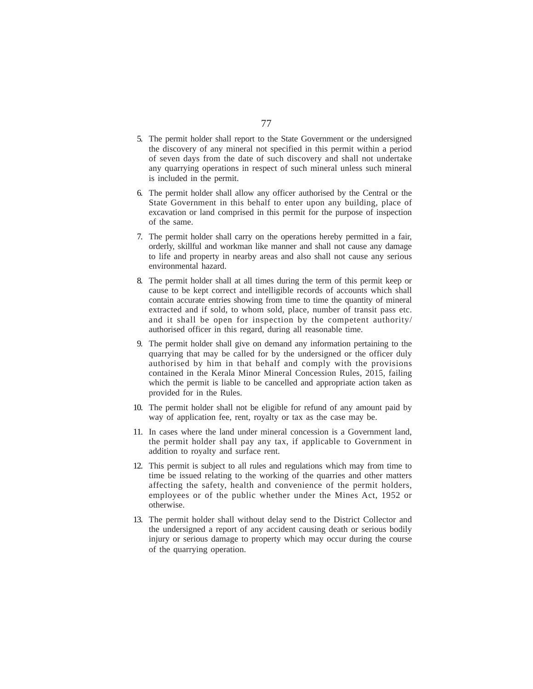- 5. The permit holder shall report to the State Government or the undersigned the discovery of any mineral not specified in this permit within a period of seven days from the date of such discovery and shall not undertake any quarrying operations in respect of such mineral unless such mineral is included in the permit.
- 6. The permit holder shall allow any officer authorised by the Central or the State Government in this behalf to enter upon any building, place of excavation or land comprised in this permit for the purpose of inspection of the same.
- 7. The permit holder shall carry on the operations hereby permitted in a fair, orderly, skillful and workman like manner and shall not cause any damage to life and property in nearby areas and also shall not cause any serious environmental hazard.
- 8. The permit holder shall at all times during the term of this permit keep or cause to be kept correct and intelligible records of accounts which shall contain accurate entries showing from time to time the quantity of mineral extracted and if sold, to whom sold, place, number of transit pass etc. and it shall be open for inspection by the competent authority/ authorised officer in this regard, during all reasonable time.
- 9. The permit holder shall give on demand any information pertaining to the quarrying that may be called for by the undersigned or the officer duly authorised by him in that behalf and comply with the provisions contained in the Kerala Minor Mineral Concession Rules, 2015, failing which the permit is liable to be cancelled and appropriate action taken as provided for in the Rules.
- 10. The permit holder shall not be eligible for refund of any amount paid by way of application fee, rent, royalty or tax as the case may be.
- 11. In cases where the land under mineral concession is a Government land, the permit holder shall pay any tax, if applicable to Government in addition to royalty and surface rent.
- 12. This permit is subject to all rules and regulations which may from time to time be issued relating to the working of the quarries and other matters affecting the safety, health and convenience of the permit holders, employees or of the public whether under the Mines Act, 1952 or otherwise.
- 13. The permit holder shall without delay send to the District Collector and the undersigned a report of any accident causing death or serious bodily injury or serious damage to property which may occur during the course of the quarrying operation.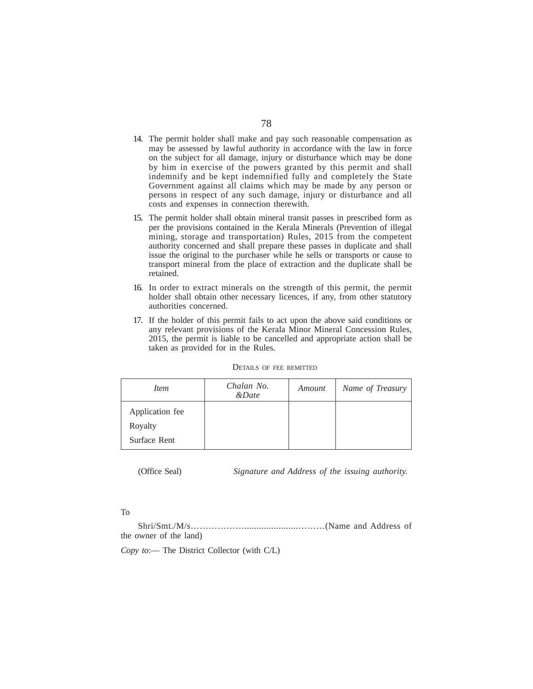- 14. The permit holder shall make and pay such reasonable compensation as may be assessed by lawful authority in accordance with the law in force on the subject for all damage, injury or disturbance which may be done by him in exercise of the powers granted by this permit and shall indemnify and be kept indemnified fully and completely the State Government against all claims which may be made by any person or persons in respect of any such damage, injury or disturbance and all costs and expenses in connection therewith.
- 15. The permit holder shall obtain mineral transit passes in prescribed form as per the provisions contained in the Kerala Minerals (Prevention of illegal mining, storage and transportation) Rules, 2015 from the competent authority concerned and shall prepare these passes in duplicate and shall issue the original to the purchaser while he sells or transports or cause to transport mineral from the place of extraction and the duplicate shall be retained.
- 16. In order to extract minerals on the strength of this permit, the permit holder shall obtain other necessary licences, if any, from other statutory authorities concerned.
- 17. If the holder of this permit fails to act upon the above said conditions or any relevant provisions of the Kerala Minor Mineral Concession Rules, 2015, the permit is liable to be cancelled and appropriate action shall be taken as provided for in the Rules.

| Item                       | Chalan No.<br>$\&Date$ | Amount | Name of Treasury |
|----------------------------|------------------------|--------|------------------|
| Application fee<br>Royalty |                        |        |                  |
| Surface Rent               |                        |        |                  |

#### DETAILS OF FEE REMITTED

(Office Seal) *Signature and Address of the issuing authority.*

### To

Shri/Smt./M/s………………......................………(Name and Address of the owner of the land)

*Copy to*:— The District Collector (with C/L)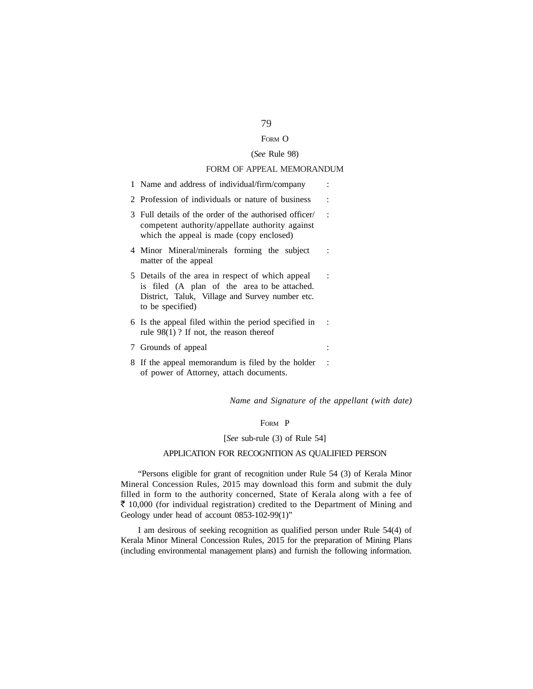## FORM O

## (*See* Rule 98)

## FORM OF APPEAL MEMORANDUM

| 1 Name and address of individual/firm/company                                                                                                                           |         |
|-------------------------------------------------------------------------------------------------------------------------------------------------------------------------|---------|
| 2 Profession of individuals or nature of business                                                                                                                       |         |
| 3 Full details of the order of the authorised officer/<br>competent authority/appellate authority against<br>which the appeal is made (copy enclosed)                   | $\cdot$ |
| 4 Minor Mineral/minerals forming the subject<br>matter of the appeal                                                                                                    |         |
| 5 Details of the area in respect of which appeal<br>is filed (A plan of the area to be attached.<br>District, Taluk, Village and Survey number etc.<br>to be specified) |         |
| 6 Is the appeal filed within the period specified in<br>rule $98(1)$ ? If not, the reason thereof                                                                       |         |
| 7 Grounds of appeal                                                                                                                                                     |         |
| 8 If the appeal memorandum is filed by the holder<br>of power of Attorney, attach documents.                                                                            |         |

*Name and Signature of the appellant (with date)*

## FORM P

### [*See* sub-rule (3) of Rule 54]

## APPLICATION FOR RECOGNITION AS QUALIFIED PERSON

"Persons eligible for grant of recognition under Rule 54 (3) of Kerala Minor Mineral Concession Rules, 2015 may download this form and submit the duly filled in form to the authority concerned, State of Kerala along with a fee of  $\bar{\tau}$  10,000 (for individual registration) credited to the Department of Mining and Geology under head of account 0853-102-99(1)"

I am desirous of seeking recognition as qualified person under Rule 54(4) of Kerala Minor Mineral Concession Rules, 2015 for the preparation of Mining Plans (including environmental management plans) and furnish the following information.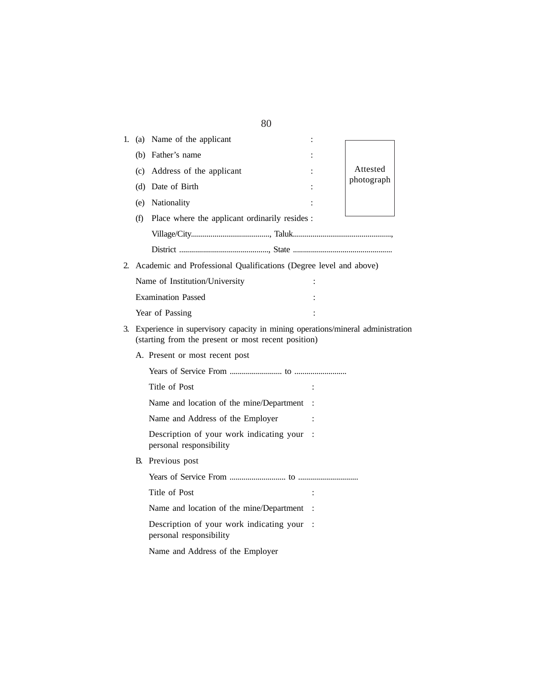| 1.                                                                                                                                          |                                | (a) Name of the applicant                                           |  |            |  |
|---------------------------------------------------------------------------------------------------------------------------------------------|--------------------------------|---------------------------------------------------------------------|--|------------|--|
|                                                                                                                                             | (b)                            | Father's name                                                       |  |            |  |
|                                                                                                                                             | (c)                            | Address of the applicant                                            |  | Attested   |  |
|                                                                                                                                             | (d)                            | Date of Birth                                                       |  | photograph |  |
|                                                                                                                                             |                                | (e) Nationality                                                     |  |            |  |
|                                                                                                                                             | (f)                            | Place where the applicant ordinarily resides :                      |  |            |  |
|                                                                                                                                             |                                |                                                                     |  |            |  |
|                                                                                                                                             |                                |                                                                     |  |            |  |
| 2.                                                                                                                                          |                                | Academic and Professional Qualifications (Degree level and above)   |  |            |  |
|                                                                                                                                             | Name of Institution/University |                                                                     |  |            |  |
|                                                                                                                                             |                                | <b>Examination Passed</b>                                           |  |            |  |
|                                                                                                                                             |                                | Year of Passing                                                     |  |            |  |
| Experience in supervisory capacity in mining operations/mineral administration<br>3.<br>(starting from the present or most recent position) |                                |                                                                     |  |            |  |
|                                                                                                                                             |                                | A. Present or most recent post                                      |  |            |  |
|                                                                                                                                             |                                |                                                                     |  |            |  |
|                                                                                                                                             |                                | Title of Post                                                       |  |            |  |
|                                                                                                                                             |                                | Name and location of the mine/Department                            |  |            |  |
|                                                                                                                                             |                                | Name and Address of the Employer                                    |  |            |  |
|                                                                                                                                             |                                | Description of your work indicating your<br>personal responsibility |  |            |  |
|                                                                                                                                             | В.                             | Previous post                                                       |  |            |  |
|                                                                                                                                             |                                |                                                                     |  |            |  |
|                                                                                                                                             |                                | Title of Post                                                       |  |            |  |
|                                                                                                                                             |                                | Name and location of the mine/Department                            |  |            |  |
|                                                                                                                                             |                                | Description of your work indicating your<br>personal responsibility |  |            |  |
|                                                                                                                                             |                                | Name and Address of the Employer                                    |  |            |  |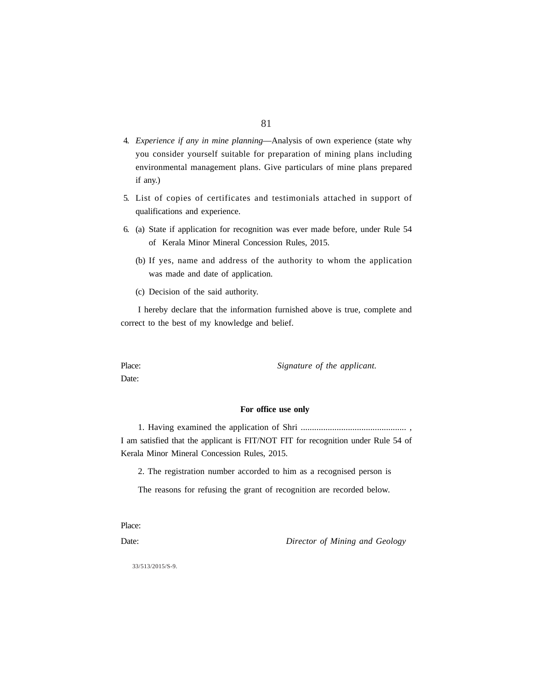- 81
- 4. *Experience if any in mine planning*—Analysis of own experience (state why you consider yourself suitable for preparation of mining plans including environmental management plans. Give particulars of mine plans prepared if any.)
- 5. List of copies of certificates and testimonials attached in support of qualifications and experience.
- 6. (a) State if application for recognition was ever made before, under Rule 54 of Kerala Minor Mineral Concession Rules, 2015.
	- (b) If yes, name and address of the authority to whom the application was made and date of application.
	- (c) Decision of the said authority.

I hereby declare that the information furnished above is true, complete and correct to the best of my knowledge and belief.

Place: *Signature of the applicant.* 

Date:

### **For office use only**

1. Having examined the application of Shri ............................................... , I am satisfied that the applicant is FIT/NOT FIT for recognition under Rule 54 of Kerala Minor Mineral Concession Rules, 2015.

2. The registration number accorded to him as a recognised person is

The reasons for refusing the grant of recognition are recorded below.

Place:

Date: *Director of Mining and Geology*

33/513/2015/S-9.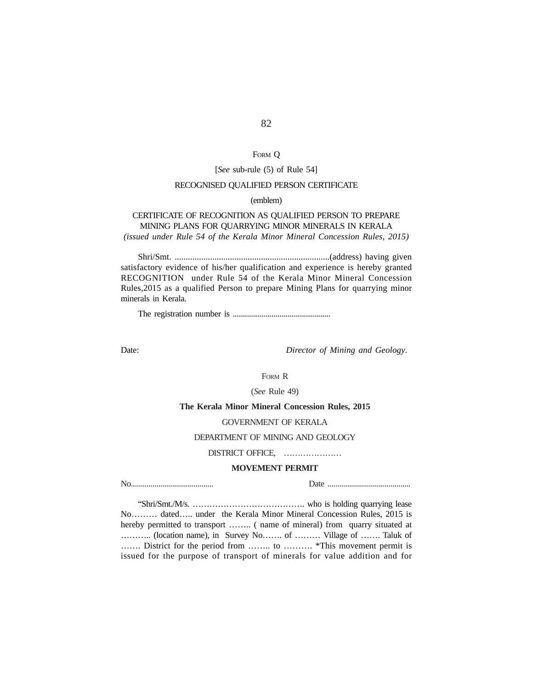# FORM Q

#### [*See* sub-rule (5) of Rule 54]

### RECOGNISED QUALIFIED PERSON CERTIFICATE

### (emblem)

## CERTIFICATE OF RECOGNITION AS QUALIFIED PERSON TO PREPARE MINING PLANS FOR QUARRYING MINOR MINERALS IN KERALA *(issued under Rule 54 of the Kerala Minor Mineral Concession Rules, 2015)*

Shri/Smt. ......................................................................(address) having given satisfactory evidence of his/her qualification and experience is hereby granted RECOGNITION under Rule 54 of the Kerala Minor Mineral Concession Rules,2015 as a qualified Person to prepare Mining Plans for quarrying minor minerals in Kerala.

The registration number is ................................................

Date: *Director of Mining and Geology*.

FORM R

(*See* Rule 49)

**The Kerala Minor Mineral Concession Rules, 2015**

### GOVERNMENT OF KERALA

DEPARTMENT OF MINING AND GEOLOGY

DISTRICT OFFICE, …………………

### **MOVEMENT PERMIT**

No.......................................... Date ..........................................

"Shri/Smt./M/s. …………………………………. who is holding quarrying lease No……… dated….. under the Kerala Minor Mineral Concession Rules, 2015 is hereby permitted to transport …….. ( name of mineral) from quarry situated at ……….. (location name), in Survey No……. of ……… Village of ……. Taluk of ……. District for the period from …….. to ………. \*This movement permit is issued for the purpose of transport of minerals for value addition and for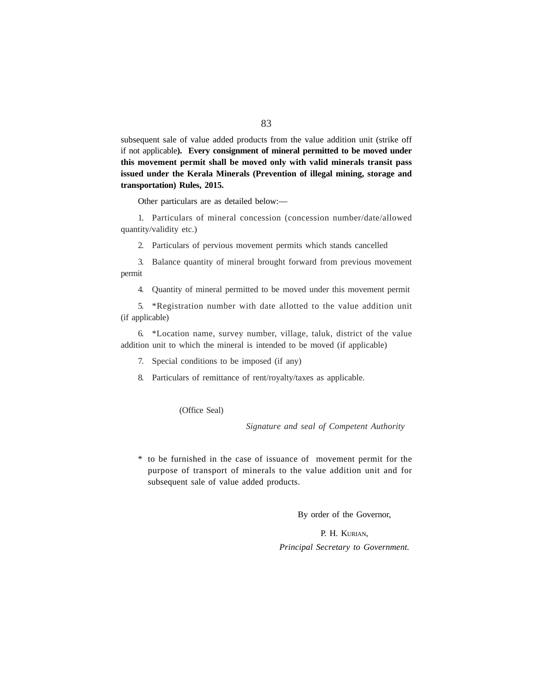subsequent sale of value added products from the value addition unit (strike off if not applicable**). Every consignment of mineral permitted to be moved under this movement permit shall be moved only with valid minerals transit pass issued under the Kerala Minerals (Prevention of illegal mining, storage and transportation) Rules, 2015.**

Other particulars are as detailed below:—

1. Particulars of mineral concession (concession number/date/allowed quantity/validity etc.)

2. Particulars of pervious movement permits which stands cancelled

3. Balance quantity of mineral brought forward from previous movement permit

4. Quantity of mineral permitted to be moved under this movement permit

5. \*Registration number with date allotted to the value addition unit (if applicable)

6. \*Location name, survey number, village, taluk, district of the value addition unit to which the mineral is intended to be moved (if applicable)

7. Special conditions to be imposed (if any)

8. Particulars of remittance of rent/royalty/taxes as applicable.

(Office Seal)

*Signature and seal of Competent Authority*

\* to be furnished in the case of issuance of movement permit for the purpose of transport of minerals to the value addition unit and for subsequent sale of value added products.

By order of the Governor,

P. H. KURIAN. *Principal Secretary to Government.*